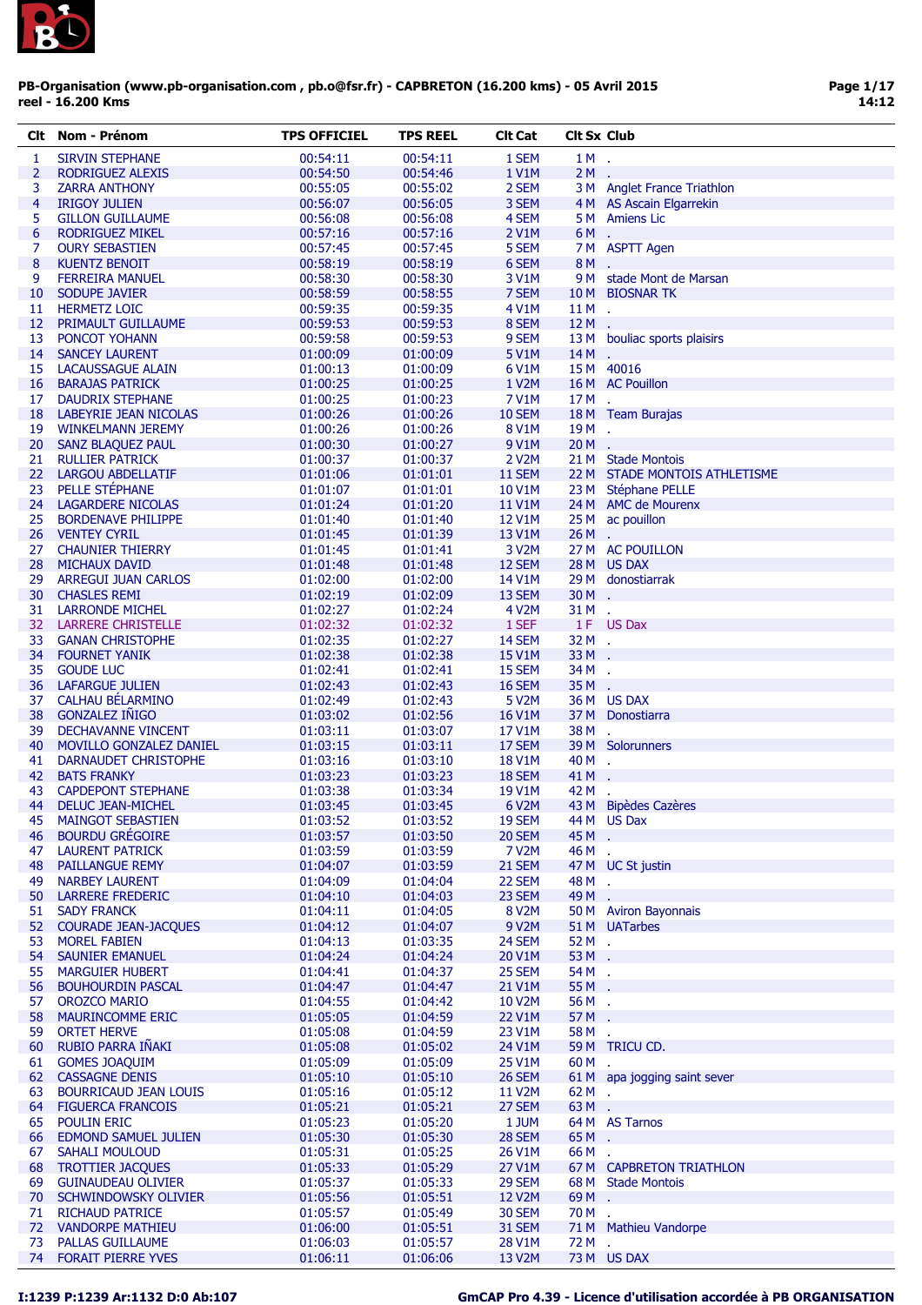

|                 | Clt Nom - Prénom                                     | <b>TPS OFFICIEL</b>  | <b>TPS REEL</b>      | <b>Clt Cat</b>          | <b>Clt Sx Club</b> |                                                      |
|-----------------|------------------------------------------------------|----------------------|----------------------|-------------------------|--------------------|------------------------------------------------------|
| 1               | <b>SIRVIN STEPHANE</b>                               | 00:54:11             | 00:54:11             | 1 SEM                   | 1M.                |                                                      |
| $\overline{2}$  | RODRIGUEZ ALEXIS                                     | 00:54:50             | 00:54:46             | 1 V1M                   | $2M$ .             |                                                      |
| 3               | <b>ZARRA ANTHONY</b>                                 | 00:55:05             | 00:55:02             | 2 SEM                   |                    | 3 M Anglet France Triathlon                          |
| $\overline{4}$  | <b>IRIGOY JULIEN</b>                                 | 00:56:07             | 00:56:05             | 3 SEM                   |                    | 4 M AS Ascain Elgarrekin                             |
| 5               | <b>GILLON GUILLAUME</b>                              | 00:56:08             | 00:56:08             | 4 SEM                   |                    | 5 M Amiens Lic                                       |
| $6\phantom{1}6$ | <b>RODRIGUEZ MIKEL</b>                               | 00:57:16             | 00:57:16             | 2 V1M                   | 6M.                |                                                      |
| 7               | <b>OURY SEBASTIEN</b>                                | 00:57:45             | 00:57:45             | 5 SEM                   |                    | 7 M ASPTT Agen                                       |
| 8               | <b>KUENTZ BENOIT</b>                                 | 00:58:19             | 00:58:19             | 6 SEM                   | 8M.                |                                                      |
| 9               | <b>FERREIRA MANUEL</b>                               | 00:58:30             | 00:58:30             | 3 V1M                   |                    | 9 M stade Mont de Marsan                             |
| 10              | SODUPE JAVIER                                        | 00:58:59             | 00:58:55             | 7 SEM                   |                    | 10 M BIOSNAR TK                                      |
| 11<br>12        | <b>HERMETZ LOIC</b><br><b>PRIMAULT GUILLAUME</b>     | 00:59:35<br>00:59:53 | 00:59:35<br>00:59:53 | 4 V1M<br>8 SEM          | $11M$ .<br>$12M$ . |                                                      |
| 13              | PONCOT YOHANN                                        | 00:59:58             | 00:59:53             | 9 SEM                   |                    | 13 M bouliac sports plaisirs                         |
| 14              | <b>SANCEY LAURENT</b>                                | 01:00:09             | 01:00:09             | 5 V1M                   | $14M$ .            |                                                      |
| 15              | LACAUSSAGUE ALAIN                                    | 01:00:13             | 01:00:09             | 6 V1M                   |                    | 15 M 40016                                           |
|                 | <b>16 BARAJAS PATRICK</b>                            | 01:00:25             | 01:00:25             | 1 V2M                   |                    | 16 M AC Pouillon                                     |
| 17              | DAUDRIX STEPHANE                                     | 01:00:25             | 01:00:23             | 7 V1M                   | 17M.               |                                                      |
|                 | 18 LABEYRIE JEAN NICOLAS                             | 01:00:26             | 01:00:26             | <b>10 SEM</b>           |                    | 18 M Team Burajas                                    |
| 19              | <b>WINKELMANN JEREMY</b>                             | 01:00:26             | 01:00:26             | 8 V1M                   | $19M$ .            |                                                      |
| 20              | SANZ BLAQUEZ PAUL                                    | 01:00:30             | 01:00:27             | 9 V1M                   | $20M$ .            |                                                      |
|                 | 21 RULLIER PATRICK                                   | 01:00:37             | 01:00:37             | 2 V2M                   |                    | 21 M Stade Montois                                   |
| 23              | 22 LARGOU ABDELLATIF<br>PELLE STÉPHANE               | 01:01:06<br>01:01:07 | 01:01:01<br>01:01:01 | 11 SEM<br>10 V1M        |                    | 22 M STADE MONTOIS ATHLETISME<br>23 M Stéphane PELLE |
| 24              | LAGARDERE NICOLAS                                    | 01:01:24             | 01:01:20             | 11 V1M                  |                    | 24 M AMC de Mourenx                                  |
| 25              | <b>BORDENAVE PHILIPPE</b>                            | 01:01:40             | 01:01:40             | 12 V1M                  |                    | 25 M ac pouillon                                     |
| 26              | <b>VENTEY CYRIL</b>                                  | 01:01:45             | 01:01:39             | 13 V1M                  | $26M$ .            |                                                      |
| 27              | <b>CHAUNIER THIERRY</b>                              | 01:01:45             | 01:01:41             | 3 V2M                   |                    | 27 M AC POUILLON                                     |
| 28              | <b>MICHAUX DAVID</b>                                 | 01:01:48             | 01:01:48             | 12 SEM                  |                    | 28 M US DAX                                          |
| 29              | <b>ARREGUI JUAN CARLOS</b>                           | 01:02:00             | 01:02:00             | 14 V1M                  |                    | 29 M donostiarrak                                    |
| 30              | <b>CHASLES REMI</b>                                  | 01:02:19             | 01:02:09             | 13 SEM                  | $30 M$ .           |                                                      |
| 31              | <b>LARRONDE MICHEL</b>                               | 01:02:27             | 01:02:24             | 4 V2M                   | 31 M .             |                                                      |
| 32              | <b>LARRERE CHRISTELLE</b>                            | 01:02:32             | 01:02:32             | 1 SEF                   |                    | 1F US Dax                                            |
| 33              | <b>GANAN CHRISTOPHE</b>                              | 01:02:35             | 01:02:27             | 14 SEM                  | 32 M .             |                                                      |
| 35              | 34 FOURNET YANIK<br><b>GOUDE LUC</b>                 | 01:02:38<br>01:02:41 | 01:02:38<br>01:02:41 | <b>15 V1M</b><br>15 SEM | 33 M .<br>34 M .   |                                                      |
| 36              | <b>LAFARGUE JULIEN</b>                               | 01:02:43             | 01:02:43             | 16 SEM                  | $35M$ .            |                                                      |
| 37              | CALHAU BÉLARMINO                                     | 01:02:49             | 01:02:43             | 5 V2M                   |                    | 36 M US DAX                                          |
| 38              | <b>GONZALEZ IÑIGO</b>                                | 01:03:02             | 01:02:56             | 16 V1M                  |                    | 37 M Donostiarra                                     |
| 39              | <b>DECHAVANNE VINCENT</b>                            | 01:03:11             | 01:03:07             | 17 V1M                  | 38 M .             |                                                      |
| 40              | <b>MOVILLO GONZALEZ DANIEL</b>                       | 01:03:15             | 01:03:11             | 17 SEM                  |                    | 39 M Solorunners                                     |
| 41              | <b>DARNAUDET CHRISTOPHE</b>                          | 01:03:16             | 01:03:10             | 18 V1M                  | 40 M .             |                                                      |
|                 | 42 BATS FRANKY                                       | 01:03:23             | 01:03:23             | 18 SEM                  | 41 M .             |                                                      |
| 43              | <b>CAPDEPONT STEPHANE</b>                            | 01:03:38             | 01:03:34             | 19 V1M                  | 42 M               |                                                      |
| 44<br>45        | <b>DELUC JEAN-MICHEL</b><br><b>MAINGOT SEBASTIEN</b> | 01:03:45<br>01:03:52 | 01:03:45             | 6 V2M<br>19 SEM         |                    | 43 M Bipèdes Cazères<br>44 M US Dax                  |
| 46              | <b>BOURDU GRÉGOIRE</b>                               | 01:03:57             | 01:03:52<br>01:03:50 | 20 SEM                  | 45 M .             |                                                      |
| 47              | <b>LAURENT PATRICK</b>                               | 01:03:59             | 01:03:59             | 7 V2M                   | 46 M .             |                                                      |
| 48              | <b>PAILLANGUE REMY</b>                               | 01:04:07             | 01:03:59             | 21 SEM                  |                    | 47 M UC St justin                                    |
| 49              | <b>NARBEY LAURENT</b>                                | 01:04:09             | 01:04:04             | 22 SEM                  | 48 M .             |                                                      |
| 50              | <b>LARRERE FREDERIC</b>                              | 01:04:10             | 01:04:03             | 23 SEM                  | 49 M .             |                                                      |
| 51              | <b>SADY FRANCK</b>                                   | 01:04:11             | 01:04:05             | 8 V2M                   |                    | 50 M Aviron Bayonnais                                |
| 52              | <b>COURADE JEAN-JACQUES</b>                          | 01:04:12             | 01:04:07             | 9 V2M                   |                    | 51 M UATarbes                                        |
| 53              | <b>MOREL FABIEN</b>                                  | 01:04:13             | 01:03:35             | 24 SEM                  | $52M$ .            |                                                      |
| 54<br>55        | <b>SAUNIER EMANUEL</b><br><b>MARGUIER HUBERT</b>     | 01:04:24<br>01:04:41 | 01:04:24<br>01:04:37 | 20 V1M<br>25 SEM        | 53 M .<br>54M.     |                                                      |
| 56              | <b>BOUHOURDIN PASCAL</b>                             | 01:04:47             | 01:04:47             | 21 V1M                  | 55 M .             |                                                      |
| 57              | <b>OROZCO MARIO</b>                                  | 01:04:55             | 01:04:42             | 10 V2M                  | 56 M .             |                                                      |
| 58              | <b>MAURINCOMME ERIC</b>                              | 01:05:05             | 01:04:59             | 22 V1M                  | 57 M .             |                                                      |
| 59              | <b>ORTET HERVE</b>                                   | 01:05:08             | 01:04:59             | 23 V1M                  | 58 M .             |                                                      |
| 60              | RUBIO PARRA IÑAKI                                    | 01:05:08             | 01:05:02             | 24 V1M                  |                    | 59 M TRICU CD.                                       |
| 61              | <b>GOMES JOAQUIM</b>                                 | 01:05:09             | 01:05:09             | 25 V1M                  | 60 M .             |                                                      |
| 62              | <b>CASSAGNE DENIS</b>                                | 01:05:10             | 01:05:10             | 26 SEM                  |                    | 61 M apa jogging saint sever                         |
| 63              | <b>BOURRICAUD JEAN LOUIS</b>                         | 01:05:16             | 01:05:12             | 11 V2M                  | $62M$ .            |                                                      |
| 64              | <b>FIGUERCA FRANCOIS</b>                             | 01:05:21             | 01:05:21             | 27 SEM                  | 63M.               |                                                      |
| 65              | <b>POULIN ERIC</b>                                   | 01:05:23             | 01:05:20             | 1 JUM                   |                    | 64 M AS Tarnos                                       |
| 66<br>67        | <b>EDMOND SAMUEL JULIEN</b><br><b>SAHALI MOULOUD</b> | 01:05:30<br>01:05:31 | 01:05:30<br>01:05:25 | 28 SEM<br>26 V1M        | 65M.<br>66M.       |                                                      |
| 68              | <b>TROTTIER JACOUES</b>                              | 01:05:33             | 01:05:29             | 27 V1M                  |                    | 67 M CAPBRETON TRIATHLON                             |
| 69              | <b>GUINAUDEAU OLIVIER</b>                            | 01:05:37             | 01:05:33             | 29 SEM                  |                    | 68 M Stade Montois                                   |
| 70              | SCHWINDOWSKY OLIVIER                                 | 01:05:56             | 01:05:51             | 12 V2M                  | 69M.               |                                                      |
| 71              | <b>RICHAUD PATRICE</b>                               | 01:05:57             | 01:05:49             | <b>30 SEM</b>           | 70M.               |                                                      |
| 72              | <b>VANDORPE MATHIEU</b>                              | 01:06:00             | 01:05:51             | 31 SEM                  |                    | 71 M Mathieu Vandorpe                                |
| 73              | PALLAS GUILLAUME                                     | 01:06:03             | 01:05:57             | 28 V1M                  | 72 M               | ÷.                                                   |
| 74              | <b>FORAIT PIERRE YVES</b>                            | 01:06:11             | 01:06:06             | 13 V2M                  |                    | 73 M US DAX                                          |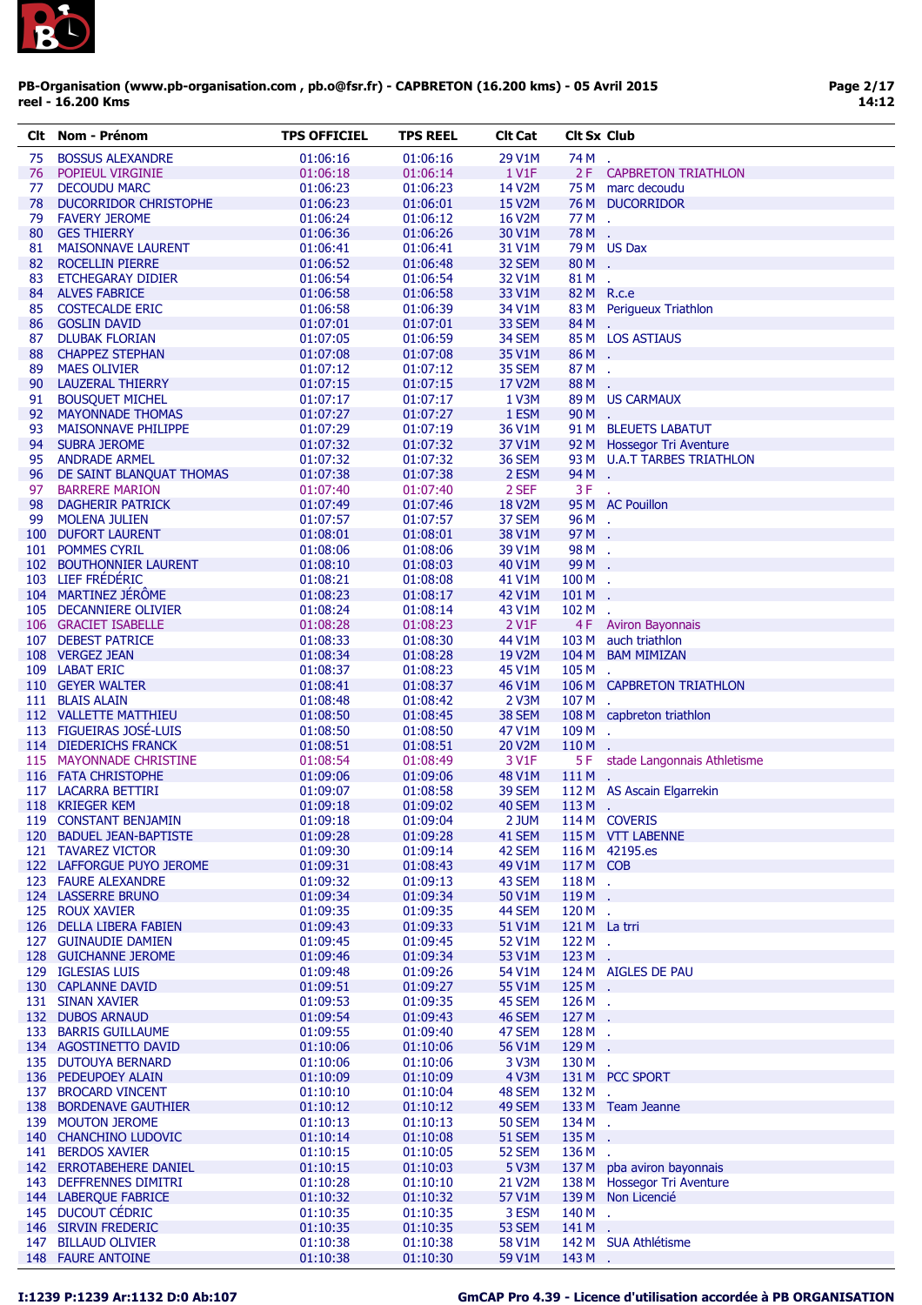

| CIt | Nom - Prénom                 | <b>TPS OFFICIEL</b> | TPS REEL | <b>CIt Cat</b>         | <b>Cit Sx Club</b> |                             |
|-----|------------------------------|---------------------|----------|------------------------|--------------------|-----------------------------|
| 75  | <b>BOSSUS ALEXANDRE</b>      | 01:06:16            | 01:06:16 | 29 V1M                 | 74 M               | $\mathbf{r}$                |
| 76  | POPIEUL VIRGINIE             | 01:06:18            | 01:06:14 | 1 V1F                  |                    | 2 F CAPBRETON TRIATHLON     |
| 77  | <b>DECOUDU MARC</b>          | 01:06:23            | 01:06:23 | 14 V2M                 |                    | 75 M marc decoudu           |
| 78  | <b>DUCORRIDOR CHRISTOPHE</b> | 01:06:23            | 01:06:01 | 15 V2M                 |                    | 76 M DUCORRIDOR             |
| 79  | <b>FAVERY JEROME</b>         | 01:06:24            | 01:06:12 | 16 V2M                 | 77 M .             |                             |
| 80  | <b>GES THIERRY</b>           | 01:06:36            | 01:06:26 | 30 V1M                 | 78 M .             |                             |
| 81  | <b>MAISONNAVE LAURENT</b>    | 01:06:41            | 01:06:41 | 31 V1M                 |                    | 79 M US Dax                 |
| 82  | <b>ROCELLIN PIERRE</b>       | 01:06:52            | 01:06:48 | 32 SEM                 | 80M.               |                             |
|     |                              | 01:06:54            |          | 32 V1M                 | 81 M               |                             |
| 83  | ETCHEGARAY DIDIER            |                     | 01:06:54 |                        |                    | ÷.                          |
| 84  | <b>ALVES FABRICE</b>         | 01:06:58            | 01:06:58 | 33 V1M                 | 82 M R.c.e         |                             |
| 85  | <b>COSTECALDE ERIC</b>       | 01:06:58            | 01:06:39 | 34 V1M                 |                    | 83 M Perigueux Triathlon    |
| 86  | <b>GOSLIN DAVID</b>          | 01:07:01            | 01:07:01 | 33 SEM                 | 84M.               |                             |
| 87  | <b>DLUBAK FLORIAN</b>        | 01:07:05            | 01:06:59 | 34 SEM                 |                    | 85 M LOS ASTIAUS            |
| 88  | <b>CHAPPEZ STEPHAN</b>       | 01:07:08            | 01:07:08 | 35 V1M                 | 86M.               |                             |
| 89  | <b>MAES OLIVIER</b>          | 01:07:12            | 01:07:12 | 35 SEM                 | 87M.               |                             |
| 90  | <b>LAUZERAL THIERRY</b>      | 01:07:15            | 01:07:15 | 17 V2M                 | 88M.               |                             |
| 91  | <b>BOUSQUET MICHEL</b>       | 01:07:17            | 01:07:17 | 1 V3M                  |                    | 89 M US CARMAUX             |
| 92  | <b>MAYONNADE THOMAS</b>      | 01:07:27            | 01:07:27 | 1 ESM                  | 90M.               |                             |
| 93  | <b>MAISONNAVE PHILIPPE</b>   | 01:07:29            | 01:07:19 | 36 V1M                 |                    | 91 M BLEUETS LABATUT        |
| 94  | <b>SUBRA JEROME</b>          | 01:07:32            | 01:07:32 | 37 V1M                 |                    | 92 M Hossegor Tri Aventure  |
| 95  | <b>ANDRADE ARMEL</b>         | 01:07:32            | 01:07:32 | 36 SEM                 |                    | 93 M U.A.T TARBES TRIATHLON |
| 96  | DE SAINT BLANQUAT THOMAS     | 01:07:38            | 01:07:38 | 2 ESM                  | 94 M .             |                             |
| 97  | <b>BARRERE MARION</b>        | 01:07:40            | 01:07:40 | 2 SEF                  | $3F$ .             |                             |
| 98  | <b>DAGHERIR PATRICK</b>      | 01:07:49            | 01:07:46 | <b>18 V2M</b>          |                    | 95 M AC Pouillon            |
| 99  | <b>MOLENA JULIEN</b>         | 01:07:57            | 01:07:57 | 37 SEM                 | 96M.               |                             |
|     | 100 DUFORT LAURENT           | 01:08:01            | 01:08:01 | 38 V1M                 | 97 M .             |                             |
|     | 101 POMMES CYRIL             | 01:08:06            | 01:08:06 | 39 V1M                 | 98 M .             |                             |
|     | 102 BOUTHONNIER LAURENT      | 01:08:10            | 01:08:03 | 40 V1M                 | 99 M .             |                             |
|     | 103 LIEF FRÉDÉRIC            | 01:08:21            | 01:08:08 | 41 V1M                 | 100 M .            |                             |
|     |                              |                     |          |                        |                    |                             |
|     | 104 MARTINEZ JÉRÔME          | 01:08:23            | 01:08:17 | 42 V1M                 | 101 M              |                             |
|     | 105 DECANNIERE OLIVIER       | 01:08:24            | 01:08:14 | 43 V1M                 | $102M$ .           |                             |
|     | 106 GRACIET ISABELLE         | 01:08:28            | 01:08:23 | $2$ V <sub>1</sub> $F$ |                    | 4 F Aviron Bayonnais        |
|     | 107 DEBEST PATRICE           | 01:08:33            | 01:08:30 | 44 V1M                 |                    | 103 M auch triathlon        |
|     | 108 VERGEZ JEAN              | 01:08:34            | 01:08:28 | 19 V2M                 |                    | 104 M BAM MIMIZAN           |
|     | 109 LABAT ERIC               | 01:08:37            | 01:08:23 | 45 V1M                 | $105M$ .           |                             |
|     | 110 GEYER WALTER             | 01:08:41            | 01:08:37 | 46 V1M                 |                    | 106 M CAPBRETON TRIATHLON   |
|     | 111 BLAIS ALAIN              | 01:08:48            | 01:08:42 | 2 V3M                  | 107 M .            |                             |
|     | 112 VALLETTE MATTHIEU        | 01:08:50            | 01:08:45 | 38 SEM                 |                    | 108 M capbreton triathlon   |
|     | 113 FIGUEIRAS JOSÉ-LUIS      | 01:08:50            | 01:08:50 | 47 V1M                 | $109M$ .           |                             |
|     | 114 DIEDERICHS FRANCK        | 01:08:51            | 01:08:51 | 20 V2M                 | $110 M$ .          |                             |
|     | 115 MAYONNADE CHRISTINE      | 01:08:54            | 01:08:49 | 3 V1F                  | 5F                 | stade Langonnais Athletisme |
|     | 116 FATA CHRISTOPHE          | 01:09:06            | 01:09:06 | 48 V1M                 | 111 M .            |                             |
|     |                              |                     |          |                        |                    | 112 M AS Ascain Elgarrekin  |
|     | 117 LACARRA BETTIRI          | 01:09:07            | 01:08:58 | 39 SEM                 |                    |                             |
|     | 118 KRIEGER KEM              | 01:09:18            | 01:09:02 | 40 SEM                 | $113M$ .           |                             |
|     | 119 CONSTANT BENJAMIN        | 01:09:18            | 01:09:04 | 2 JUM                  |                    | 114 M COVERIS               |
|     | 120 BADUEL JEAN-BAPTISTE     | 01:09:28            | 01:09:28 | 41 SEM                 |                    | 115 M VTT LABENNE           |
|     | 121 TAVAREZ VICTOR           | 01:09:30            | 01:09:14 | 42 SEM                 |                    | 116 M 42195.es              |
|     | 122 LAFFORGUE PUYO JEROME    | 01:09:31            | 01:08:43 | 49 V1M                 | 117 M COB          |                             |
|     | 123 FAURE ALEXANDRE          | 01:09:32            | 01:09:13 | 43 SEM                 | 118M.              |                             |
|     | 124 LASSERRE BRUNO           | 01:09:34            | 01:09:34 | 50 V1M                 | $119M$ .           |                             |
|     | 125 ROUX XAVIER              | 01:09:35            | 01:09:35 | 44 SEM                 | $120M$ .           |                             |
|     | 126 DELLA LIBERA FABIEN      | 01:09:43            | 01:09:33 | 51 V1M                 | 121 M La trri      |                             |
|     | 127 GUINAUDIE DAMIEN         | 01:09:45            | 01:09:45 | 52 V1M                 | $122M$ .           |                             |
|     | 128 GUICHANNE JEROME         | 01:09:46            | 01:09:34 | 53 V1M                 | $123M$ .           |                             |
|     | 129 IGLESIAS LUIS            | 01:09:48            | 01:09:26 | 54 V1M                 |                    | 124 M AIGLES DE PAU         |
|     | 130 CAPLANNE DAVID           | 01:09:51            | 01:09:27 | 55 V1M                 | $125M$ .           |                             |
|     | 131 SINAN XAVIER             | 01:09:53            | 01:09:35 | 45 SEM                 | $126M$ .           |                             |
|     | 132 DUBOS ARNAUD             | 01:09:54            | 01:09:43 | 46 SEM                 | 127 M .            |                             |
|     |                              |                     |          |                        | 128 M .            |                             |
|     | 133 BARRIS GUILLAUME         | 01:09:55            | 01:09:40 | 47 SEM                 |                    |                             |
|     | 134 AGOSTINETTO DAVID        | 01:10:06            | 01:10:06 | 56 V1M                 | 129 M .            |                             |
|     | 135 DUTOUYA BERNARD          | 01:10:06            | 01:10:06 | 3 V3M                  | 130 M .            |                             |
|     | 136 PEDEUPOEY ALAIN          | 01:10:09            | 01:10:09 | 4 V3M                  |                    | 131 M PCC SPORT             |
|     | 137 BROCARD VINCENT          | 01:10:10            | 01:10:04 | 48 SEM                 | 132 M .            |                             |
|     | 138 BORDENAVE GAUTHIER       | 01:10:12            | 01:10:12 | 49 SEM                 |                    | 133 M Team Jeanne           |
|     | 139 MOUTON JEROME            | 01:10:13            | 01:10:13 | <b>50 SEM</b>          | 134 M .            |                             |
|     | 140 CHANCHINO LUDOVIC        | 01:10:14            | 01:10:08 | 51 SEM                 | 135M.              |                             |
|     | 141 BERDOS XAVIER            | 01:10:15            | 01:10:05 | 52 SEM                 | 136 M .            |                             |
|     | 142 ERROTABEHERE DANIEL      | 01:10:15            | 01:10:03 | 5 V3M                  |                    | 137 M pba aviron bayonnais  |
|     | 143 DEFFRENNES DIMITRI       | 01:10:28            | 01:10:10 | 21 V2M                 |                    | 138 M Hossegor Tri Aventure |
|     | 144 LABERQUE FABRICE         | 01:10:32            | 01:10:32 | 57 V1M                 |                    | 139 M Non Licencié          |
|     | 145 DUCOUT CÉDRIC            | 01:10:35            | 01:10:35 | 3 ESM                  | 140 M .            |                             |
|     | 146 SIRVIN FREDERIC          | 01:10:35            | 01:10:35 | 53 SEM                 | 141 M .            |                             |
|     | 147 BILLAUD OLIVIER          |                     |          |                        |                    | 142 M SUA Athlétisme        |
|     |                              | 01:10:38            | 01:10:38 | 58 V1M                 |                    |                             |
|     | 148 FAURE ANTOINE            | 01:10:38            | 01:10:30 | 59 V1M                 | 143 M .            |                             |

# I:1239 P:1239 Ar:1132 D:0 Ab:107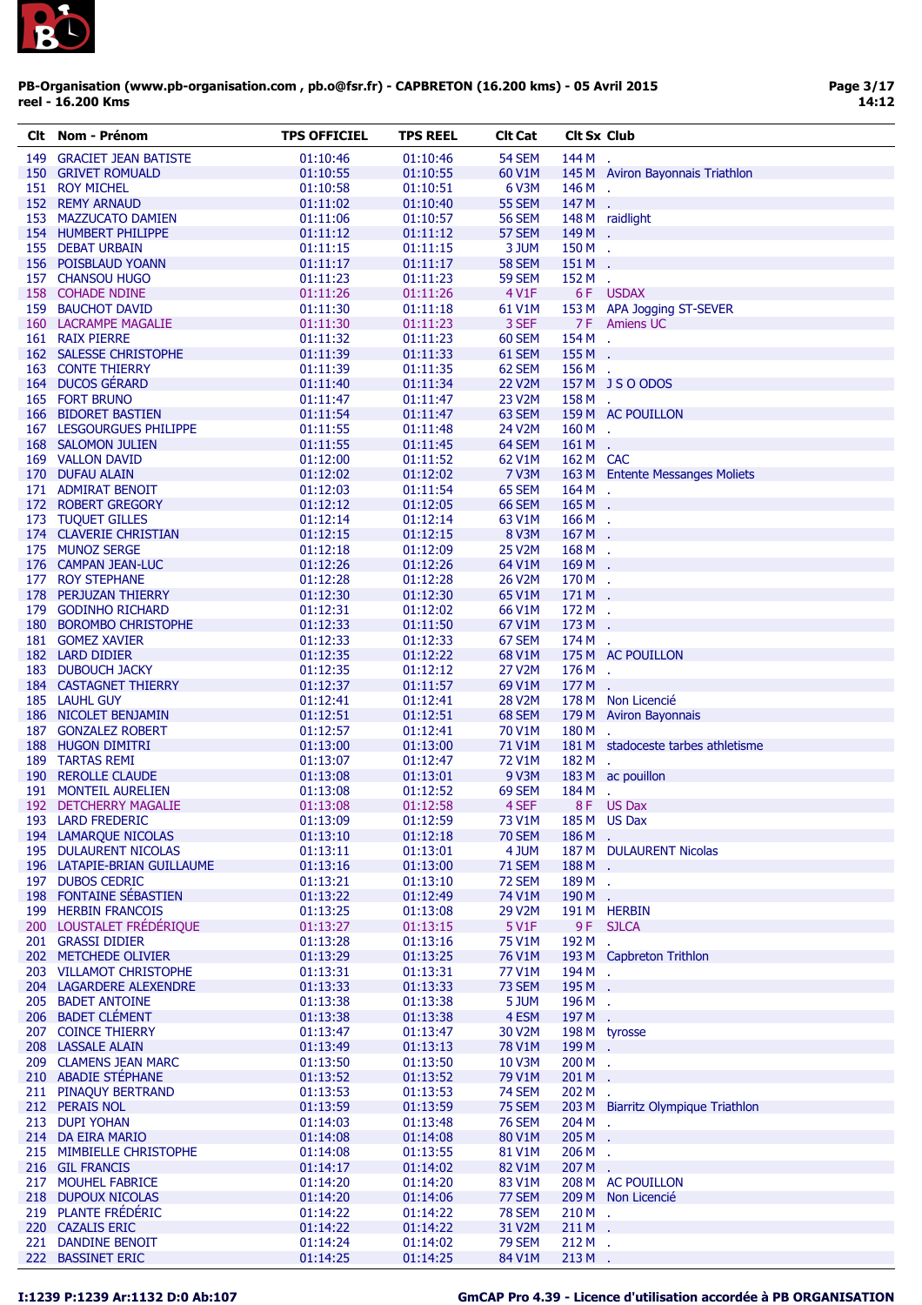

| CIt | Nom - Prénom                 | <b>TPS OFFICIEL</b> | <b>TPS REEL</b> | <b>Clt Cat</b> | <b>Cit Sx Club</b> |                                    |
|-----|------------------------------|---------------------|-----------------|----------------|--------------------|------------------------------------|
| 149 | <b>GRACIET JEAN BATISTE</b>  | 01:10:46            | 01:10:46        | <b>54 SEM</b>  | 144 M              |                                    |
|     | 150 GRIVET ROMUALD           | 01:10:55            | 01:10:55        | 60 V1M         |                    | 145 M Aviron Bayonnais Triathlon   |
|     | 151 ROY MICHEL               | 01:10:58            | 01:10:51        | 6 V3M          | 146 M .            |                                    |
|     | 152 REMY ARNAUD              | 01:11:02            | 01:10:40        | 55 SEM         | 147 M .            |                                    |
|     | 153 MAZZUCATO DAMIEN         | 01:11:06            | 01:10:57        | <b>56 SEM</b>  |                    | 148 M raidlight                    |
|     | 154 HUMBERT PHILIPPE         | 01:11:12            | 01:11:12        | 57 SEM         | 149 M .            |                                    |
|     | 155 DEBAT URBAIN             | 01:11:15            | 01:11:15        | 3 JUM          | 150 M .            |                                    |
|     | 156 POISBLAUD YOANN          | 01:11:17            | 01:11:17        | <b>58 SEM</b>  | 151 M              |                                    |
|     | 157 CHANSOU HUGO             | 01:11:23            | 01:11:23        | <b>59 SEM</b>  | 152 M              | $\mathcal{L}_{\mathbf{r}}$         |
|     | 158 COHADE NDINE             | 01:11:26            | 01:11:26        | 4 V1F          |                    | 6F USDAX                           |
|     | 159 BAUCHOT DAVID            | 01:11:30            | 01:11:18        | 61 V1M         |                    | 153 M APA Jogging ST-SEVER         |
|     | 160 LACRAMPE MAGALIE         | 01:11:30            | 01:11:23        | 3 SEF          |                    | <b>7F</b> Amiens UC                |
|     | 161 RAIX PIERRE              | 01:11:32            | 01:11:23        | 60 SEM         | 154 M .            |                                    |
|     | 162 SALESSE CHRISTOPHE       | 01:11:39            | 01:11:33        | 61 SEM         | 155 M .            |                                    |
|     | <b>163 CONTE THIERRY</b>     | 01:11:39            | 01:11:35        | 62 SEM         | 156M.              |                                    |
|     | 164 DUCOS GÉRARD             | 01:11:40            | 01:11:34        | 22 V2M         |                    | 157 M J S O ODOS                   |
|     | 165 FORT BRUNO               | 01:11:47            |                 |                | 158 M .            |                                    |
|     |                              |                     | 01:11:47        | 23 V2M         |                    |                                    |
|     | 166 BIDORET BASTIEN          | 01:11:54            | 01:11:47        | 63 SEM         |                    | 159 M AC POUILLON                  |
|     | 167 LESGOURGUES PHILIPPE     | 01:11:55            | 01:11:48        | 24 V2M         | 160 M              | χ.                                 |
|     | 168 SALOMON JULIEN           | 01:11:55            | 01:11:45        | 64 SEM         | $161M$ .           |                                    |
|     | 169 VALLON DAVID             | 01:12:00            | 01:11:52        | 62 V1M         | 162 M CAC          |                                    |
|     | 170 DUFAU ALAIN              | 01:12:02            | 01:12:02        | 7 V3M          |                    | 163 M Entente Messanges Moliets    |
|     | 171 ADMIRAT BENOIT           | 01:12:03            | 01:11:54        | 65 SEM         | $164M$ .           |                                    |
|     | 172 ROBERT GREGORY           | 01:12:12            | 01:12:05        | <b>66 SEM</b>  | 165 M              | $\mathcal{L}_{\mathbf{r}}$         |
|     | 173 TUQUET GILLES            | 01:12:14            | 01:12:14        | 63 V1M         | 166 M              | $\mathcal{L}$                      |
|     | 174 CLAVERIE CHRISTIAN       | 01:12:15            | 01:12:15        | 8 V3M          | 167 M              |                                    |
|     | 175 MUNOZ SERGE              | 01:12:18            | 01:12:09        | 25 V2M         | 168M.              |                                    |
|     | 176 CAMPAN JEAN-LUC          | 01:12:26            | 01:12:26        | 64 V1M         | 169M.              |                                    |
|     | 177 ROY STEPHANE             | 01:12:28            | 01:12:28        | 26 V2M         | 170 M.             |                                    |
|     | 178 PERJUZAN THIERRY         | 01:12:30            | 01:12:30        | 65 V1M         | 171 M              |                                    |
|     | 179 GODINHO RICHARD          | 01:12:31            | 01:12:02        | 66 V1M         | 172 M .            |                                    |
|     | 180 BOROMBO CHRISTOPHE       | 01:12:33            | 01:11:50        | 67 V1M         | 173 M              | $\sim$                             |
|     | 181 GOMEZ XAVIER             | 01:12:33            | 01:12:33        | 67 SEM         | 174 M              | ÷.                                 |
|     | 182 LARD DIDIER              | 01:12:35            | 01:12:22        | 68 V1M         |                    | 175 M AC POUILLON                  |
|     | 183 DUBOUCH JACKY            | 01:12:35            | 01:12:12        | 27 V2M         | 176 M              | $\mathbf{r}$                       |
|     | <b>184 CASTAGNET THIERRY</b> | 01:12:37            | 01:11:57        | 69 V1M         | 177 M              | $\mathbf{r}$                       |
|     | 185 LAUHL GUY                | 01:12:41            | 01:12:41        | 28 V2M         |                    | 178 M Non Licencié                 |
|     | 186 NICOLET BENJAMIN         | 01:12:51            | 01:12:51        | 68 SEM         |                    | 179 M Aviron Bayonnais             |
|     | 187 GONZALEZ ROBERT          | 01:12:57            | 01:12:41        | 70 V1M         | 180 M              |                                    |
|     | 188 HUGON DIMITRI            | 01:13:00            | 01:13:00        | 71 V1M         |                    | 181 M stadoceste tarbes athletisme |
|     | 189 TARTAS REMI              | 01:13:07            | 01:12:47        | 72 V1M         | 182 M              | ÷.                                 |
|     | 190 REROLLE CLAUDE           | 01:13:08            | 01:13:01        | 9 V3M          |                    | 183 M ac pouillon                  |
|     |                              |                     | 01:12:52        |                |                    |                                    |
|     | 191 MONTEIL AURELIEN         | 01:13:08            |                 | 69 SEM         | 184 M              |                                    |
|     | 192 DETCHERRY MAGALIE        | 01:13:08            | 01:12:58        | 4 SEF          |                    | 8F US Dax                          |
|     | 193 LARD FREDERIC            | 01:13:09            | 01:12:59        | 73 V1M         |                    | 185 M US Dax                       |
|     | 194 LAMARQUE NICOLAS         | 01:13:10            | 01:12:18        | <b>70 SEM</b>  | 186M.              |                                    |
|     | 195 DULAURENT NICOLAS        | 01:13:11            | 01:13:01        | 4 JUM          |                    | 187 M DULAURENT Nicolas            |
|     | 196 LATAPIE-BRIAN GUILLAUME  | 01:13:16            | 01:13:00        | <b>71 SEM</b>  | 188M.              |                                    |
|     | 197 DUBOS CEDRIC             | 01:13:21            | 01:13:10        | <b>72 SEM</b>  | 189 M .            |                                    |
|     | 198 FONTAINE SÉBASTIEN       | 01:13:22            | 01:12:49        | 74 V1M         | 190 M .            |                                    |
|     | 199 HERBIN FRANCOIS          | 01:13:25            | 01:13:08        | 29 V2M         |                    | 191 M HERBIN                       |
|     | 200 LOUSTALET FRÉDÉRIQUE     | 01:13:27            | 01:13:15        | 5 V1F          |                    | 9 F SJLCA                          |
|     | 201 GRASSI DIDIER            | 01:13:28            | 01:13:16        | 75 V1M         | 192 M .            |                                    |
|     | 202 METCHEDE OLIVIER         | 01:13:29            | 01:13:25        | 76 V1M         |                    | 193 M Capbreton Trithlon           |
|     | 203 VILLAMOT CHRISTOPHE      | 01:13:31            | 01:13:31        | 77 V1M         | 194 M .            |                                    |
|     | 204 LAGARDERE ALEXENDRE      | 01:13:33            | 01:13:33        | 73 SEM         | 195 M .            |                                    |
|     | 205 BADET ANTOINE            | 01:13:38            | 01:13:38        | 5 JUM          | 196M.              |                                    |
|     | 206 BADET CLÉMENT            | 01:13:38            | 01:13:38        | 4 ESM          | 197 M .            |                                    |
|     | 207 COINCE THIERRY           | 01:13:47            | 01:13:47        | 30 V2M         |                    | 198 M tyrosse                      |
|     | 208 LASSALE ALAIN            | 01:13:49            | 01:13:13        | 78 V1M         | 199 M .            |                                    |
|     | 209 CLAMENS JEAN MARC        | 01:13:50            | 01:13:50        | 10 V3M         | 200 M .            |                                    |
|     | 210 ABADIE STÉPHANE          | 01:13:52            | 01:13:52        | 79 V1M         | 201 M              | $\mathcal{L}_{\mathbf{r}}$         |
|     | 211 PINAQUY BERTRAND         | 01:13:53            | 01:13:53        | <b>74 SEM</b>  | 202 M .            |                                    |
|     | 212 PERAIS NOL               | 01:13:59            | 01:13:59        | 75 SEM         |                    | 203 M Biarritz Olympique Triathlon |
|     | 213 DUPI YOHAN               | 01:14:03            | 01:13:48        | <b>76 SEM</b>  | 204 M .            |                                    |
|     | 214 DA EIRA MARIO            | 01:14:08            | 01:14:08        | 80 V1M         | $205M$ .           |                                    |
|     | 215 MIMBIELLE CHRISTOPHE     | 01:14:08            | 01:13:55        | 81 V1M         | $206M$ .           |                                    |
|     | 216 GIL FRANCIS              | 01:14:17            | 01:14:02        | 82 V1M         | 207 M .            |                                    |
|     | 217 MOUHEL FABRICE           | 01:14:20            | 01:14:20        | 83 V1M         |                    | 208 M AC POUILLON                  |
|     | 218 DUPOUX NICOLAS           | 01:14:20            | 01:14:06        | 77 SEM         |                    | 209 M Non Licencié                 |
|     | 219 PLANTE FRÉDÉRIC          | 01:14:22            | 01:14:22        | <b>78 SEM</b>  | $210 M$ .          |                                    |
|     | 220 CAZALIS ERIC             | 01:14:22            | 01:14:22        | 31 V2M         | 211 M .            |                                    |
|     | 221 DANDINE BENOIT           | 01:14:24            | 01:14:02        | <b>79 SEM</b>  | $212M$ .           |                                    |
|     |                              |                     |                 |                |                    |                                    |
|     | 222 BASSINET ERIC            | 01:14:25            | 01:14:25        | 84 V1M         | $213M$ .           |                                    |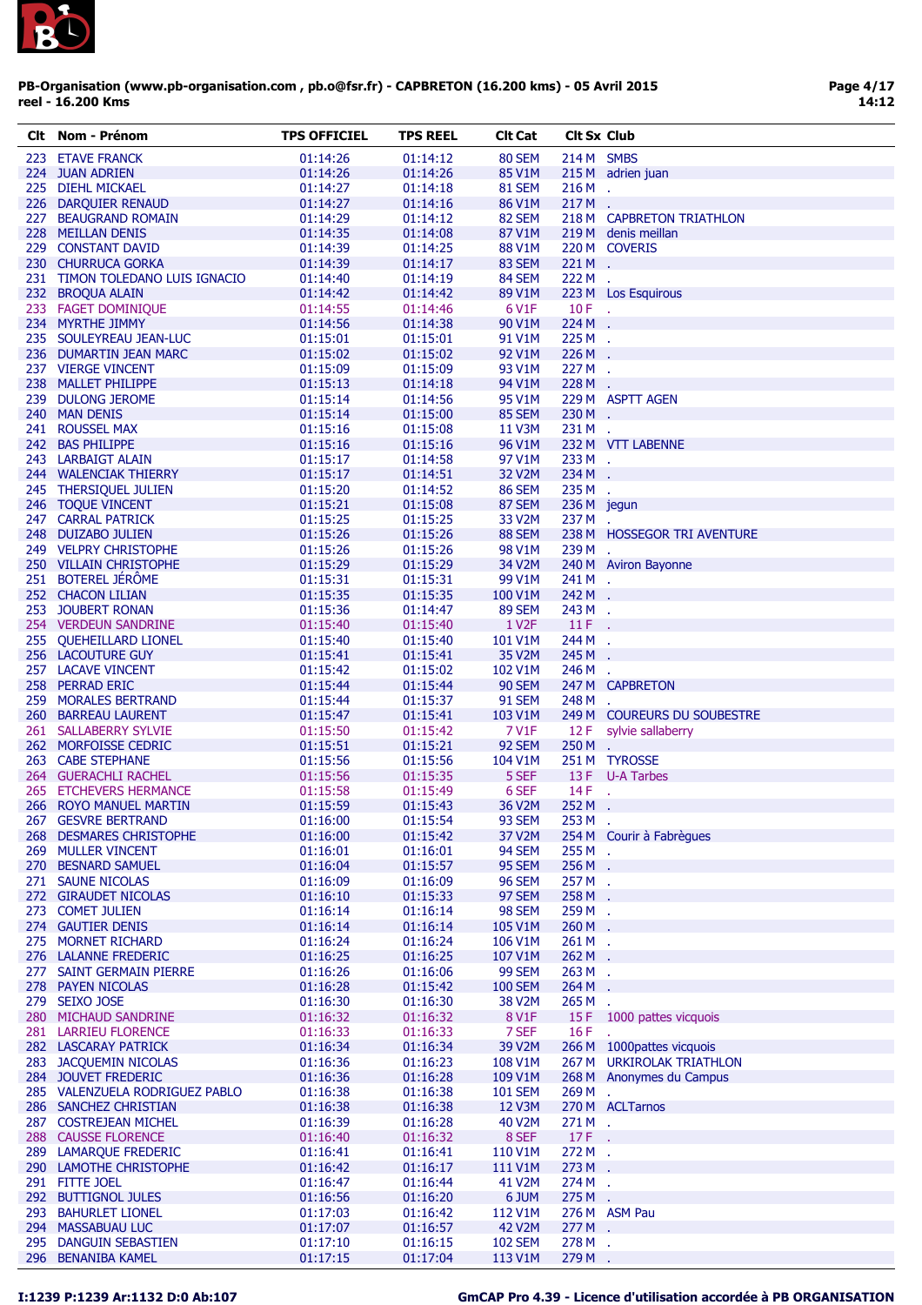

| CIt | Nom - Prénom                    | <b>TPS OFFICIEL</b>  | TPS REEL | Clt Cat            | <b>CIt Sx Club</b> |                             |
|-----|---------------------------------|----------------------|----------|--------------------|--------------------|-----------------------------|
|     | 223 ETAVE FRANCK                | 01:14:26             | 01:14:12 | 80 SEM             | 214 M SMBS         |                             |
|     | 224 JUAN ADRIEN                 | 01:14:26             | 01:14:26 | 85 V1M             |                    | 215 M adrien juan           |
|     | 225 DIEHL MICKAEL               | 01:14:27             | 01:14:18 | <b>81 SEM</b>      | $216M$ .           |                             |
|     | 226 DARQUIER RENAUD             | 01:14:27             | 01:14:16 | 86 V1M             | 217M.              |                             |
|     | 227 BEAUGRAND ROMAIN            | 01:14:29             | 01:14:12 | 82 SEM             |                    | 218 M CAPBRETON TRIATHLON   |
|     | 228 MEILLAN DENIS               | 01:14:35             | 01:14:08 | 87 V1M             |                    | 219 M denis meillan         |
|     |                                 |                      |          |                    |                    |                             |
|     | 229 CONSTANT DAVID              | 01:14:39             | 01:14:25 | 88 V1M             |                    | 220 M COVERIS               |
|     | 230 CHURRUCA GORKA              | 01:14:39             | 01:14:17 | 83 SEM             | $221M$ .           |                             |
|     | 231 TIMON TOLEDANO LUIS IGNACIO | 01:14:40             | 01:14:19 | 84 SEM             | 222 M              | $\mathcal{A}$               |
|     | 232 BROQUA ALAIN                | 01:14:42             | 01:14:42 | 89 V1M             |                    | 223 M Los Esquirous         |
|     | 233 FAGET DOMINIQUE             | 01:14:55             | 01:14:46 | 6 V1F              | $10F$ .            |                             |
|     | 234 MYRTHE JIMMY                | 01:14:56             | 01:14:38 | 90 V1M             | 224 M .            |                             |
|     | 235 SOULEYREAU JEAN-LUC         | 01:15:01             | 01:15:01 | 91 V1M             | 225 M .            |                             |
|     | 236 DUMARTIN JEAN MARC          | 01:15:02             | 01:15:02 | 92 V1M             | 226 M              |                             |
|     | 237 VIERGE VINCENT              | 01:15:09             | 01:15:09 | 93 V1M             | 227 M .            |                             |
|     | 238 MALLET PHILIPPE             | 01:15:13             | 01:14:18 | 94 V1M             | 228 M .            |                             |
|     | 239 DULONG JEROME               | 01:15:14             | 01:14:56 | 95 V1M             |                    | 229 M ASPTT AGEN            |
|     | 240 MAN DENIS                   | 01:15:14             | 01:15:00 | 85 SEM             | 230 M              |                             |
|     | 241 ROUSSEL MAX                 | 01:15:16             | 01:15:08 | 11 V3M             | 231 M .            |                             |
|     | 242 BAS PHILIPPE                | 01:15:16             | 01:15:16 | 96 V1M             |                    | 232 M VTT LABENNE           |
|     | 243 LARBAIGT ALAIN              | 01:15:17             | 01:14:58 | 97 V1M             | 233 M.             |                             |
|     | 244 WALENCIAK THIERRY           |                      |          | 32 V2M             | 234 M              |                             |
|     |                                 | 01:15:17<br>01:15:20 | 01:14:51 |                    |                    |                             |
|     | 245 THERSIQUEL JULIEN           |                      | 01:14:52 | <b>86 SEM</b>      | 235 M .            |                             |
|     | 246 TOQUE VINCENT               | 01:15:21             | 01:15:08 | 87 SEM             | 236 M jegun        |                             |
|     | 247 CARRAL PATRICK              | 01:15:25             | 01:15:25 | 33 V2M             | 237 M.             |                             |
|     | 248 DUIZABO JULIEN              | 01:15:26             | 01:15:26 | 88 SEM             |                    | 238 M HOSSEGOR TRI AVENTURE |
|     | 249 VELPRY CHRISTOPHE           | 01:15:26             | 01:15:26 | 98 V1M             | 239 M              |                             |
|     | 250 VILLAIN CHRISTOPHE          | 01:15:29             | 01:15:29 | 34 V2M             |                    | 240 M Aviron Bayonne        |
|     | 251 BOTEREL JÉRÖME              | 01:15:31             | 01:15:31 | 99 V1M             | 241 M .            |                             |
|     | 252 CHACON LILIAN               | 01:15:35             | 01:15:35 | 100 V1M            | 242 M              | Λú.                         |
|     | 253 JOUBERT RONAN               | 01:15:36             | 01:14:47 | <b>89 SEM</b>      | 243 M .            |                             |
|     | 254 VERDEUN SANDRINE            | 01:15:40             | 01:15:40 | 1 V <sub>2</sub> F | 11F                | n.                          |
|     | 255 QUEHEILLARD LIONEL          | 01:15:40             | 01:15:40 | 101 V1M            | 244 M .            |                             |
|     | 256 LACOUTURE GUY               | 01:15:41             | 01:15:41 | 35 V2M             | 245 M              |                             |
|     | 257 LACAVE VINCENT              | 01:15:42             | 01:15:02 | 102 V1M            | 246 M              |                             |
|     | 258 PERRAD ERIC                 | 01:15:44             | 01:15:44 | <b>90 SEM</b>      |                    | 247 M CAPBRETON             |
|     | 259 MORALES BERTRAND            | 01:15:44             | 01:15:37 | <b>91 SEM</b>      | 248 M .            |                             |
|     | 260 BARREAU LAURENT             | 01:15:47             | 01:15:41 | 103 V1M            |                    | 249 M COUREURS DU SOUBESTRE |
|     |                                 |                      |          | 7 V1F              |                    |                             |
|     | 261 SALLABERRY SYLVIE           | 01:15:50             | 01:15:42 |                    | 12 F               | sylvie sallaberry           |
|     | 262 MORFOISSE CEDRIC            | 01:15:51             | 01:15:21 | 92 SEM             | $250 M$ .          |                             |
|     | 263 CABE STEPHANE               | 01:15:56             | 01:15:56 | 104 V1M            |                    | 251 M TYROSSE               |
|     | 264 GUERACHLI RACHEL            | 01:15:56             | 01:15:35 | 5 SEF              |                    | 13 F U-A Tarbes             |
|     | 265 ETCHEVERS HERMANCE          | 01:15:58             | 01:15:49 | 6 SEF              | 14 F               | χ.                          |
|     | 266 ROYO MANUEL MARTIN          | 01:15:59             | 01:15:43 | 36 V2M             | 252 M              | ÷.                          |
|     | 267 GESVRE BERTRAND             | 01:16:00             | 01:15:54 | 93 SEM             | 253 M              |                             |
|     | 268 DESMARES CHRISTOPHE         | 01:16:00             | 01:15:42 | 37 V2M             |                    | 254 M Courir à Fabrègues    |
|     | 269 MULLER VINCENT              | 01:16:01             | 01:16:01 | 94 SEM             | 255 M .            |                             |
|     | 270 BESNARD SAMUEL              | 01:16:04             | 01:15:57 | 95 SEM             | 256 M .            |                             |
|     | 271 SAUNE NICOLAS               | 01:16:09             | 01:16:09 | <b>96 SEM</b>      | 257 M .            |                             |
|     | 272 GIRAUDET NICOLAS            | 01:16:10             | 01:15:33 | <b>97 SEM</b>      | 258 M .            |                             |
|     | 273 COMET JULIEN                | 01:16:14             | 01:16:14 | 98 SEM             | 259 M .            |                             |
|     | 274 GAUTIER DENIS               | 01:16:14             | 01:16:14 | 105 V1M            | 260 M .            |                             |
|     | 275 MORNET RICHARD              | 01:16:24             | 01:16:24 | 106 V1M            | 261 M .            |                             |
|     | 276 LALANNE FREDERIC            | 01:16:25             | 01:16:25 | 107 V1M            | 262 M .            |                             |
|     | 277 SAINT GERMAIN PIERRE        | 01:16:26             | 01:16:06 | <b>99 SEM</b>      | 263 M .            |                             |
|     |                                 |                      |          |                    | 264 M              |                             |
|     | 278 PAYEN NICOLAS               | 01:16:28             | 01:15:42 | <b>100 SEM</b>     |                    |                             |
|     | 279 SEIXO JOSE                  | 01:16:30             | 01:16:30 | 38 V2M             | 265 M              | $\mathcal{A}$               |
|     | 280 MICHAUD SANDRINE            | 01:16:32             | 01:16:32 | <b>8 V1F</b>       |                    | 15 F 1000 pattes vicquois   |
|     | 281 LARRIEU FLORENCE            | 01:16:33             | 01:16:33 | 7 SEF              | 16F                | ÷.                          |
|     | 282 LASCARAY PATRICK            | 01:16:34             | 01:16:34 | 39 V2M             |                    | 266 M 1000 pattes vicquois  |
|     | 283 JACQUEMIN NICOLAS           | 01:16:36             | 01:16:23 | 108 V1M            |                    | 267 M URKIROLAK TRIATHLON   |
|     | 284 JOUVET FREDERIC             | 01:16:36             | 01:16:28 | 109 V1M            |                    | 268 M Anonymes du Campus    |
|     | 285 VALENZUELA RODRIGUEZ PABLO  | 01:16:38             | 01:16:38 | <b>101 SEM</b>     | 269 M .            |                             |
|     | 286 SANCHEZ CHRISTIAN           | 01:16:38             | 01:16:38 | <b>12 V3M</b>      |                    | 270 M ACLTarnos             |
|     | 287 COSTREJEAN MICHEL           | 01:16:39             | 01:16:28 | 40 V2M             | 271 M.             |                             |
|     | 288 CAUSSE FLORENCE             | 01:16:40             | 01:16:32 | 8 SEF              | $17F$ .            |                             |
|     | 289 LAMARQUE FREDERIC           | 01:16:41             | 01:16:41 | 110 V1M            | 272 M .            |                             |
|     | 290 LAMOTHE CHRISTOPHE          | 01:16:42             | 01:16:17 | 111 V1M            | 273 M              | ÷.                          |
|     | 291 FITTE JOEL                  | 01:16:47             | 01:16:44 | 41 V2M             | 274 M .            |                             |
|     | 292 BUTTIGNOL JULES             | 01:16:56             | 01:16:20 | 6 JUM              | 275 M .            |                             |
|     | 293 BAHURLET LIONEL             | 01:17:03             | 01:16:42 | 112 V1M            |                    | 276 M ASM Pau               |
|     |                                 |                      |          |                    |                    |                             |
|     | 294 MASSABUAU LUC               | 01:17:07             | 01:16:57 | <b>42 V2M</b>      | 277 M              | $\sim$                      |
|     | 295 DANGUIN SEBASTIEN           | 01:17:10             | 01:16:15 | <b>102 SEM</b>     | 278 M .            |                             |
|     | 296 BENANIBA KAMEL              | 01:17:15             | 01:17:04 | 113 V1M            | 279 M .            |                             |

# I:1239 P:1239 Ar:1132 D:0 Ab:107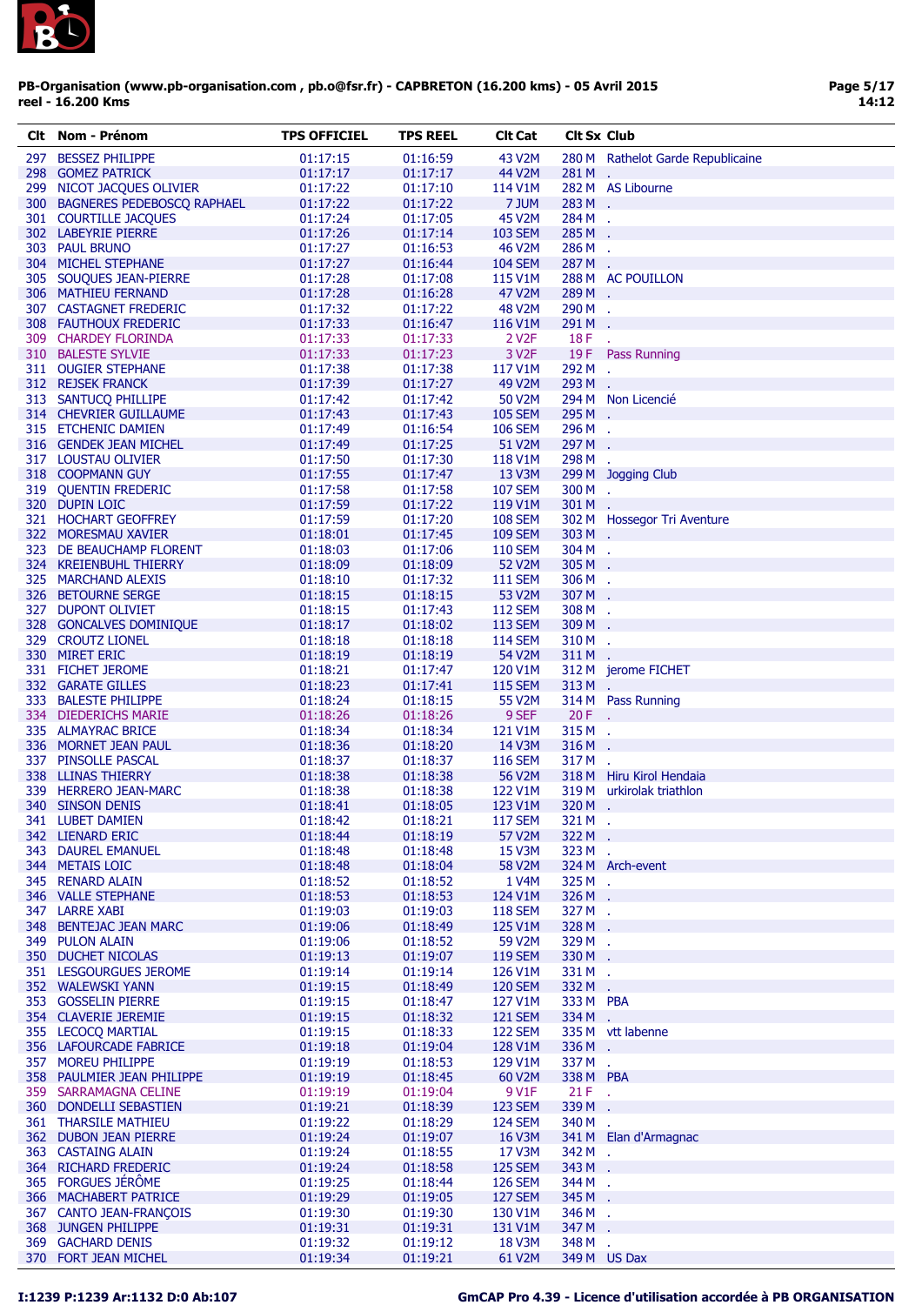

| Clt | Nom - Prénom                   | <b>TPS OFFICIEL</b> | <b>TPS REEL</b> | <b>Clt Cat</b>     | <b>Clt Sx Club</b> |                                   |
|-----|--------------------------------|---------------------|-----------------|--------------------|--------------------|-----------------------------------|
| 297 | <b>BESSEZ PHILIPPE</b>         | 01:17:15            | 01:16:59        | 43 V2M             |                    | 280 M Rathelot Garde Republicaine |
|     | 298 GOMEZ PATRICK              | 01:17:17            | 01:17:17        | 44 V2M             | 281 M.             |                                   |
|     | 299 NICOT JACQUES OLIVIER      | 01:17:22            | 01:17:10        | 114 V1M            |                    | 282 M AS Libourne                 |
|     | 300 BAGNERES PEDEBOSCO RAPHAEL | 01:17:22            | 01:17:22        | 7 JUM              | 283 M .            |                                   |
|     | 301 COURTILLE JACQUES          | 01:17:24            | 01:17:05        | 45 V2M             | 284 M .            |                                   |
|     | 302 LABEYRIE PIERRE            | 01:17:26            | 01:17:14        | <b>103 SEM</b>     | 285 M              | ÷.                                |
|     | 303 PAUL BRUNO                 | 01:17:27            | 01:16:53        | <b>46 V2M</b>      | 286 M              | ÷.                                |
|     | 304 MICHEL STEPHANE            | 01:17:27            | 01:16:44        | <b>104 SEM</b>     | 287M.              |                                   |
|     | 305 SOUQUES JEAN-PIERRE        | 01:17:28            | 01:17:08        | 115 V1M            |                    | 288 M AC POUILLON                 |
|     | 306 MATHIEU FERNAND            | 01:17:28            | 01:16:28        | 47 V2M             | 289 M.             |                                   |
|     | 307 CASTAGNET FREDERIC         | 01:17:32            | 01:17:22        | 48 V2M             | 290 M .            |                                   |
|     | 308 FAUTHOUX FREDERIC          | 01:17:33            | 01:16:47        | 116 V1M            | 291 M              | $\mathbf{r}$                      |
|     | 309 CHARDEY FLORINDA           | 01:17:33            | 01:17:33        | 2 V <sub>2</sub> F | 18 F               |                                   |
|     | 310 BALESTE SYLVIE             | 01:17:33            | 01:17:23        | 3 V <sub>2</sub> F |                    | ÷.<br>19 F Pass Running           |
|     |                                |                     |                 |                    |                    |                                   |
|     | 311 OUGIER STEPHANE            | 01:17:38            | 01:17:38        | 117 V1M            | 292 M<br>293 M     | $\mathbf{r}$                      |
|     | 312 REJSEK FRANCK              | 01:17:39            | 01:17:27        | 49 V2M             |                    |                                   |
|     | 313 SANTUCQ PHILLIPE           | 01:17:42            | 01:17:42        | 50 V2M             |                    | 294 M Non Licencié                |
|     | 314 CHEVRIER GUILLAUME         | 01:17:43            | 01:17:43        | <b>105 SEM</b>     | 295 M .            |                                   |
|     | 315 ETCHENIC DAMIEN            | 01:17:49            | 01:16:54        | <b>106 SEM</b>     | 296 M .            |                                   |
|     | 316 GENDEK JEAN MICHEL         | 01:17:49            | 01:17:25        | 51 V2M             | 297 M              | ÷.                                |
|     | 317 LOUSTAU OLIVIER            | 01:17:50            | 01:17:30        | 118 V1M            | 298 M .            |                                   |
|     | 318 COOPMANN GUY               | 01:17:55            | 01:17:47        | 13 V3M             |                    | 299 M Jogging Club                |
|     | 319 QUENTIN FREDERIC           | 01:17:58            | 01:17:58        | <b>107 SEM</b>     | 300 M .            |                                   |
|     | 320 DUPIN LOIC                 | 01:17:59            | 01:17:22        | 119 V1M            | 301 M .            |                                   |
|     | 321 HOCHART GEOFFREY           | 01:17:59            | 01:17:20        | <b>108 SEM</b>     |                    | 302 M Hossegor Tri Aventure       |
|     | 322 MORESMAU XAVIER            | 01:18:01            | 01:17:45        | <b>109 SEM</b>     | 303 M .            |                                   |
|     | 323 DE BEAUCHAMP FLORENT       | 01:18:03            | 01:17:06        | <b>110 SEM</b>     | 304 M .            |                                   |
|     | 324 KREIENBUHL THIERRY         | 01:18:09            | 01:18:09        | 52 V2M             | 305M.              |                                   |
|     | 325 MARCHAND ALEXIS            | 01:18:10            | 01:17:32        | <b>111 SEM</b>     | 306M.              |                                   |
|     | 326 BETOURNE SERGE             | 01:18:15            | 01:18:15        | 53 V2M             | 307 M .            |                                   |
|     | 327 DUPONT OLIVIET             | 01:18:15            | 01:17:43        | <b>112 SEM</b>     | 308 M .            |                                   |
|     | 328 GONCALVES DOMINIQUE        | 01:18:17            | 01:18:02        | <b>113 SEM</b>     | 309 M              |                                   |
|     | 329 CROUTZ LIONEL              | 01:18:18            | 01:18:18        | <b>114 SEM</b>     | 310 M              | ÷.                                |
|     | 330 MIRET ERIC                 | 01:18:19            | 01:18:19        | 54 V2M             | 311 M .            |                                   |
|     | 331 FICHET JEROME              | 01:18:21            | 01:17:47        | 120 V1M            |                    | 312 M jerome FICHET               |
|     | 332 GARATE GILLES              | 01:18:23            | 01:17:41        | <b>115 SEM</b>     | 313 M .            |                                   |
|     | 333 BALESTE PHILIPPE           | 01:18:24            | 01:18:15        | 55 V2M             |                    | 314 M Pass Running                |
|     | 334 DIEDERICHS MARIE           | 01:18:26            | 01:18:26        | 9 SEF              | 20 F               |                                   |
|     | 335 ALMAYRAC BRICE             | 01:18:34            | 01:18:34        | 121 V1M            | 315M.              |                                   |
|     | 336 MORNET JEAN PAUL           | 01:18:36            | 01:18:20        | 14 V3M             | 316 M              |                                   |
|     |                                |                     |                 |                    |                    | ÷.                                |
|     | 337 PINSOLLE PASCAL            | 01:18:37            | 01:18:37        | <b>116 SEM</b>     | 317 M              |                                   |
|     | 338 LLINAS THIERRY             | 01:18:38            | 01:18:38        | 56 V2M             |                    | 318 M Hiru Kirol Hendaia          |
|     | 339 HERRERO JEAN-MARC          | 01:18:38            | 01:18:38        | 122 V1M            |                    | 319 M urkirolak triathlon         |
|     | 340 SINSON DENIS               | 01:18:41            | 01:18:05        | 123 V1M            | 320 M              | $\sim$                            |
|     | 341 LUBET DAMIEN               | 01:18:42            | 01:18:21        | <b>117 SEM</b>     | 321 M              |                                   |
|     | 342 LIENARD ERIC               | 01:18:44            | 01:18:19        | 57 V2M             | 322 M .            |                                   |
|     | 343 DAUREL EMANUEL             | 01:18:48            | 01:18:48        | 15 V3M             | 323 M .            |                                   |
|     | 344 METAIS LOIC                | 01:18:48            | 01:18:04        | 58 V2M             |                    | 324 M Arch-event                  |
|     | 345 RENARD ALAIN               | 01:18:52            | 01:18:52        | 1 V4M              | 325 M .            |                                   |
|     | 346 VALLE STEPHANE             | 01:18:53            | 01:18:53        | 124 V1M            | 326 M .            |                                   |
|     | 347 LARRE XABI                 | 01:19:03            | 01:19:03        | <b>118 SEM</b>     | 327 M .            |                                   |
|     | 348 BENTEJAC JEAN MARC         | 01:19:06            | 01:18:49        | 125 V1M            | 328 M .            |                                   |
|     | 349 PULON ALAIN                | 01:19:06            | 01:18:52        | 59 V2M             | 329 M .            |                                   |
|     | 350 DUCHET NICOLAS             | 01:19:13            | 01:19:07        | <b>119 SEM</b>     | 330 M .            |                                   |
|     | 351 LESGOURGUES JEROME         | 01:19:14            | 01:19:14        | 126 V1M            | 331 M .            |                                   |
|     | 352 WALEWSKI YANN              | 01:19:15            | 01:18:49        | <b>120 SEM</b>     | 332 M .            |                                   |
|     | 353 GOSSELIN PIERRE            | 01:19:15            | 01:18:47        | 127 V1M            | 333 M PBA          |                                   |
|     | 354 CLAVERIE JEREMIE           | 01:19:15            | 01:18:32        | <b>121 SEM</b>     | 334 M .            |                                   |
|     | 355 LECOCQ MARTIAL             | 01:19:15            | 01:18:33        | <b>122 SEM</b>     |                    | 335 M vtt labenne                 |
|     | 356 LAFOURCADE FABRICE         | 01:19:18            | 01:19:04        | 128 V1M            | 336 M .            |                                   |
|     | 357 MOREU PHILIPPE             | 01:19:19            | 01:18:53        | 129 V1M            | 337 M .            |                                   |
|     | 358 PAULMIER JEAN PHILIPPE     | 01:19:19            | 01:18:45        | 60 V2M             | 338 M PBA          |                                   |
|     | 359 SARRAMAGNA CELINE          | 01:19:19            | 01:19:04        | 9 V1F              | $21 F$ .           |                                   |
|     | 360 DONDELLI SEBASTIEN         | 01:19:21            | 01:18:39        | <b>123 SEM</b>     | 339 M .            |                                   |
|     | <b>361 THARSILE MATHIEU</b>    | 01:19:22            | 01:18:29        | <b>124 SEM</b>     | 340 M              | J.                                |
|     | 362 DUBON JEAN PIERRE          | 01:19:24            | 01:19:07        | 16 V3M             |                    | 341 M Elan d'Armagnac             |
|     | 363 CASTAING ALAIN             | 01:19:24            | 01:18:55        | 17 V3M             | 342 M .            |                                   |
|     |                                |                     |                 |                    |                    |                                   |
|     | 364 RICHARD FREDERIC           | 01:19:24            | 01:18:58        | <b>125 SEM</b>     | 343 M .            |                                   |
|     | 365 FORGUES JÉRÔME             | 01:19:25            | 01:18:44        | <b>126 SEM</b>     | 344 M .            |                                   |
|     | 366 MACHABERT PATRICE          | 01:19:29            | 01:19:05        | <b>127 SEM</b>     | 345 M .            |                                   |
|     | 367 CANTO JEAN-FRANÇOIS        | 01:19:30            | 01:19:30        | 130 V1M            | 346 M .            |                                   |
|     | 368 JUNGEN PHILIPPE            | 01:19:31            | 01:19:31        | 131 V1M            | 347 M .            |                                   |
|     | 369 GACHARD DENIS              | 01:19:32            | 01:19:12        | 18 V3M             | 348 M .            |                                   |
|     | 370 FORT JEAN MICHEL           | 01:19:34            | 01:19:21        | 61 V2M             |                    | 349 M US Dax                      |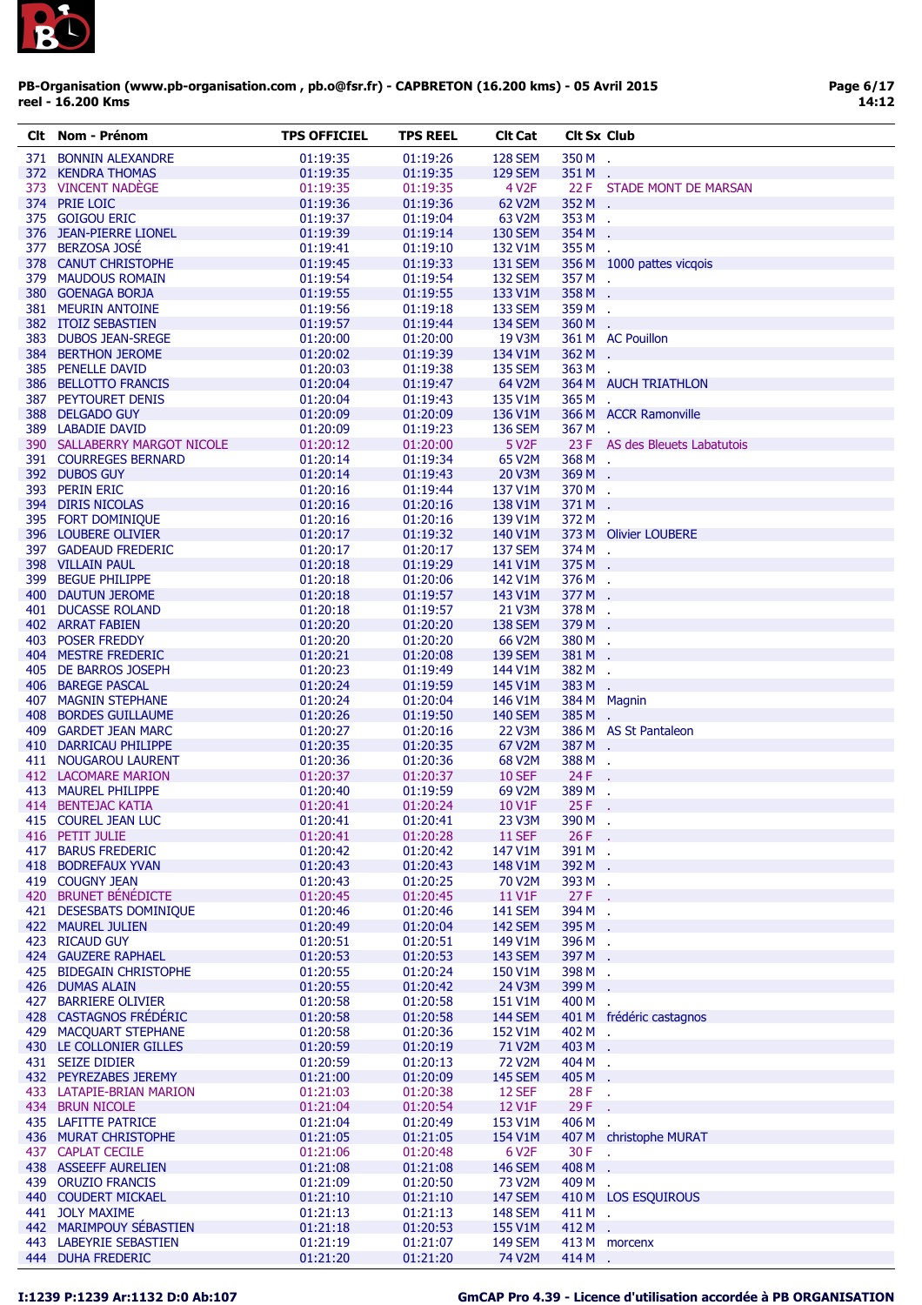

| CIt | Nom - Prénom                 | <b>TPS OFFICIEL</b> | <b>TPS REEL</b> | <b>Clt Cat</b>            | <b>Cit Sx Club</b> |                                |
|-----|------------------------------|---------------------|-----------------|---------------------------|--------------------|--------------------------------|
|     | 371 BONNIN ALEXANDRE         | 01:19:35            | 01:19:26        | <b>128 SEM</b>            | 350 M              | ÷.                             |
|     | 372 KENDRA THOMAS            | 01:19:35            | 01:19:35        | <b>129 SEM</b>            | 351 M              | $\sim$                         |
|     | 373 VINCENT NADEGE           | 01:19:35            | 01:19:35        | 4 V <sub>2</sub> F        |                    | 22 F STADE MONT DE MARSAN      |
|     | 374 PRIE LOIC                | 01:19:36            | 01:19:36        | 62 V2M                    | 352 M .            |                                |
|     | 375 GOIGOU ERIC              | 01:19:37            | 01:19:04        | 63 V2M                    | 353 M .            |                                |
|     | 376 JEAN-PIERRE LIONEL       | 01:19:39            | 01:19:14        | <b>130 SEM</b>            | 354 M              | ÷.                             |
|     | 377 BERZOSA JOSÉ             | 01:19:41            | 01:19:10        | 132 V1M                   | 355 M .            |                                |
|     | 378 CANUT CHRISTOPHE         | 01:19:45            |                 |                           |                    |                                |
|     |                              |                     | 01:19:33        | <b>131 SEM</b>            |                    | 356 M 1000 pattes vicqois      |
| 379 | <b>MAUDOUS ROMAIN</b>        | 01:19:54            | 01:19:54        | <b>132 SEM</b><br>133 V1M | 357M.              |                                |
|     | 380 GOENAGA BORJA            | 01:19:55            | 01:19:55        |                           | 358 M              |                                |
|     | 381 MEURIN ANTOINE           | 01:19:56            | 01:19:18        | <b>133 SEM</b>            | 359 M .            |                                |
|     | 382 ITOIZ SEBASTIEN          | 01:19:57            | 01:19:44        | <b>134 SEM</b>            | 360M.              |                                |
|     | 383 DUBOS JEAN-SREGE         | 01:20:00            | 01:20:00        | 19 V3M                    |                    | 361 M AC Pouillon              |
|     | 384 BERTHON JEROME           | 01:20:02            | 01:19:39        | 134 V1M                   | 362 M              |                                |
|     | 385 PENELLE DAVID            | 01:20:03            | 01:19:38        | <b>135 SEM</b>            | 363 M              | $\mathcal{L}_{\mathbf{r}}$     |
|     | 386 BELLOTTO FRANCIS         | 01:20:04            | 01:19:47        | 64 V2M                    |                    | 364 M AUCH TRIATHLON           |
|     | 387 PEYTOURET DENIS          | 01:20:04            | 01:19:43        | 135 V1M                   | 365 M              |                                |
|     | 388 DELGADO GUY              | 01:20:09            | 01:20:09        | 136 V1M                   |                    | 366 M ACCR Ramonville          |
|     | 389 LABADIE DAVID            | 01:20:09            | 01:19:23        | <b>136 SEM</b>            | 367 M .            |                                |
|     | 390 SALLABERRY MARGOT NICOLE | 01:20:12            | 01:20:00        | 5 V <sub>2</sub> F        |                    | 23 F AS des Bleuets Labatutois |
|     | 391 COURREGES BERNARD        | 01:20:14            | 01:19:34        | 65 V2M                    | 368 M .            |                                |
|     | 392 DUBOS GUY                | 01:20:14            | 01:19:43        | <b>20 V3M</b>             | 369 M              |                                |
|     | 393 PERIN ERIC               | 01:20:16            | 01:19:44        | 137 V1M                   | 370 M .            |                                |
|     | 394 DIRIS NICOLAS            | 01:20:16            | 01:20:16        | 138 V1M                   | 371 M              | ÷.                             |
|     | 395 FORT DOMINIQUE           | 01:20:16            | 01:20:16        | 139 V1M                   | 372 M              |                                |
|     | 396 LOUBERE OLIVIER          |                     |                 | 140 V1M                   |                    | 373 M Olivier LOUBERE          |
|     |                              | 01:20:17            | 01:19:32        |                           |                    |                                |
|     | 397 GADEAUD FREDERIC         | 01:20:17            | 01:20:17        | <b>137 SEM</b>            | 374 M .            |                                |
|     | 398 VILLAIN PAUL             | 01:20:18            | 01:19:29        | 141 V1M                   | 375 M              | $\sim$                         |
|     | 399 BEGUE PHILIPPE           | 01:20:18            | 01:20:06        | 142 V1M                   | 376 M .            |                                |
|     | 400 DAUTUN JEROME            | 01:20:18            | 01:19:57        | 143 V1M                   | 377 M              |                                |
|     | 401 DUCASSE ROLAND           | 01:20:18            | 01:19:57        | 21 V3M                    | 378 M .            |                                |
|     | 402 ARRAT FABIEN             | 01:20:20            | 01:20:20        | <b>138 SEM</b>            | 379 M              | ÷.                             |
|     | 403 POSER FREDDY             | 01:20:20            | 01:20:20        | 66 V2M                    | 380 M              | $\mathbf{r}$                   |
|     | 404 MESTRE FREDERIC          | 01:20:21            | 01:20:08        | <b>139 SEM</b>            | 381 M              |                                |
|     | 405 DE BARROS JOSEPH         | 01:20:23            | 01:19:49        | 144 V1M                   | 382 M              | $\mathcal{L}_{\mathbf{r}}$     |
|     | 406 BAREGE PASCAL            | 01:20:24            | 01:19:59        | 145 V1M                   | 383 M              | $\mathbf{r}$                   |
|     | 407 MAGNIN STEPHANE          | 01:20:24            | 01:20:04        | 146 V1M                   |                    | 384 M Magnin                   |
|     | 408 BORDES GUILLAUME         | 01:20:26            | 01:19:50        | <b>140 SEM</b>            | 385 M              |                                |
|     |                              | 01:20:27            |                 | 22 V3M                    |                    | 386 M AS St Pantaleon          |
|     | 409 GARDET JEAN MARC         |                     | 01:20:16        |                           |                    |                                |
|     | 410 DARRICAU PHILIPPE        | 01:20:35            | 01:20:35        | 67 V2M                    | 387 M .            |                                |
|     | 411 NOUGAROU LAURENT         | 01:20:36            | 01:20:36        | 68 V2M                    | 388M.              |                                |
|     | 412 LACOMARE MARION          | 01:20:37            | 01:20:37        | <b>10 SEF</b>             | 24 F               |                                |
|     | 413 MAUREL PHILIPPE          | 01:20:40            | 01:19:59        | 69 V2M                    | 389 M              | $\mathcal{A}$                  |
|     | 414 BENTEJAC KATIA           | 01:20:41            | 01:20:24        | 10 V1F                    | 25F                | $\sim$                         |
|     | 415 COUREL JEAN LUC          | 01:20:41            | 01:20:41        | 23 V3M                    | 390 M              |                                |
|     | 416 PETIT JULIE              | 01:20:41            | 01:20:28        | <b>11 SEF</b>             | $26 F$ .           |                                |
|     | 417 BARUS FREDERIC           | 01:20:42            | 01:20:42        | 147 V1M                   | 391 M .            |                                |
|     | 418 BODREFAUX YVAN           | 01:20:43            | 01:20:43        | 148 V1M                   | 392 M .            |                                |
|     | 419 COUGNY JEAN              | 01:20:43            | 01:20:25        | 70 V2M                    | 393 M .            |                                |
|     | 420 BRUNET BÉNÉDICTE         | 01:20:45            | 01:20:45        | 11 V1F                    | 27F                | $\sim$                         |
|     | 421 DESESBATS DOMINIQUE      | 01:20:46            | 01:20:46        | <b>141 SEM</b>            | 394 M              | $\sim$                         |
|     | 422 MAUREL JULIEN            | 01:20:49            | 01:20:04        | <b>142 SEM</b>            | 395 M .            |                                |
|     | 423 RICAUD GUY               | 01:20:51            | 01:20:51        | 149 V1M                   | 396 M .            |                                |
|     | 424 GAUZERE RAPHAEL          | 01:20:53            | 01:20:53        | <b>143 SEM</b>            | 397 M .            |                                |
|     | 425 BIDEGAIN CHRISTOPHE      | 01:20:55            | 01:20:24        | 150 V1M                   | 398 M .            |                                |
|     |                              |                     |                 |                           |                    |                                |
|     | 426 DUMAS ALAIN              | 01:20:55            | 01:20:42        | 24 V3M                    | 399 M              |                                |
|     | 427 BARRIERE OLIVIER         | 01:20:58            | 01:20:58        | 151 V1M                   | 400 M              | $\mathcal{L}_{\mathbf{r}}$     |
|     | 428 CASTAGNOS FRÉDÉRIC       | 01:20:58            | 01:20:58        | <b>144 SEM</b>            |                    | 401 M frédéric castagnos       |
|     | 429 MACQUART STEPHANE        | 01:20:58            | 01:20:36        | 152 V1M                   | 402 M .            |                                |
|     | 430 LE COLLONIER GILLES      | 01:20:59            | 01:20:19        | 71 V2M                    | 403 M .            |                                |
|     | 431 SEIZE DIDIER             | 01:20:59            | 01:20:13        | <b>72 V2M</b>             | 404 M .            |                                |
|     | 432 PEYREZABES JEREMY        | 01:21:00            | 01:20:09        | <b>145 SEM</b>            | 405 M              | ÷.                             |
|     | 433 LATAPIE-BRIAN MARION     | 01:21:03            | 01:20:38        | <b>12 SEF</b>             | $28F$ .            |                                |
|     | 434 BRUN NICOLE              | 01:21:04            | 01:20:54        | 12 V1F                    | 29 F               |                                |
|     | 435 LAFITTE PATRICE          | 01:21:04            | 01:20:49        | 153 V1M                   | 406 M .            |                                |
|     | 436 MURAT CHRISTOPHE         | 01:21:05            | 01:21:05        | 154 V1M                   |                    | 407 M christophe MURAT         |
|     | 437 CAPLAT CECILE            | 01:21:06            | 01:20:48        | 6 V <sub>2</sub> F        | 30 F               | У.                             |
|     | 438 ASSEEFF AURELIEN         |                     |                 |                           | 408 M              |                                |
|     |                              | 01:21:08            | 01:21:08        | <b>146 SEM</b>            |                    | ÷.                             |
|     | 439 ORUZIO FRANCIS           | 01:21:09            | 01:20:50        | 73 V2M                    | 409 M .            |                                |
|     | 440 COUDERT MICKAEL          | 01:21:10            | 01:21:10        | <b>147 SEM</b>            |                    | 410 M LOS ESQUIROUS            |
|     | 441 JOLY MAXIME              | 01:21:13            | 01:21:13        | <b>148 SEM</b>            | 411 M.             |                                |
|     | 442 MARIMPOUY SÉBASTIEN      | 01:21:18            | 01:20:53        | 155 V1M                   | 412 M .            |                                |
|     | 443 LABEYRIE SEBASTIEN       | 01:21:19            | 01:21:07        | <b>149 SEM</b>            |                    | 413 M morcenx                  |
|     | 444 DUHA FREDERIC            | 01:21:20            | 01:21:20        | 74 V2M                    | 414M.              |                                |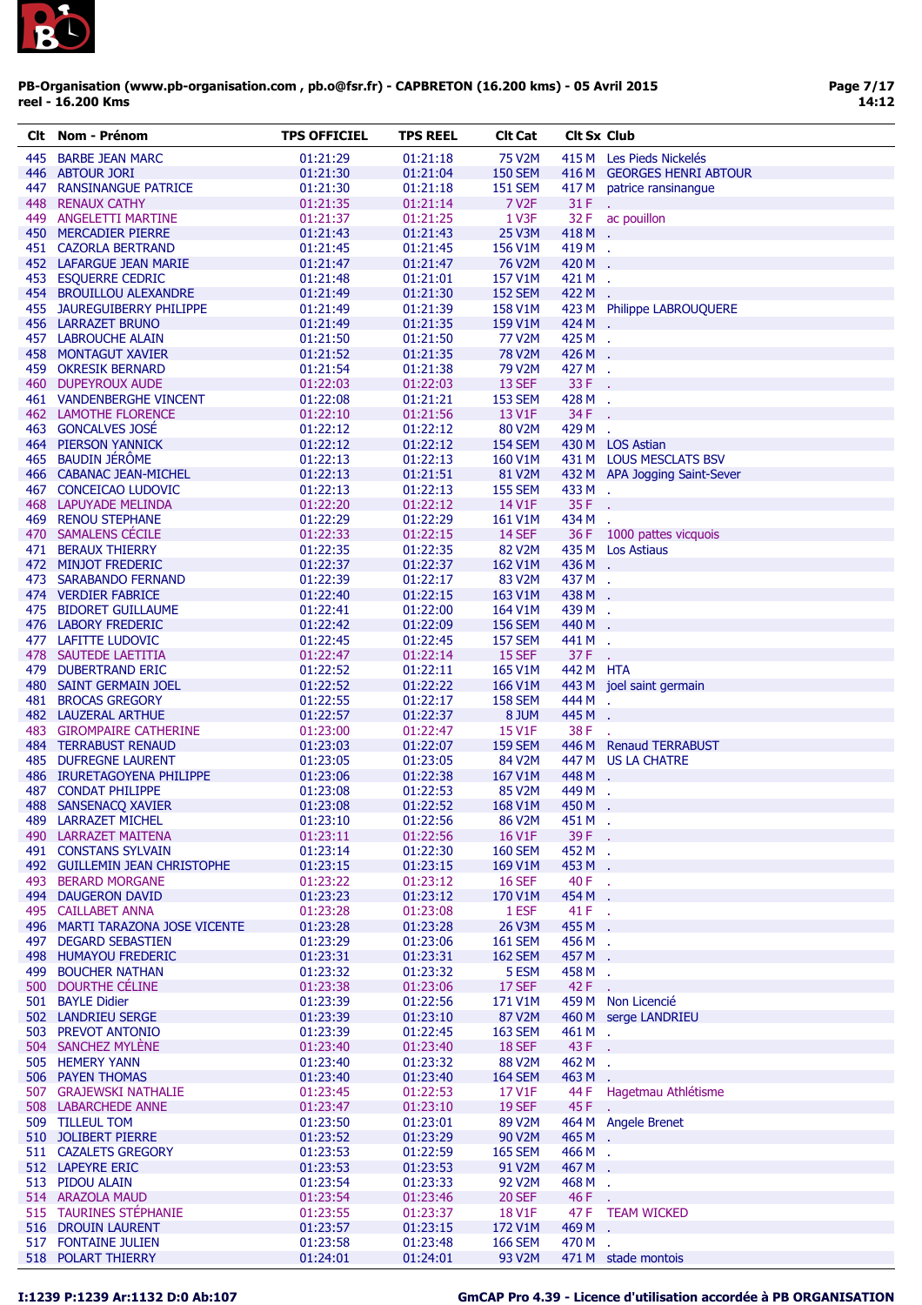

| CIt | Nom - Prenom                                   | TPS OFFICIEL         | TPS REEL | Cit Cat             | <b>CIT SX CIUD</b> |                               |
|-----|------------------------------------------------|----------------------|----------|---------------------|--------------------|-------------------------------|
| 445 | <b>BARBE JEAN MARC</b>                         | 01:21:29             | 01:21:18 | 75 V2M              |                    | 415 M Les Pieds Nickelés      |
|     | 446 ABTOUR JORI                                | 01:21:30             | 01:21:04 | <b>150 SEM</b>      |                    | 416 M GEORGES HENRI ABTOUR    |
| 447 | <b>RANSINANGUE PATRICE</b>                     | 01:21:30             | 01:21:18 | <b>151 SEM</b>      | 417 M              | patrice ransinangue           |
| 448 | <b>RENAUX CATHY</b>                            | 01:21:35             | 01:21:14 | 7 V <sub>2</sub> F  | 31 F               |                               |
|     | 449 ANGELETTI MARTINE                          | 01:21:37             | 01:21:25 | 1 V3F               | 32 F               | ac pouillon                   |
|     | 450 MERCADIER PIERRE                           | 01:21:43             | 01:21:43 | 25 V3M              | 418 M              |                               |
|     | 451 CAZORLA BERTRAND                           | 01:21:45             | 01:21:45 | 156 V1M             | 419M.              |                               |
|     |                                                |                      |          | 76 V2M              | 420 M              |                               |
|     | 452 LAFARGUE JEAN MARIE                        | 01:21:47<br>01:21:48 | 01:21:47 | 157 V1M             | 421 M .            |                               |
|     | 453 ESQUERRE CEDRIC<br>454 BROUILLOU ALEXANDRE |                      | 01:21:01 |                     |                    |                               |
|     |                                                | 01:21:49             | 01:21:30 | <b>152 SEM</b>      | 422 M              |                               |
|     | 455 JAUREGUIBERRY PHILIPPE                     | 01:21:49             | 01:21:39 | 158 V1M             |                    | 423 M Philippe LABROUQUERE    |
|     | 456 LARRAZET BRUNO                             | 01:21:49             | 01:21:35 | 159 V1M             | 424 M .            |                               |
|     | 457 LABROUCHE ALAIN                            | 01:21:50             | 01:21:50 | <b>77 V2M</b>       | 425 M .            |                               |
|     | 458 MONTAGUT XAVIER                            | 01:21:52             | 01:21:35 | <b>78 V2M</b>       | 426 M .            |                               |
|     | 459 OKRESIK BERNARD                            | 01:21:54             | 01:21:38 | 79 V2M              | 427 M .            |                               |
|     | 460 DUPEYROUX AUDE                             | 01:22:03             | 01:22:03 | 13 SEF              | 33 F               |                               |
|     | 461 VANDENBERGHE VINCENT                       | 01:22:08             | 01:21:21 | <b>153 SEM</b>      | 428 M              | $\mathbf{r}_\mathrm{c}$       |
|     | 462 LAMOTHE FLORENCE                           | 01:22:10             | 01:21:56 | 13 V1F              | 34 F               |                               |
|     | 463 GONCALVES JOSÉ                             | 01:22:12             | 01:22:12 | 80 V2M              | 429 M              | ÷.                            |
|     | <b>464 PIERSON YANNICK</b>                     | 01:22:12             | 01:22:12 | <b>154 SEM</b>      |                    | 430 M LOS Astian              |
|     | 465 BAUDIN JÉRÔME                              | 01:22:13             | 01:22:13 | 160 V1M             |                    | 431 M LOUS MESCLATS BSV       |
|     | 466 CABANAC JEAN-MICHEL                        | 01:22:13             | 01:21:51 | 81 V2M              |                    | 432 M APA Jogging Saint-Sever |
|     | 467 CONCEICAO LUDOVIC                          | 01:22:13             | 01:22:13 | <b>155 SEM</b>      | 433 M .            |                               |
|     | 468 LAPUYADE MELINDA                           | 01:22:20             | 01:22:12 | 14 V1F              | 35 F               |                               |
|     | 469 RENOU STEPHANE                             | 01:22:29             | 01:22:29 | 161 V1M             | 434 M              | $\mathbf{r}$                  |
|     | 470 SAMALENS CÉCILE                            | 01:22:33             | 01:22:15 | <b>14 SEF</b>       |                    | 36 F 1000 pattes vicquois     |
|     | <b>471 BERAUX THIERRY</b>                      | 01:22:35             | 01:22:35 | 82 V2M              |                    | 435 M Los Astiaus             |
|     | 472 MINJOT FREDERIC                            | 01:22:37             | 01:22:37 | 162 V1M             | 436 M .            |                               |
|     | 473 SARABANDO FERNAND                          | 01:22:39             | 01:22:17 | 83 V2M              | 437 M .            |                               |
|     | 474 VERDIER FABRICE                            | 01:22:40             | 01:22:15 | 163 V1M             | 438 M .            |                               |
|     | 475 BIDORET GUILLAUME                          | 01:22:41             | 01:22:00 | 164 V1M             | 439 M .            |                               |
|     | 476 LABORY FREDERIC                            |                      |          |                     | 440 M              |                               |
|     |                                                | 01:22:42             | 01:22:09 | <b>156 SEM</b>      |                    |                               |
|     | 477 LAFITTE LUDOVIC                            | 01:22:45             | 01:22:45 | <b>157 SEM</b>      | 441 M .            |                               |
|     | 478 SAUTEDE LAETITIA                           | 01:22:47             | 01:22:14 | 15 SEF              | 37 F               |                               |
|     | 479 DUBERTRAND ERIC                            | 01:22:52             | 01:22:11 | 165 V1M             | 442 M HTA          |                               |
|     | 480 SAINT GERMAIN JOEL                         | 01:22:52             | 01:22:22 | 166 V1M             |                    | 443 M joel saint germain      |
|     | 481 BROCAS GREGORY                             | 01:22:55             | 01:22:17 | <b>158 SEM</b>      | 444 M              |                               |
|     | 482 LAUZERAL ARTHUE                            | 01:22:57             | 01:22:37 | 8 JUM               | 445 M              | ÷.                            |
|     | 483 GIROMPAIRE CATHERINE                       | 01:23:00             | 01:22:47 | 15 V1F              | 38 F               |                               |
|     | <b>484 TERRABUST RENAUD</b>                    | 01:23:03             | 01:22:07 | <b>159 SEM</b>      |                    | 446 M Renaud TERRABUST        |
|     | <b>485 DUFREGNE LAURENT</b>                    | 01:23:05             | 01:23:05 | 84 V <sub>2</sub> M |                    | 447 M US LA CHATRE            |
|     | 486 IRURETAGOYENA PHILIPPE                     | 01:23:06             | 01:22:38 | 167 V1M             | 448 M .            |                               |
|     | 487 CONDAT PHILIPPE                            | 01:23:08             | 01:22:53 | 85 V2M              | 449 M              | ÷.                            |
|     | 488 SANSENACQ XAVIER                           | 01:23:08             | 01:22:52 | 168 V1M             | 450 M              |                               |
|     | <b>489 LARRAZET MICHEL</b>                     | 01:23:10             | 01:22:56 | 86 V <sub>2</sub> M | 451 M              |                               |
|     | 490 LARRAZET MAITENA                           | 01:23:11             | 01:22:56 | 16 V1F              | 39 F .             |                               |
|     | 491 CONSTANS SYLVAIN                           | 01:23:14             | 01:22:30 | <b>160 SEM</b>      | 452 M .            |                               |
|     | 492 GUILLEMIN JEAN CHRISTOPHE                  | 01:23:15             | 01:23:15 | 169 V1M             | 453 M .            |                               |
|     | 493 BERARD MORGANE                             | 01:23:22             | 01:23:12 | <b>16 SEF</b>       | 40 F.              |                               |
|     | 494 DAUGERON DAVID                             | 01:23:23             | 01:23:12 | 170 V1M             | 454 M .            |                               |
|     | 495 CAILLABET ANNA                             | 01:23:28             | 01:23:08 | 1 ESF               | 41 F.              |                               |
|     | 496 MARTI TARAZONA JOSE VICENTE                | 01:23:28             | 01:23:28 | 26 V3M              | 455 M .            |                               |
|     | 497 DEGARD SEBASTIEN                           | 01:23:29             | 01:23:06 | <b>161 SEM</b>      | 456 M .            |                               |
|     | 498 HUMAYOU FREDERIC                           | 01:23:31             | 01:23:31 | <b>162 SEM</b>      | 457 M .            |                               |
|     | 499 BOUCHER NATHAN                             | 01:23:32             | 01:23:32 | 5 ESM               | 458 M .            |                               |
|     | 500 DOURTHE CÉLINE                             | 01:23:38             |          | 17 SEF              | 42 F               |                               |
|     |                                                |                      | 01:23:06 |                     |                    |                               |
|     | 501 BAYLE Didier                               | 01:23:39             | 01:22:56 | 171 V1M             |                    | 459 M Non Licencié            |
|     | 502 LANDRIEU SERGE                             | 01:23:39             | 01:23:10 | 87 V2M              |                    | 460 M serge LANDRIEU          |
|     | 503 PREVOT ANTONIO                             | 01:23:39             | 01:22:45 | <b>163 SEM</b>      | 461 M .            |                               |
|     | 504 SANCHEZ MYLENE                             | 01:23:40             | 01:23:40 | <b>18 SEF</b>       | 43 F               |                               |
|     | 505 HEMERY YANN                                | 01:23:40             | 01:23:32 | 88 V2M              | 462 M .            |                               |
|     | 506 PAYEN THOMAS                               | 01:23:40             | 01:23:40 | <b>164 SEM</b>      | 463 M              |                               |
|     | 507 GRAJEWSKI NATHALIE                         | 01:23:45             | 01:22:53 | 17 V1F              | 44 F               | Hagetmau Athlétisme           |
|     | 508 LABARCHEDE ANNE                            | 01:23:47             | 01:23:10 | <b>19 SEF</b>       | 45 F.              |                               |
|     | 509 TILLEUL TOM                                | 01:23:50             | 01:23:01 | 89 V2M              |                    | 464 M Angele Brenet           |
|     | 510 JOLIBERT PIERRE                            | 01:23:52             | 01:23:29 | 90 V2M              | 465 M .            |                               |
|     | 511 CAZALETS GREGORY                           | 01:23:53             | 01:22:59 | <b>165 SEM</b>      | 466 M.             |                               |
|     | 512 LAPEYRE ERIC                               | 01:23:53             | 01:23:53 | 91 V2M              | 467 M              | ÷.                            |
|     | 513 PIDOU ALAIN                                | 01:23:54             | 01:23:33 | 92 V2M              | 468 M .            |                               |
|     | 514 ARAZOLA MAUD                               | 01:23:54             | 01:23:46 | <b>20 SEF</b>       | 46 F.              |                               |
|     | 515 TAURINES STÉPHANIE                         | 01:23:55             | 01:23:37 | <b>18 V1F</b>       |                    | 47 F TEAM WICKED              |
|     | 516 DROUIN LAURENT                             | 01:23:57             | 01:23:15 | 172 V1M             | 469 M.             |                               |
|     | 517 FONTAINE JULIEN                            | 01:23:58             | 01:23:48 | <b>166 SEM</b>      | 470 M .            |                               |
|     | 518 POLART THIERRY                             | 01:24:01             | 01:24:01 | 93 V2M              |                    | 471 M stade montois           |
|     |                                                |                      |          |                     |                    |                               |

# I:1239 P:1239 Ar:1132 D:0 Ab:107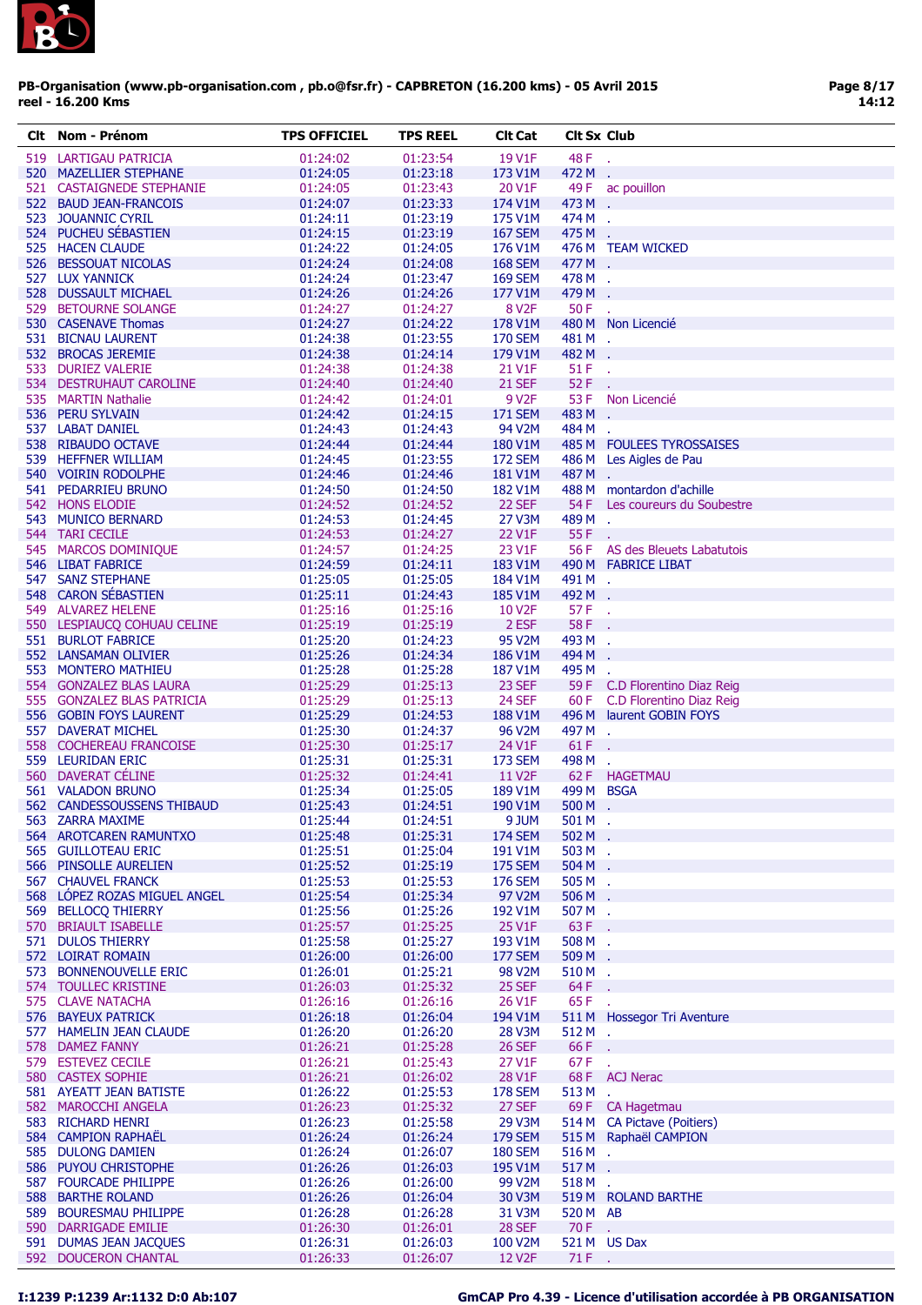

| CIt | Nom - Prénom                 | <b>TPS OFFICIEL</b> | TPS REEL | <b>CIt Cat</b>      | <b>Cit Sx Club</b> |                                |
|-----|------------------------------|---------------------|----------|---------------------|--------------------|--------------------------------|
|     | 519 LARTIGAU PATRICIA        | 01:24:02            | 01:23:54 | 19 V1F              | 48 F               | à.                             |
|     | 520 MAZELLIER STEPHANE       | 01:24:05            | 01:23:18 | 173 V1M             | 472 M              |                                |
|     | 521 CASTAIGNEDE STEPHANIE    | 01:24:05            | 01:23:43 | 20 V1F              | 49 F               | ac pouillon                    |
|     | 522 BAUD JEAN-FRANCOIS       |                     |          |                     | 473 M .            |                                |
|     |                              | 01:24:07            | 01:23:33 | 174 V1M             |                    |                                |
|     | 523 JOUANNIC CYRIL           | 01:24:11            | 01:23:19 | 175 V1M             | 474 M .            |                                |
|     | 524 PUCHEU SÉBASTIEN         | 01:24:15            | 01:23:19 | <b>167 SEM</b>      | 475 M .            |                                |
|     | 525 HACEN CLAUDE             | 01:24:22            | 01:24:05 | 176 V1M             |                    | 476 M TEAM WICKED              |
|     | 526 BESSOUAT NICOLAS         | 01:24:24            | 01:24:08 | <b>168 SEM</b>      | 477 M .            |                                |
|     | 527 LUX YANNICK              | 01:24:24            | 01:23:47 | <b>169 SEM</b>      | 478 M .            |                                |
|     | 528 DUSSAULT MICHAEL         | 01:24:26            | 01:24:26 | 177 V1M             | 479 M .            |                                |
|     | 529 BETOURNE SOLANGE         | 01:24:27            | 01:24:27 | 8 V <sub>2</sub> F  | 50 F               |                                |
|     | 530 CASENAVE Thomas          | 01:24:27            | 01:24:22 | 178 V1M             |                    | 480 M Non Licencié             |
|     | 531 BICNAU LAURENT           | 01:24:38            | 01:23:55 | <b>170 SEM</b>      | 481 M .            |                                |
|     | 532 BROCAS JEREMIE           | 01:24:38            | 01:24:14 | 179 V1M             | 482 M .            |                                |
|     | 533 DURIEZ VALERIE           | 01:24:38            | 01:24:38 | 21 V1F              | $51F$ .            |                                |
|     | 534 DESTRUHAUT CAROLINE      | 01:24:40            | 01:24:40 | <b>21 SEF</b>       | $52F$ .            |                                |
|     | 535 MARTIN Nathalie          | 01:24:42            | 01:24:01 | 9 V <sub>2</sub> F  | 53 F               | Non Licencié                   |
|     |                              |                     |          |                     | 483 M              |                                |
|     | 536 PERU SYLVAIN             | 01:24:42            | 01:24:15 | <b>171 SEM</b>      |                    |                                |
|     | 537 LABAT DANIEL             | 01:24:43            | 01:24:43 | 94 V2M              | 484 M .            |                                |
|     | 538 RIBAUDO OCTAVE           | 01:24:44            | 01:24:44 | 180 V1M             |                    | 485 M FOULEES TYROSSAISES      |
|     | 539 HEFFNER WILLIAM          | 01:24:45            | 01:23:55 | <b>172 SEM</b>      |                    | 486 M Les Aigles de Pau        |
|     | 540 VOIRIN RODOLPHE          | 01:24:46            | 01:24:46 | 181 V1M             | 487M.              |                                |
|     | 541 PEDARRIEU BRUNO          | 01:24:50            | 01:24:50 | 182 V1M             |                    | 488 M montardon d'achille      |
|     | 542 HONS ELODIE              | 01:24:52            | 01:24:52 | 22 SEF              |                    | 54 F Les coureurs du Soubestre |
|     | 543 MUNICO BERNARD           | 01:24:53            | 01:24:45 | 27 V3M              | 489 M .            |                                |
|     | 544 TARI CECILE              | 01:24:53            | 01:24:27 | 22 V1F              | 55 F               |                                |
|     | 545 MARCOS DOMINIQUE         | 01:24:57            | 01:24:25 | 23 V1F              |                    | 56 F AS des Bleuets Labatutois |
|     | 546 LIBAT FABRICE            | 01:24:59            | 01:24:11 | 183 V1M             |                    | 490 M FABRICE LIBAT            |
|     | 547 SANZ STEPHANE            | 01:25:05            | 01:25:05 | 184 V1M             | 491 M .            |                                |
|     |                              |                     |          |                     |                    |                                |
|     | 548 CARON SÉBASTIEN          | 01:25:11            | 01:24:43 | 185 V1M             | 492 M .            |                                |
|     | 549 ALVAREZ HELENE           | 01:25:16            | 01:25:16 | <b>10 V2F</b>       | 57 F.              |                                |
|     | 550 LESPIAUCQ COHUAU CELINE  | 01:25:19            | 01:25:19 | 2 ESF               | 58 F               |                                |
|     | 551 BURLOT FABRICE           | 01:25:20            | 01:24:23 | <b>95 V2M</b>       | 493 M .            |                                |
|     | 552 LANSAMAN OLIVIER         | 01:25:26            | 01:24:34 | 186 V1M             | 494 M              |                                |
|     | 553 MONTERO MATHIEU          | 01:25:28            | 01:25:28 | 187 V1M             | 495 M .            |                                |
|     | 554 GONZALEZ BLAS LAURA      | 01:25:29            | 01:25:13 | 23 SEF              |                    | 59 F C.D Florentino Diaz Reig  |
|     | 555 GONZALEZ BLAS PATRICIA   | 01:25:29            | 01:25:13 | 24 SEF              |                    | 60 F C.D Florentino Diaz Reig  |
|     | 556 GOBIN FOYS LAURENT       | 01:25:29            | 01:24:53 | 188 V1M             |                    | 496 M laurent GOBIN FOYS       |
|     | 557 DAVERAT MICHEL           | 01:25:30            | 01:24:37 | 96 V2M              | 497 M .            |                                |
|     | 558 COCHEREAU FRANCOISE      | 01:25:30            | 01:25:17 | 24 V1F              | 61 F               |                                |
|     | 559 LEURIDAN ERIC            | 01:25:31            | 01:25:31 | <b>173 SEM</b>      | 498 M .            |                                |
|     |                              |                     |          |                     |                    |                                |
|     | 560 DAVERAT CÉLINE           | 01:25:32            | 01:24:41 | 11 V <sub>2</sub> F |                    | 62 F HAGETMAU                  |
|     | 561 VALADON BRUNO            | 01:25:34            | 01:25:05 | 189 V1M             | 499 M BSGA         |                                |
|     | 562 CANDESSOUSSENS THIBAUD   | 01:25:43            | 01:24:51 | 190 V1M             | $500 M$ .          |                                |
|     | 563 ZARRA MAXIME             | 01:25:44            | 01:24:51 | 9 JUM               | 501 M              |                                |
|     | 564 AROTCAREN RAMUNTXO       | 01:25:48            | 01:25:31 | <b>174 SEM</b>      | $502 M$ .          |                                |
|     | 565 GUILLOTEAU ERIC          | 01:25:51            | 01:25:04 | 191 V1M             | 503 M .            |                                |
|     | 566 PINSOLLE AURELIEN        | 01:25:52            | 01:25:19 | <b>175 SEM</b>      | 504 M .            |                                |
|     | <b>567 CHAUVEL FRANCK</b>    | 01:25:53            | 01:25:53 | <b>176 SEM</b>      | $505M$ .           |                                |
|     | 568 LÓPEZ ROZAS MIGUEL ANGEL | 01:25:54            | 01:25:34 | 97 V2M              | 506 M .            |                                |
|     | 569 BELLOCO THIERRY          | 01:25:56            | 01:25:26 | 192 V1M             | 507 M .            |                                |
|     | 570 BRIAULT ISABELLE         | 01:25:57            | 01:25:25 | 25 V1F              | 63 F .             |                                |
|     | 571 DULOS THIERRY            | 01:25:58            | 01:25:27 | 193 V1M             | 508 M .            |                                |
|     | 572 LOIRAT ROMAIN            | 01:26:00            | 01:26:00 | <b>177 SEM</b>      | 509 M .            |                                |
|     |                              |                     |          |                     |                    |                                |
|     | 573 BONNENOUVELLE ERIC       | 01:26:01            | 01:25:21 | 98 V2M              | 510M.              |                                |
|     | 574 TOULLEC KRISTINE         | 01:26:03            | 01:25:32 | 25 SEF              | 64 F               | ÷.                             |
|     | 575 CLAVE NATACHA            | 01:26:16            | 01:26:16 | 26 V1F              | 65F                |                                |
|     | 576 BAYEUX PATRICK           | 01:26:18            | 01:26:04 | 194 V1M             |                    | 511 M Hossegor Tri Aventure    |
|     | 577 HAMELIN JEAN CLAUDE      | 01:26:20            | 01:26:20 | 28 V3M              | 512 M .            |                                |
|     | 578 DAMEZ FANNY              | 01:26:21            | 01:25:28 | <b>26 SEF</b>       | 66 F               |                                |
|     | 579 ESTEVEZ CECILE           | 01:26:21            | 01:25:43 | 27 V1F              | 67F                |                                |
|     | 580 CASTEX SOPHIE            | 01:26:21            | 01:26:02 | 28 V1F              | 68 F               | <b>ACJ Nerac</b>               |
|     | 581 AYEATT JEAN BATISTE      | 01:26:22            | 01:25:53 | <b>178 SEM</b>      | 513M.              |                                |
|     | 582 MAROCCHI ANGELA          | 01:26:23            | 01:25:32 | 27 SEF              |                    | 69 F CA Hagetmau               |
|     | 583 RICHARD HENRI            | 01:26:23            | 01:25:58 | 29 V3M              |                    | 514 M CA Pictave (Poitiers)    |
|     | 584 CAMPION RAPHAËL          | 01:26:24            | 01:26:24 | <b>179 SEM</b>      |                    | 515 M Raphaël CAMPION          |
|     | 585 DULONG DAMIEN            | 01:26:24            | 01:26:07 | <b>180 SEM</b>      | 516M.              |                                |
|     |                              |                     |          |                     |                    |                                |
|     | 586 PUYOU CHRISTOPHE         | 01:26:26            | 01:26:03 | 195 V1M             | 517M.              |                                |
|     | 587 FOURCADE PHILIPPE        | 01:26:26            | 01:26:00 | 99 V2M              | 518M.              |                                |
|     | 588 BARTHE ROLAND            | 01:26:26            | 01:26:04 | 30 V3M              |                    | 519 M ROLAND BARTHE            |
| 589 | <b>BOURESMAU PHILIPPE</b>    | 01:26:28            | 01:26:28 | 31 V3M              | 520 M AB           |                                |
|     | 590 DARRIGADE EMILIE         | 01:26:30            | 01:26:01 | <b>28 SEF</b>       | $70 F$ .           |                                |
|     | 591 DUMAS JEAN JACQUES       | 01:26:31            | 01:26:03 | 100 V2M             |                    | 521 M US Dax                   |
|     | 592 DOUCERON CHANTAL         | 01:26:33            | 01:26:07 | <b>12 V2F</b>       | $71 F$ .           |                                |

# I:1239 P:1239 Ar:1132 D:0 Ab:107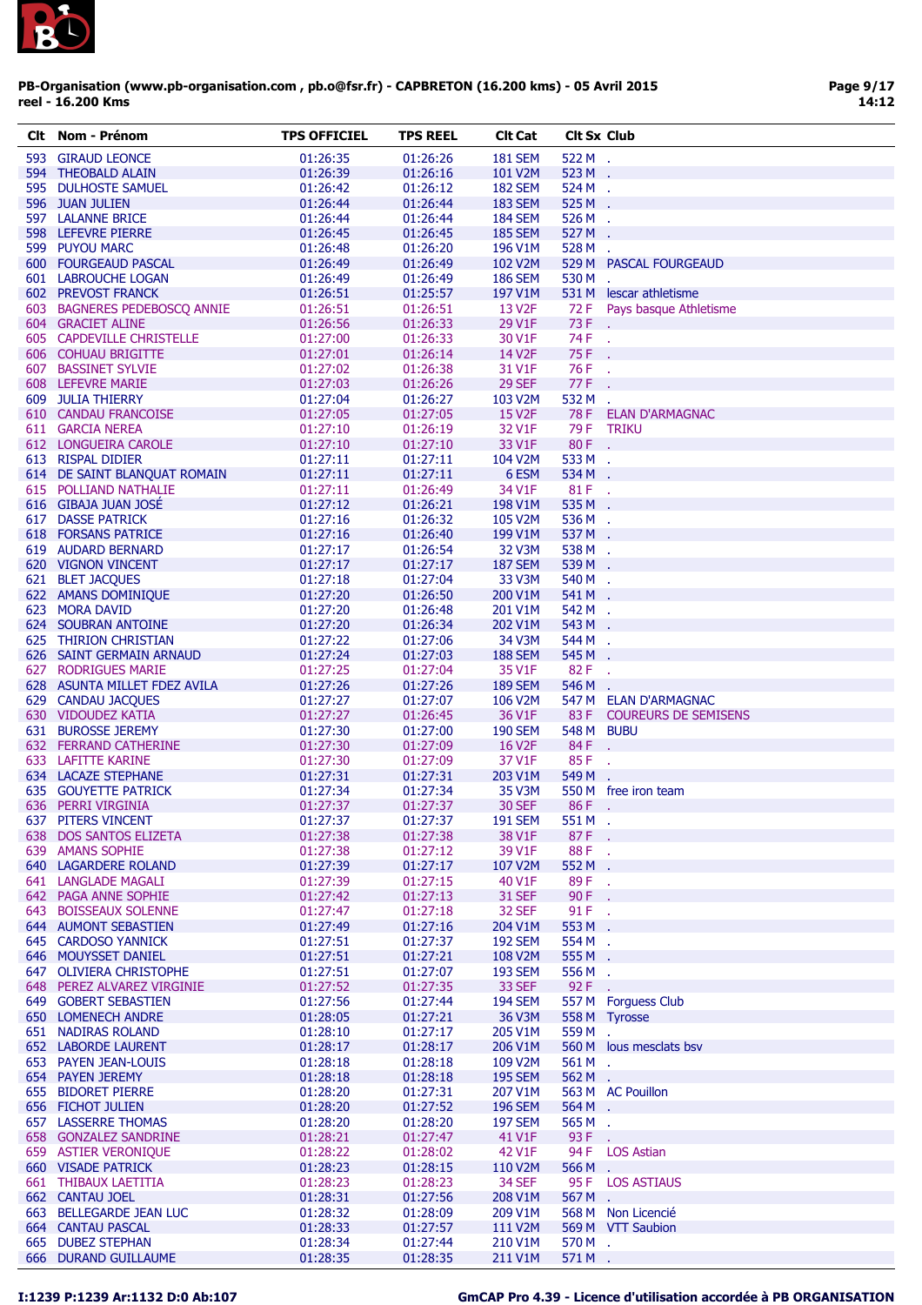

| CIt | Nom - Prénom                 | <b>TPS OFFICIEL</b> | <b>TPS REEL</b> | <b>Clt Cat</b>       | <b>Cit Sx Club</b> |                             |
|-----|------------------------------|---------------------|-----------------|----------------------|--------------------|-----------------------------|
|     | 593 GIRAUD LEONCE            | 01:26:35            | 01:26:26        | <b>181 SEM</b>       | 522 M .            |                             |
|     | 594 THEOBALD ALAIN           | 01:26:39            | 01:26:16        | 101 V <sub>2</sub> M | 523 M .            |                             |
|     | 595 DULHOSTE SAMUEL          | 01:26:42            | 01:26:12        | <b>182 SEM</b>       | 524 M .            |                             |
|     | 596 JUAN JULIEN              | 01:26:44            | 01:26:44        | <b>183 SEM</b>       | 525 M .            |                             |
|     | 597 LALANNE BRICE            | 01:26:44            | 01:26:44        | <b>184 SEM</b>       | 526 M .            |                             |
|     | 598 LEFEVRE PIERRE           | 01:26:45            | 01:26:45        | <b>185 SEM</b>       | 527 M              |                             |
|     | 599 PUYOU MARC               | 01:26:48            | 01:26:20        | 196 V1M              | 528 M              | χ.                          |
|     | 600 FOURGEAUD PASCAL         | 01:26:49            | 01:26:49        | 102 V2M              |                    | 529 M PASCAL FOURGEAUD      |
|     | 601 LABROUCHE LOGAN          | 01:26:49            | 01:26:49        | <b>186 SEM</b>       | 530 M              |                             |
|     | 602 PREVOST FRANCK           | 01:26:51            | 01:25:57        | 197 V1M              |                    | 531 M lescar athletisme     |
|     | 603 BAGNERES PEDEBOSCO ANNIE | 01:26:51            | 01:26:51        | 13 V <sub>2</sub> F  | 72 F               | Pays basque Athletisme      |
|     | 604 GRACIET ALINE            | 01:26:56            | 01:26:33        | 29 V1F               | 73 F               |                             |
|     | 605 CAPDEVILLE CHRISTELLE    | 01:27:00            | 01:26:33        | 30 V1F               | 74 F               | $\sim$                      |
|     | 606 COHUAU BRIGITTE          | 01:27:01            | 01:26:14        | 14 V2F               | 75 F               |                             |
|     | 607 BASSINET SYLVIE          | 01:27:02            | 01:26:38        | 31 V1F               | 76 F               | ÷.                          |
|     | 608 LEFEVRE MARIE            | 01:27:03            | 01:26:26        | <b>29 SEF</b>        | 77 F               |                             |
|     | 609 JULIA THIERRY            | 01:27:04            | 01:26:27        | 103 V2M              | 532 M              |                             |
|     | 610 CANDAU FRANCOISE         | 01:27:05            | 01:27:05        | <b>15 V2F</b>        |                    | 78 F ELAN D'ARMAGNAC        |
|     | 611 GARCIA NEREA             | 01:27:10            | 01:26:19        | 32 V1F               |                    | 79 F TRIKU                  |
|     | 612 LONGUEIRA CAROLE         | 01:27:10            | 01:27:10        | 33 V1F               | 80 F.              |                             |
|     | 613 RISPAL DIDIER            | 01:27:11            | 01:27:11        | 104 V2M              | 533 M .            |                             |
|     | 614 DE SAINT BLANQUAT ROMAIN | 01:27:11            | 01:27:11        | 6 ESM                | 534 M .            |                             |
|     | 615 POLLIAND NATHALIE        | 01:27:11            | 01:26:49        | 34 V1F               | 81 F.              |                             |
|     | 616 GIBAJA JUAN JOSÉ         | 01:27:12            | 01:26:21        | 198 V1M              | 535 M .            |                             |
|     | <b>617 DASSE PATRICK</b>     | 01:27:16            | 01:26:32        | 105 V <sub>2</sub> M | 536 M              | $\mathcal{L}_{\mathbf{r}}$  |
|     | <b>618 FORSANS PATRICE</b>   | 01:27:16            | 01:26:40        | 199 V1M              | 537 M              |                             |
|     | 619 AUDARD BERNARD           | 01:27:17            | 01:26:54        | 32 V3M               | 538 M              |                             |
|     | 620 VIGNON VINCENT           | 01:27:17            | 01:27:17        | <b>187 SEM</b>       | 539 M              | $\mathcal{L}_{\mathbf{r}}$  |
|     | 621 BLET JACQUES             | 01:27:18            | 01:27:04        | 33 V3M               | 540 M .            |                             |
|     | 622 AMANS DOMINIQUE          | 01:27:20            | 01:26:50        | 200 V1M              | 541 M              |                             |
|     | 623 MORA DAVID               | 01:27:20            | 01:26:48        | 201 V1M              | 542 M .            |                             |
|     | 624 SOUBRAN ANTOINE          | 01:27:20            | 01:26:34        | 202 V1M              | 543 M              |                             |
|     | 625 THIRION CHRISTIAN        | 01:27:22            | 01:27:06        | 34 V3M               | 544 M              | $\mathcal{L}_{\mathbf{r}}$  |
|     | 626 SAINT GERMAIN ARNAUD     | 01:27:24            | 01:27:03        | <b>188 SEM</b>       | 545 M              |                             |
|     | 627 RODRIGUES MARIE          | 01:27:25            | 01:27:04        | 35 V1F               | 82F                |                             |
|     | 628 ASUNTA MILLET FDEZ AVILA | 01:27:26            | 01:27:26        | <b>189 SEM</b>       | 546 M              | $\mathcal{L}$               |
|     | 629 CANDAU JACQUES           | 01:27:27            | 01:27:07        | 106 V2M              |                    | 547 M ELAN D'ARMAGNAC       |
|     | 630 VIDOUDEZ KATIA           | 01:27:27            | 01:26:45        | 36 V1F               |                    | 83 F COUREURS DE SEMISENS   |
|     | 631 BUROSSE JEREMY           | 01:27:30            | 01:27:00        | <b>190 SEM</b>       | 548 M BUBU         |                             |
|     | 632 FERRAND CATHERINE        | 01:27:30            | 01:27:09        | 16 V <sub>2</sub> F  | 84F.               |                             |
|     | 633 LAFITTE KARINE           | 01:27:30            | 01:27:09        | 37 V1F               | 85F                | $\mathcal{L}_{\mathcal{A}}$ |
|     | 634 LACAZE STEPHANE          | 01:27:31            | 01:27:31        | 203 V1M              | 549 M              |                             |
|     | <b>635 GOUYETTE PATRICK</b>  | 01:27:34            | 01:27:34        | 35 V3M               |                    | 550 M free iron team        |
|     | 636 PERRI VIRGINIA           | 01:27:37            | 01:27:37        | <b>30 SEF</b>        | $86F$ .            |                             |
|     | 637 PITERS VINCENT           | 01:27:37            | 01:27:37        | <b>191 SEM</b>       | 551 M              |                             |
|     | 638 DOS SANTOS ELIZETA       | 01:27:38            | 01:27:38        | 38 V1F               | 87F.               |                             |
|     | 639 AMANS SOPHIE             | 01:27:38            | 01:27:12        | 39 V1F               | 88F.               |                             |
|     | <b>640 LAGARDERE ROLAND</b>  | 01:27:39            | 01:27:17        | 107 V2M              | 552 M .            |                             |
|     | 641 LANGLADE MAGALI          | 01:27:39            | 01:27:15        | 40 V1F               | 89 F               | У.                          |
|     | 642 PAGA ANNE SOPHIE         | 01:27:42            | 01:27:13        | <b>31 SEF</b>        | 90 F               | ÷.                          |
|     | 643 BOISSEAUX SOLENNE        | 01:27:47            | 01:27:18        | 32 SEF               | 91 F               | У.                          |
|     | 644 AUMONT SEBASTIEN         | 01:27:49            | 01:27:16        | 204 V1M              | 553 M .            |                             |
|     | 645 CARDOSO YANNICK          | 01:27:51            | 01:27:37        | <b>192 SEM</b>       | 554 M .            |                             |
|     | 646 MOUYSSET DANIEL          | 01:27:51            | 01:27:21        | 108 V2M              | 555 M .            |                             |
|     | 647 OLIVIERA CHRISTOPHE      | 01:27:51            | 01:27:07        | <b>193 SEM</b>       | 556 M .            |                             |
|     | 648 PEREZ ALVAREZ VIRGINIE   | 01:27:52            | 01:27:35        | 33 SEF               | 92 F               | У.                          |
|     | 649 GOBERT SEBASTIEN         | 01:27:56            | 01:27:44        | <b>194 SEM</b>       |                    | 557 M Forguess Club         |
|     | 650 LOMENECH ANDRE           | 01:28:05            | 01:27:21        | 36 V3M               |                    | 558 M Tyrosse               |
|     | <b>651 NADIRAS ROLAND</b>    | 01:28:10            | 01:27:17        | 205 V1M              | 559 M              |                             |
|     | 652 LABORDE LAURENT          | 01:28:17            | 01:28:17        | 206 V1M              |                    | 560 M lous mesclats bsv     |
|     | 653 PAYEN JEAN-LOUIS         | 01:28:18            | 01:28:18        | 109 V2M              | 561 M .            |                             |
|     | 654 PAYEN JEREMY             | 01:28:18            | 01:28:18        | <b>195 SEM</b>       | 562 M .            |                             |
|     | 655 BIDORET PIERRE           | 01:28:20            | 01:27:31        | 207 V1M              |                    | 563 M AC Pouillon           |
|     | 656 FICHOT JULIEN            | 01:28:20            | 01:27:52        | <b>196 SEM</b>       | 564 M.             |                             |
|     | <b>657 LASSERRE THOMAS</b>   | 01:28:20            | 01:28:20        | <b>197 SEM</b>       | 565 M .            |                             |
|     | 658 GONZALEZ SANDRINE        | 01:28:21            | 01:27:47        | 41 V1F               | 93 F               | ÷.                          |
|     | 659 ASTIER VERONIQUE         | 01:28:22            | 01:28:02        | 42 V1F               | 94 F               | <b>LOS Astian</b>           |
|     | <b>660 VISADE PATRICK</b>    | 01:28:23            | 01:28:15        | 110 V2M              | 566M.              |                             |
|     | 661 THIBAUX LAETITIA         | 01:28:23            | 01:28:23        | 34 SEF               |                    | 95 F LOS ASTIAUS            |
|     | 662 CANTAU JOEL              | 01:28:31            | 01:27:56        | 208 V1M              | 567 M .            |                             |
|     | 663 BELLEGARDE JEAN LUC      | 01:28:32            | 01:28:09        | 209 V1M              |                    | 568 M Non Licencié          |
|     | <b>664 CANTAU PASCAL</b>     | 01:28:33            | 01:27:57        | 111 V2M              |                    | 569 M VTT Saubion           |
|     | 665 DUBEZ STEPHAN            | 01:28:34            | 01:27:44        | 210 V1M              | 570 M .            |                             |
|     | 666 DURAND GUILLAUME         | 01:28:35            | 01:28:35        | 211 V1M              | 571 M .            |                             |
|     |                              |                     |                 |                      |                    |                             |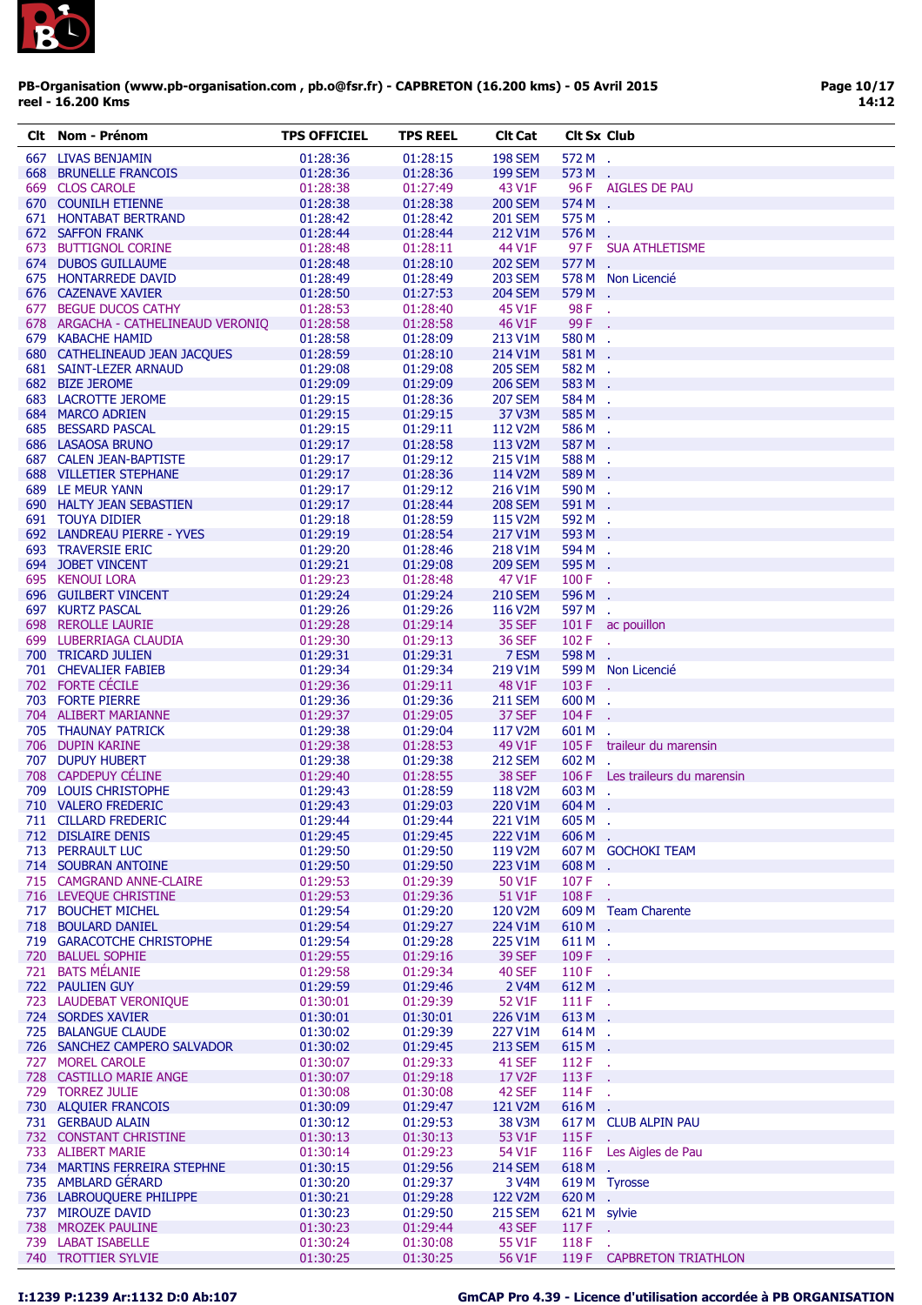

| Clt Nom - Prénom                   | <b>TPS OFFICIEL</b> | <b>TPS REEL</b> | <b>Clt Cat</b>     | <b>Clt Sx Club</b> |                                 |
|------------------------------------|---------------------|-----------------|--------------------|--------------------|---------------------------------|
| 667 LIVAS BENJAMIN                 | 01:28:36            | 01:28:15        | <b>198 SEM</b>     | 572 M .            |                                 |
| <b>668 BRUNELLE FRANCOIS</b>       | 01:28:36            | 01:28:36        | <b>199 SEM</b>     | 573 M .            |                                 |
| 669 CLOS CAROLE                    | 01:28:38            | 01:27:49        | 43 V1F             |                    | 96 F AIGLES DE PAU              |
| 670 COUNILH ETIENNE                | 01:28:38            | 01:28:38        | <b>200 SEM</b>     | 574 M .            |                                 |
| 671 HONTABAT BERTRAND              | 01:28:42            | 01:28:42        | <b>201 SEM</b>     | 575 M .            |                                 |
| 672 SAFFON FRANK                   | 01:28:44            | 01:28:44        | 212 V1M            | 576 M .            |                                 |
|                                    | 01:28:48            | 01:28:11        | 44 V1F             | 97 F               | <b>SUA ATHLETISME</b>           |
| 673 BUTTIGNOL CORINE               |                     |                 |                    |                    |                                 |
| 674 DUBOS GUILLAUME                | 01:28:48            | 01:28:10        | <b>202 SEM</b>     | 577 M .            |                                 |
| 675 HONTARREDE DAVID               | 01:28:49            | 01:28:49        | <b>203 SEM</b>     |                    | 578 M Non Licencié              |
| 676 CAZENAVE XAVIER                | 01:28:50            | 01:27:53        | <b>204 SEM</b>     | 579 M              | $\sim$                          |
| 677 BEGUE DUCOS CATHY              | 01:28:53            | 01:28:40        | 45 V1F             | 98 F.              |                                 |
| 678 ARGACHA - CATHELINEAUD VERONIQ | 01:28:58            | 01:28:58        | 46 V1F             | 99 F               |                                 |
| 679 KABACHE HAMID                  | 01:28:58            | 01:28:09        | 213 V1M            | 580 M .            |                                 |
| 680 CATHELINEAUD JEAN JACQUES      | 01:28:59            | 01:28:10        | 214 V1M            | 581 M .            |                                 |
| 681 SAINT-LEZER ARNAUD             | 01:29:08            | 01:29:08        | <b>205 SEM</b>     | 582 M .            |                                 |
| 682 BIZE JEROME                    | 01:29:09            | 01:29:09        | <b>206 SEM</b>     | 583 M              |                                 |
| 683 LACROTTE JEROME                | 01:29:15            | 01:28:36        | <b>207 SEM</b>     | 584 M              | $\mathcal{L}$                   |
| 684 MARCO ADRIEN                   | 01:29:15            | 01:29:15        | 37 V3M             | 585 M .            |                                 |
| 685 BESSARD PASCAL                 | 01:29:15            | 01:29:11        | 112 V2M            | 586 M .            |                                 |
| 686 LASAOSA BRUNO                  | 01:29:17            | 01:28:58        | 113 V2M            | 587 M              | $\sim$                          |
| 687 CALEN JEAN-BAPTISTE            | 01:29:17            | 01:29:12        | 215 V1M            | 588 M .            |                                 |
| <b>688 VILLETIER STEPHANE</b>      | 01:29:17            | 01:28:36        | 114 V2M            | 589 M .            |                                 |
| 689 LE MEUR YANN                   | 01:29:17            | 01:29:12        | 216 V1M            | 590 M .            |                                 |
| 690 HALTY JEAN SEBASTIEN           | 01:29:17            | 01:28:44        | <b>208 SEM</b>     | 591 M<br>$\sim$    |                                 |
| 691 TOUYA DIDIER                   | 01:29:18            | 01:28:59        | 115 V2M            | 592 M .            |                                 |
| 692 LANDREAU PIERRE - YVES         | 01:29:19            | 01:28:54        | 217 V1M            | 593 M              |                                 |
| <b>693 TRAVERSIE ERIC</b>          | 01:29:20            | 01:28:46        | 218 V1M            | 594 M .            |                                 |
| 694 JOBET VINCENT                  |                     |                 | <b>209 SEM</b>     | 595 M              |                                 |
|                                    | 01:29:21            | 01:29:08        |                    |                    | $\sim$                          |
| 695 KENOUI LORA                    | 01:29:23            | 01:28:48        | 47 V1F             | $100 F$ .          |                                 |
| 696 GUILBERT VINCENT               | 01:29:24            | 01:29:24        | <b>210 SEM</b>     | 596 M              |                                 |
| 697 KURTZ PASCAL                   | 01:29:26            | 01:29:26        | 116 V2M            | 597 M .            |                                 |
| 698 REROLLE LAURIE                 | 01:29:28            | 01:29:14        | <b>35 SEF</b>      |                    | 101 F ac pouillon               |
| 699 LUBERRIAGA CLAUDIA             | 01:29:30            | 01:29:13        | <b>36 SEF</b>      | 102 F              | $\sim$                          |
| 700 TRICARD JULIEN                 | 01:29:31            | 01:29:31        | 7 ESM              | 598 M .            |                                 |
| 701 CHEVALIER FABIEB               | 01:29:34            | 01:29:34        | 219 V1M            |                    | 599 M Non Licencié              |
| 702 FORTE CÉCILE                   | 01:29:36            | 01:29:11        | 48 V1F             | 103 F .            |                                 |
| 703 FORTE PIERRE                   | 01:29:36            | 01:29:36        | <b>211 SEM</b>     | $600 M$ .          |                                 |
| 704 ALIBERT MARIANNE               | 01:29:37            | 01:29:05        | 37 SEF             | 104 F              |                                 |
| 705 THAUNAY PATRICK                | 01:29:38            | 01:29:04        | 117 V2M            | 601 M              |                                 |
| 706 DUPIN KARINE                   | 01:29:38            | 01:28:53        | 49 V1F             |                    | 105 F traileur du marensin      |
| 707 DUPUY HUBERT                   | 01:29:38            | 01:29:38        | <b>212 SEM</b>     | 602 M              |                                 |
| 708 CAPDEPUY CÉLINE                | 01:29:40            | 01:28:55        | <b>38 SEF</b>      |                    | 106 F Les traileurs du marensin |
| 709 LOUIS CHRISTOPHE               | 01:29:43            | 01:28:59        | 118 V2M            | $603M$ .           |                                 |
| 710 VALERO FREDERIC                | 01:29:43            | 01:29:03        | 220 V1M            | 604 M              | $\sim$                          |
| 711 CILLARD FREDERIC               | 01:29:44            | 01:29:44        | 221 V1M            | 605 M              |                                 |
| 712 DISLAIRE DENIS                 | 01:29:45            | 01:29:45        | 222 V1M            | 606 M .            |                                 |
| 713 PERRAULT LUC                   | 01:29:50            | 01:29:50        | 119 V2M            |                    | 607 M GOCHOKI TEAM              |
|                                    |                     |                 |                    |                    |                                 |
| 714 SOUBRAN ANTOINE                | 01:29:50            | 01:29:50        | 223 V1M<br>50 V1F  | 608 M .            |                                 |
| 715 CAMGRAND ANNE-CLAIRE           | 01:29:53            | 01:29:39        |                    | 107 F              | ÷.                              |
| 716 LEVEQUE CHRISTINE              | 01:29:53            | 01:29:36        | 51 V1F             | 108F               |                                 |
| 717 BOUCHET MICHEL                 | 01:29:54            | 01:29:20        | 120 V2M            |                    | 609 M Team Charente             |
| 718 BOULARD DANIEL                 | 01:29:54            | 01:29:27        | 224 V1M            | 610M.              |                                 |
| 719 GARACOTCHE CHRISTOPHE          | 01:29:54            | 01:29:28        | 225 V1M            | 611M.              |                                 |
| 720 BALUEL SOPHIE                  | 01:29:55            | 01:29:16        | <b>39 SEF</b>      | 109 F              | $\sim$                          |
| 721 BATS MÉLANIE                   | 01:29:58            | 01:29:34        | <b>40 SEF</b>      | $110F$ .           |                                 |
| 722 PAULIEN GUY                    | 01:29:59            | 01:29:46        | 2 V <sub>4</sub> M | 612 M .            |                                 |
| 723 LAUDEBAT VERONIQUE             | 01:30:01            | 01:29:39        | 52 V1F             | 111 F              | $\mathcal{L}_{\mathcal{A}}$     |
| 724 SORDES XAVIER                  | 01:30:01            | 01:30:01        | 226 V1M            | 613 M              | ÷.                              |
| 725 BALANGUE CLAUDE                | 01:30:02            | 01:29:39        | 227 V1M            | 614M.              |                                 |
| 726 SANCHEZ CAMPERO SALVADOR       | 01:30:02            | 01:29:45        | <b>213 SEM</b>     | 615M.              |                                 |
| 727 MOREL CAROLE                   | 01:30:07            | 01:29:33        | 41 SEF             | $112F$ .           |                                 |
| 728 CASTILLO MARIE ANGE            | 01:30:07            | 01:29:18        | 17 V2F             | 113F               | ÷.                              |
| 729 TORREZ JULIE                   | 01:30:08            | 01:30:08        | 42 SEF             | $114F$ .           |                                 |
| 730 ALQUIER FRANCOIS               | 01:30:09            | 01:29:47        | 121 V2M            | 616M.              |                                 |
| 731 GERBAUD ALAIN                  | 01:30:12            | 01:29:53        | 38 V3M             |                    | 617 M CLUB ALPIN PAU            |
| 732 CONSTANT CHRISTINE             | 01:30:13            | 01:30:13        | 53 V1F             | 115 F              |                                 |
| 733 ALIBERT MARIE                  |                     |                 |                    |                    |                                 |
|                                    | 01:30:14            | 01:29:23        | 54 V1F             |                    | 116 F Les Aigles de Pau         |
| 734 MARTINS FERREIRA STEPHNE       | 01:30:15            | 01:29:56        | <b>214 SEM</b>     | 618M.              |                                 |
| 735 AMBLARD GÉRARD                 | 01:30:20            | 01:29:37        | 3 V4M              | 619 M Tyrosse      |                                 |
| 736 LABROUQUERE PHILIPPE           | 01:30:21            | 01:29:28        | 122 V2M            | $620 M$ .          |                                 |
| 737 MIROUZE DAVID                  | 01:30:23            | 01:29:50        | <b>215 SEM</b>     | 621 M sylvie       |                                 |
| 738 MROZEK PAULINE                 | 01:30:23            | 01:29:44        | 43 SEF             | $117F$ .           |                                 |
| 739 LABAT ISABELLE                 | 01:30:24            | 01:30:08        | 55 V1F             | 118 F              | У.                              |
| 740 TROTTIER SYLVIE                | 01:30:25            | 01:30:25        | 56 V1F             |                    | 119 F CAPBRETON TRIATHLON       |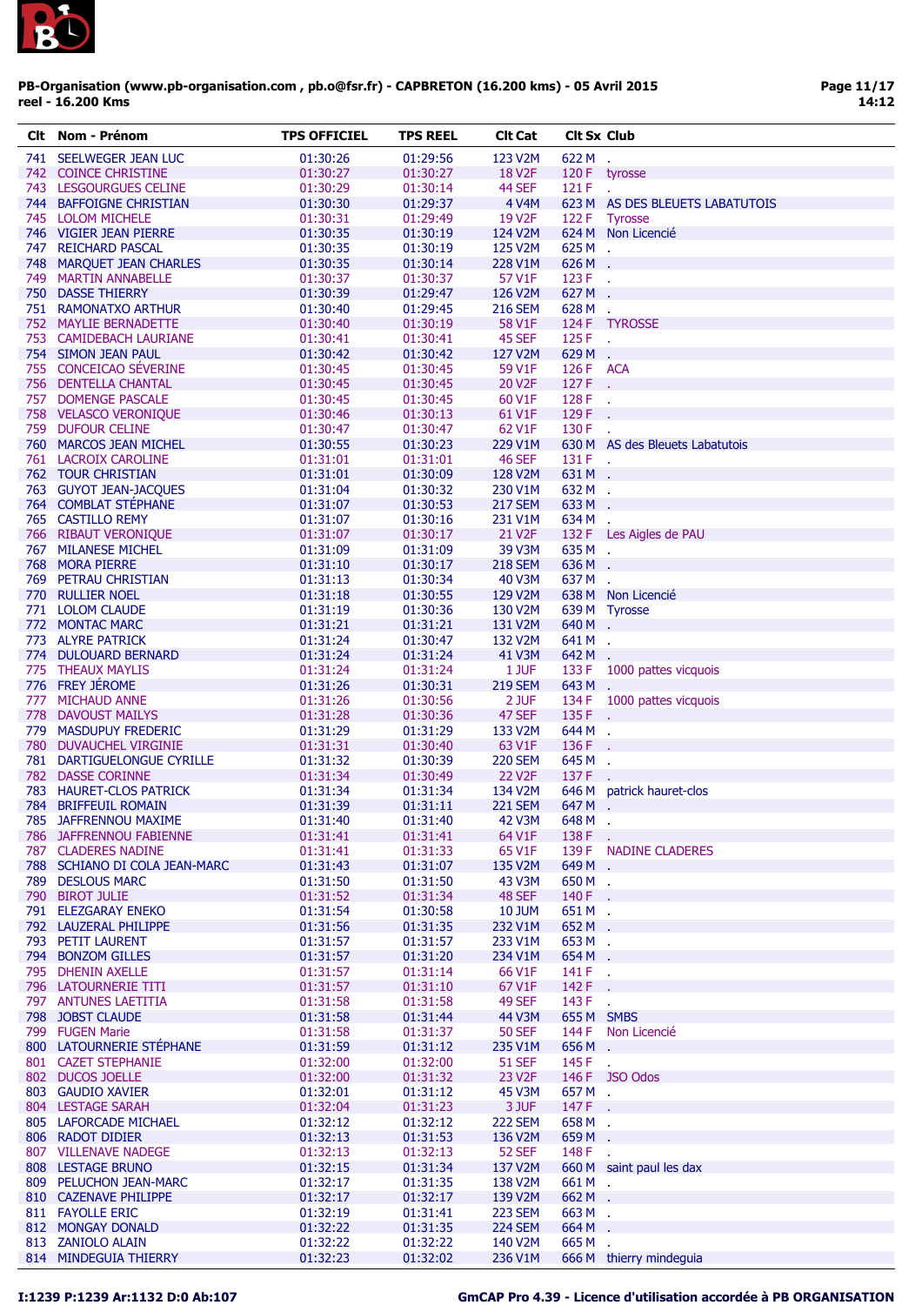

| CIt | Nom - Prénom                  | <b>TPS OFFICIEL</b> | TPS REEL | <b>CIt Cat</b>       | <b>CIt Sx Club</b> |                                 |
|-----|-------------------------------|---------------------|----------|----------------------|--------------------|---------------------------------|
|     | 741 SEELWEGER JEAN LUC        | 01:30:26            | 01:29:56 | 123 V2M              | 622 M .            |                                 |
|     | 742 COINCE CHRISTINE          | 01:30:27            | 01:30:27 | <b>18 V2F</b>        |                    | 120 F tyrosse                   |
|     | 743 LESGOURGUES CELINE        | 01:30:29            | 01:30:14 | 44 SEF               | 121 F              |                                 |
|     |                               |                     |          |                      |                    |                                 |
|     | 744 BAFFOIGNE CHRISTIAN       | 01:30:30            | 01:29:37 | 4 V4M                |                    | 623 M AS DES BLEUETS LABATUTOIS |
|     | 745 LOLOM MICHELE             | 01:30:31            | 01:29:49 | 19 V <sub>2</sub> F  |                    | 122 F Tyrosse                   |
|     | 746 VIGIER JEAN PIERRE        | 01:30:35            | 01:30:19 | 124 V2M              |                    | 624 M Non Licencié              |
|     | 747 REICHARD PASCAL           | 01:30:35            | 01:30:19 | 125 V2M              | 625M.              |                                 |
|     | 748 MARQUET JEAN CHARLES      | 01:30:35            | 01:30:14 | 228 V1M              | 626 M .            |                                 |
|     | 749 MARTIN ANNABELLE          | 01:30:37            | 01:30:37 | 57 V1F               | 123 F              | $\mathcal{L}$                   |
|     | <b>750 DASSE THIERRY</b>      | 01:30:39            | 01:29:47 | 126 V2M              | 627 M              | ÷.                              |
|     | 751 RAMONATXO ARTHUR          | 01:30:40            | 01:29:45 | <b>216 SEM</b>       | 628 M              | $\mathcal{A}$                   |
|     | 752 MAYLIE BERNADETTE         | 01:30:40            | 01:30:19 | 58 V1F               |                    | 124 F TYROSSE                   |
|     | 753 CAMIDEBACH LAURIANE       | 01:30:41            | 01:30:41 | 45 SEF               | $125 F$ .          |                                 |
|     | 754 SIMON JEAN PAUL           | 01:30:42            | 01:30:42 | 127 V2M              | 629 M .            |                                 |
|     | 755 CONCEICAO SÉVERINE        | 01:30:45            | 01:30:45 | 59 V1F               | 126 F ACA          |                                 |
|     | 756 DENTELLA CHANTAL          | 01:30:45            | 01:30:45 | 20 V2F               | 127 F              | ÷.                              |
|     | 757 DOMENGE PASCALE           | 01:30:45            | 01:30:45 | 60 V1F               | 128 F              | $\sim$                          |
|     | 758 VELASCO VERONIQUE         | 01:30:46            | 01:30:13 | 61 V1F               | 129F               |                                 |
|     |                               |                     |          |                      | 130 F              |                                 |
|     | 759 DUFOUR CELINE             | 01:30:47            | 01:30:47 | 62 V1F               |                    |                                 |
|     | 760 MARCOS JEAN MICHEL        | 01:30:55            | 01:30:23 | 229 V1M              |                    | 630 M AS des Bleuets Labatutois |
|     | 761 LACROIX CAROLINE          | 01:31:01            | 01:31:01 | <b>46 SEF</b>        | 131 F .            |                                 |
|     | <b>762 TOUR CHRISTIAN</b>     | 01:31:01            | 01:30:09 | 128 V2M              | 631 M              | $\sim$                          |
|     | 763 GUYOT JEAN-JACOUES        | 01:31:04            | 01:30:32 | 230 V1M              | 632 M .            |                                 |
|     | 764 COMBLAT STÉPHANE          | 01:31:07            | 01:30:53 | <b>217 SEM</b>       | 633 M              | $\sim$                          |
|     | 765 CASTILLO REMY             | 01:31:07            | 01:30:16 | 231 V1M              | 634 M .            |                                 |
|     | 766 RIBAUT VERONIQUE          | 01:31:07            | 01:30:17 | 21 V2F               |                    | 132 F Les Aigles de PAU         |
|     | 767 MILANESE MICHEL           | 01:31:09            | 01:31:09 | 39 V3M               | 635M.              |                                 |
|     | 768 MORA PIERRE               | 01:31:10            | 01:30:17 | <b>218 SEM</b>       | 636M.              |                                 |
|     | 769 PETRAU CHRISTIAN          | 01:31:13            | 01:30:34 | 40 V3M               | 637M.              |                                 |
|     | 770 RULLIER NOEL              | 01:31:18            | 01:30:55 | 129 V2M              |                    | 638 M Non Licencié              |
|     | 771 LOLOM CLAUDE              | 01:31:19            | 01:30:36 | 130 V2M              |                    | 639 M Tyrosse                   |
|     | 772 MONTAC MARC               | 01:31:21            | 01:31:21 | 131 V2M              | 640 M .            |                                 |
|     | 773 ALYRE PATRICK             | 01:31:24            | 01:30:47 | 132 V <sub>2</sub> M | 641 M .            |                                 |
|     |                               |                     |          |                      |                    |                                 |
|     | 774 DULOUARD BERNARD          | 01:31:24            | 01:31:24 | 41 V3M               | 642 M .            |                                 |
|     | 775 THEAUX MAYLIS             | 01:31:24            | 01:31:24 | 1 JUF                |                    | 133 F 1000 pattes vicquois      |
|     | 776 FREY JEROME               | 01:31:26            | 01:30:31 | <b>219 SEM</b>       | 643 M .            |                                 |
|     | 777 MICHAUD ANNE              | 01:31:26            | 01:30:56 | 2 JUF                |                    | 134 F 1000 pattes vicquois      |
|     | 778 DAVOUST MAILYS            | 01:31:28            | 01:30:36 | 47 SEF               | 135 F              | ÷.                              |
|     | 779 MASDUPUY FREDERIC         | 01:31:29            | 01:31:29 | 133 V2M              | 644 M .            |                                 |
|     | 780 DUVAUCHEL VIRGINIE        | 01:31:31            | 01:30:40 | 63 V1F               | 136 F              | ۰.                              |
|     | 781 DARTIGUELONGUE CYRILLE    | 01:31:32            | 01:30:39 | <b>220 SEM</b>       | 645 M              | $\sim$                          |
|     | 782 DASSE CORINNE             | 01:31:34            | 01:30:49 | 22 V <sub>2</sub> F  | 137 F              |                                 |
|     | 783 HAURET-CLOS PATRICK       | 01:31:34            | 01:31:34 | 134 V2M              | 646 M              | patrick hauret-clos             |
|     | 784 BRIFFEUIL ROMAIN          | 01:31:39            | 01:31:11 | <b>221 SEM</b>       | 647 M              | $\mathcal{L}_{\mathbf{r}}$      |
|     | 785 JAFFRENNOU MAXIME         | 01:31:40            | 01:31:40 | <b>42 V3M</b>        | 648 M              |                                 |
|     | 786 JAFFRENNOU FABIENNE       | 01:31:41            | 01:31:41 | 64 V1F               | 138 F              | ÷.                              |
|     | 787 CLADERES NADINE           | 01:31:41            | 01:31:33 | 65 V1F               |                    | 139 F NADINE CLADERES           |
|     | 788 SCHIANO DI COLA JEAN-MARC | 01:31:43            | 01:31:07 | 135 V2M              | 649 M .            |                                 |
|     | 789 DESLOUS MARC              | 01:31:50            | 01:31:50 | 43 V3M               | 650 M .            |                                 |
|     | 790 BIROT JULIE               | 01:31:52            | 01:31:34 | 48 SEF               | 140 F              | ÷.                              |
|     | 791 ELEZGARAY ENEKO           | 01:31:54            | 01:30:58 | <b>10 JUM</b>        | 651 M .            |                                 |
|     | 792 LAUZERAL PHILIPPE         | 01:31:56            | 01:31:35 | 232 V1M              | 652 M .            |                                 |
|     | 793 PETIT LAURENT             | 01:31:57            | 01:31:57 | 233 V1M              | 653 M .            |                                 |
|     | 794 BONZOM GILLES             | 01:31:57            | 01:31:20 | 234 V1M              | 654 M .            |                                 |
|     | 795 DHENIN AXELLE             |                     |          |                      |                    |                                 |
|     |                               | 01:31:57            | 01:31:14 | 66 V1F               | 141 F .            |                                 |
|     | 796 LATOURNERIE TITI          | 01:31:57            | 01:31:10 | 67 V1F               | 142 F              | $\sim$                          |
|     | 797 ANTUNES LAETITIA          | 01:31:58            | 01:31:58 | 49 SEF               | 143 F              | чü                              |
|     | 798 JOBST CLAUDE              | 01:31:58            | 01:31:44 | 44 V3M               | 655 M SMBS         |                                 |
|     | 799 FUGEN Marie               | 01:31:58            | 01:31:37 | <b>50 SEF</b>        | 144 F              | Non Licencié                    |
|     | 800 LATOURNERIE STÉPHANE      | 01:31:59            | 01:31:12 | 235 V1M              | 656 M .            |                                 |
|     | 801 CAZET STEPHANIE           | 01:32:00            | 01:32:00 | <b>51 SEF</b>        | 145 F              | ÷.                              |
|     | 802 DUCOS JOELLE              | 01:32:00            | 01:31:32 | 23 V2F               |                    | 146 F JSO Odos                  |
|     | 803 GAUDIO XAVIER             | 01:32:01            | 01:31:12 | 45 V3M               | 657 M .            |                                 |
|     | 804 LESTAGE SARAH             | 01:32:04            | 01:31:23 | 3 JUF                | 147 F.             |                                 |
|     | 805 LAFORCADE MICHAEL         | 01:32:12            | 01:32:12 | <b>222 SEM</b>       | 658 M .            |                                 |
|     | 806 RADOT DIDIER              | 01:32:13            | 01:31:53 | 136 V2M              | 659 M .            |                                 |
|     | 807 VILLENAVE NADEGE          | 01:32:13            | 01:32:13 | <b>52 SEF</b>        | 148 F              | ÷.                              |
|     | 808 LESTAGE BRUNO             | 01:32:15            | 01:31:34 | 137 V2M              |                    | 660 M saint paul les dax        |
|     | 809 PELUCHON JEAN-MARC        | 01:32:17            | 01:31:35 | 138 V <sub>2</sub> M | 661M.              |                                 |
|     | 810 CAZENAVE PHILIPPE         | 01:32:17            | 01:32:17 | 139 V2M              | 662 M .            |                                 |
|     | 811 FAYOLLE ERIC              | 01:32:19            | 01:31:41 | <b>223 SEM</b>       | 663M.              |                                 |
|     |                               |                     |          |                      |                    |                                 |
|     | 812 MONGAY DONALD             | 01:32:22            | 01:31:35 | <b>224 SEM</b>       | 664 M              | - 1                             |
|     | 813 ZANIOLO ALAIN             | 01:32:22            | 01:32:22 | 140 V2M              | 665M.              |                                 |
|     | 814 MINDEGUIA THIERRY         | 01:32:23            | 01:32:02 | 236 V1M              |                    | 666 M thierry mindeguia         |

# I:1239 P:1239 Ar:1132 D:0 Ab:107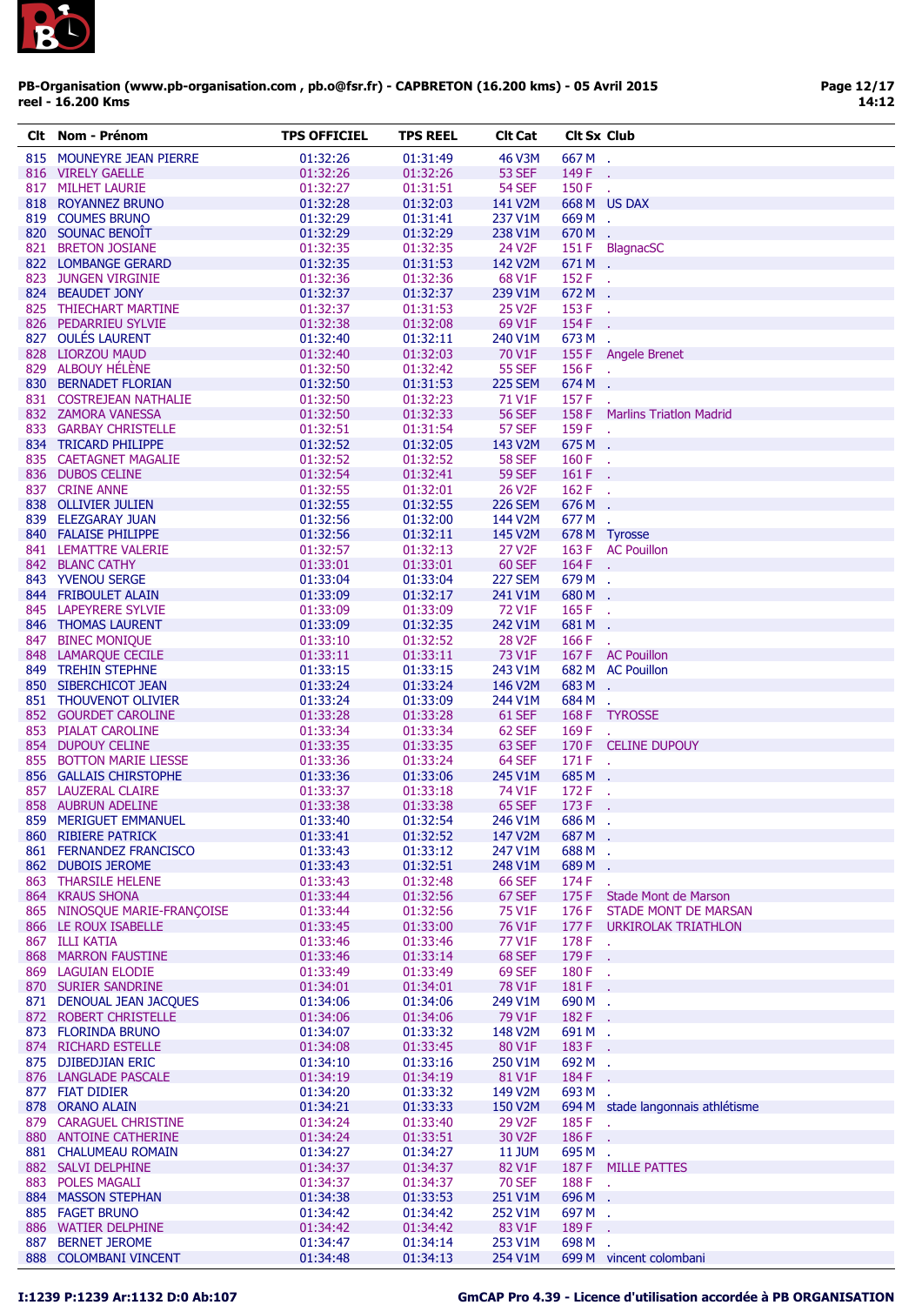

| CIt | Nom - Prénom                 | <b>TPS OFFICIEL</b> | <b>TPS REEL</b> | <b>CIt Cat</b>                | <b>Cit Sx Club</b> |                                   |
|-----|------------------------------|---------------------|-----------------|-------------------------------|--------------------|-----------------------------------|
|     | 815 MOUNEYRE JEAN PIERRE     | 01:32:26            | 01:31:49        | <b>46 V3M</b>                 | 667M.              |                                   |
|     | 816 VIRELY GAELLE            | 01:32:26            | 01:32:26        | <b>53 SEF</b>                 | 149 F              |                                   |
|     | 817 MILHET LAURIE            | 01:32:27            | 01:31:51        | <b>54 SEF</b>                 | 150 F              | $\mathbf{r}$                      |
|     | 818 ROYANNEZ BRUNO           | 01:32:28            | 01:32:03        | 141 V2M                       |                    | 668 M US DAX                      |
|     | 819 COUMES BRUNO             | 01:32:29            | 01:31:41        | 237 V1M                       | 669M.              |                                   |
|     | 820 SOUNAC BENOIT            | 01:32:29            | 01:32:29        | 238 V1M                       | 670 M .            |                                   |
|     | 821 BRETON JOSIANE           | 01:32:35            | 01:32:35        | 24 V2F                        |                    | 151 F BlagnacSC                   |
|     | 822 LOMBANGE GERARD          | 01:32:35            | 01:31:53        | 142 V2M                       | 671M.              |                                   |
|     | 823 JUNGEN VIRGINIE          | 01:32:36            | 01:32:36        | 68 V1F                        | 152 F .            |                                   |
|     | 824 BEAUDET JONY             | 01:32:37            | 01:32:37        | 239 V1M                       | 672 M .            |                                   |
|     | 825 THIECHART MARTINE        |                     |                 |                               |                    |                                   |
|     |                              | 01:32:37            | 01:31:53        | 25 V <sub>2</sub> F<br>69 V1F | 153 F              |                                   |
|     | 826 PEDARRIEU SYLVIE         | 01:32:38            | 01:32:08        |                               | 154 F              | ÷.                                |
|     | 827 OULÉS LAURENT            | 01:32:40            | 01:32:11        | 240 V1M                       | 673 M .            |                                   |
|     | 828 LIORZOU MAUD             | 01:32:40            | 01:32:03        | 70 V1F                        |                    | 155 F Angele Brenet               |
|     | 829 ALBOUY HÉLÈNE            | 01:32:50            | 01:32:42        | <b>55 SEF</b>                 | 156 F.             |                                   |
|     | 830 BERNADET FLORIAN         | 01:32:50            | 01:31:53        | <b>225 SEM</b>                | 674 M .            |                                   |
|     | 831 COSTREJEAN NATHALIE      | 01:32:50            | 01:32:23        | 71 V1F                        | 157 F              |                                   |
|     | 832 ZAMORA VANESSA           | 01:32:50            | 01:32:33        | <b>56 SEF</b>                 |                    | 158 F Marlins Triatlon Madrid     |
|     | 833 GARBAY CHRISTELLE        | 01:32:51            | 01:31:54        | <b>57 SEF</b>                 | 159 F .            |                                   |
|     | 834 TRICARD PHILIPPE         | 01:32:52            | 01:32:05        | 143 V2M                       | 675M.              |                                   |
|     | 835 CAETAGNET MAGALIE        | 01:32:52            | 01:32:52        | <b>58 SEF</b>                 | 160 F .            |                                   |
|     | 836 DUBOS CELINE             | 01:32:54            | 01:32:41        | <b>59 SEF</b>                 | 161 F.             |                                   |
|     | 837 CRINE ANNE               | 01:32:55            | 01:32:01        | 26 V <sub>2F</sub>            | 162 F .            |                                   |
|     | 838 OLLIVIER JULIEN          | 01:32:55            | 01:32:55        | <b>226 SEM</b>                | 676 M .            |                                   |
|     | 839 ELEZGARAY JUAN           | 01:32:56            | 01:32:00        | 144 V2M                       | 677 M              | ÷.                                |
|     | 840 FALAISE PHILIPPE         | 01:32:56            | 01:32:11        | 145 V2M                       |                    | 678 M Tyrosse                     |
|     | 841 LEMATTRE VALERIE         | 01:32:57            | 01:32:13        | 27 V <sub>2</sub> F           |                    | 163 F AC Pouillon                 |
|     | 842 BLANC CATHY              | 01:33:01            | 01:33:01        | <b>60 SEF</b>                 | 164 F .            |                                   |
|     | 843 YVENOU SERGE             | 01:33:04            | 01:33:04        | <b>227 SEM</b>                | 679 M .            |                                   |
|     |                              |                     |                 |                               |                    |                                   |
|     | 844 FRIBOULET ALAIN          | 01:33:09            | 01:32:17        | 241 V1M                       | 680M.              |                                   |
|     | 845 LAPEYRERE SYLVIE         | 01:33:09            | 01:33:09        | 72 V1F                        | 165 F .            |                                   |
|     | 846 THOMAS LAURENT           | 01:33:09            | 01:32:35        | 242 V1M                       | 681 M .            |                                   |
|     | 847 BINEC MONIQUE            | 01:33:10            | 01:32:52        | <b>28 V2F</b>                 | 166 F              | ÷.                                |
|     | 848 LAMARQUE CECILE          | 01:33:11            | 01:33:11        | 73 V1F                        |                    | 167 F AC Pouillon                 |
|     | 849 TREHIN STEPHNE           | 01:33:15            | 01:33:15        | 243 V1M                       |                    | 682 M AC Pouillon                 |
|     | 850 SIBERCHICOT JEAN         | 01:33:24            | 01:33:24        | 146 V2M                       | 683 M .            |                                   |
|     | 851 THOUVENOT OLIVIER        | 01:33:24            | 01:33:09        | 244 V1M                       | 684M.              |                                   |
|     | 852 GOURDET CAROLINE         | 01:33:28            | 01:33:28        | 61 SEF                        |                    | 168 F TYROSSE                     |
|     | 853 PIALAT CAROLINE          | 01:33:34            | 01:33:34        | 62 SEF                        | 169 F              | $\sim$                            |
|     | 854 DUPOUY CELINE            | 01:33:35            | 01:33:35        | 63 SEF                        |                    | 170 F CELINE DUPOUY               |
|     | 855 BOTTON MARIE LIESSE      | 01:33:36            | 01:33:24        | 64 SEF                        | $171 F$ .          |                                   |
|     | 856 GALLAIS CHIRSTOPHE       | 01:33:36            | 01:33:06        | 245 V1M                       | 685 M .            |                                   |
|     | 857 LAUZERAL CLAIRE          | 01:33:37            | 01:33:18        | 74 V1F                        | 172 F .            |                                   |
|     | 858 AUBRUN ADELINE           |                     |                 | <b>65 SEF</b>                 | 173 F .            |                                   |
|     |                              | 01:33:38            | 01:33:38        |                               |                    |                                   |
|     | 859 MERIGUET EMMANUEL        | 01:33:40            | 01:32:54        | 246 V1M                       | 686 M              |                                   |
|     | 860 RIBIERE PATRICK          | 01:33:41            | 01:32:52        | 147 V2M                       | 687M.              |                                   |
|     | 861 FERNANDEZ FRANCISCO      | 01:33:43            | 01:33:12        | 247 V1M                       | 688 M .            |                                   |
|     | 862 DUBOIS JEROME            | 01:33:43            | 01:32:51        | 248 V1M                       | 689 M .            |                                   |
|     | 863 THARSILE HELENE          | 01:33:43            | 01:32:48        | <b>66 SEF</b>                 | 174 F              | à.                                |
|     | 864 KRAUS SHONA              | 01:33:44            | 01:32:56        | 67 SEF                        |                    | 175 F Stade Mont de Marson        |
|     | 865 NINOSQUE MARIE-FRANÇOISE | 01:33:44            | 01:32:56        | 75 V1F                        | 176 F              | STADE MONT DE MARSAN              |
|     | 866 LE ROUX ISABELLE         | 01:33:45            | 01:33:00        | 76 V1F                        |                    | 177 F URKIROLAK TRIATHLON         |
|     | 867 ILLI KATIA               | 01:33:46            | 01:33:46        | 77 V1F                        | 178 F              | ÷.                                |
|     | 868 MARRON FAUSTINE          | 01:33:46            | 01:33:14        | 68 SEF                        | 179 F              | ÷.                                |
|     | 869 LAGUIAN ELODIE           | 01:33:49            | 01:33:49        | <b>69 SEF</b>                 | 180 F .            |                                   |
|     | 870 SURIER SANDRINE          | 01:34:01            | 01:34:01        | 78 V1F                        | 181 F              |                                   |
|     | 871 DENOUAL JEAN JACQUES     | 01:34:06            | 01:34:06        | 249 V1M                       | 690 M .            |                                   |
|     | 872 ROBERT CHRISTELLE        | 01:34:06            | 01:34:06        | 79 V1F                        | 182 F              |                                   |
|     | 873 FLORINDA BRUNO           | 01:34:07            | 01:33:32        | 148 V2M                       | 691M.              |                                   |
|     | 874 RICHARD ESTELLE          | 01:34:08            | 01:33:45        | 80 V1F                        | 183F.              |                                   |
|     | 875 DJIBEDJIAN ERIC          | 01:34:10            | 01:33:16        | 250 V1M                       | 692 M .            |                                   |
|     |                              |                     |                 |                               |                    |                                   |
|     | 876 LANGLADE PASCALE         | 01:34:19            | 01:34:19        | 81 V1F                        | 184 F              |                                   |
|     | 877 FIAT DIDIER              | 01:34:20            | 01:33:32        | 149 V2M                       | 693 M .            |                                   |
|     | 878 ORANO ALAIN              | 01:34:21            | 01:33:33        | 150 V2M                       |                    | 694 M stade langonnais athlétisme |
|     | 879 CARAGUEL CHRISTINE       | 01:34:24            | 01:33:40        | 29 V <sub>2</sub> F           | 185F               | $\mathbf{r}$                      |
|     | 880 ANTOINE CATHERINE        | 01:34:24            | 01:33:51        | 30 V <sub>2</sub> F           | 186 F              |                                   |
|     | 881 CHALUMEAU ROMAIN         | 01:34:27            | 01:34:27        | <b>11 JUM</b>                 | 695 M              | χ.                                |
|     | 882 SALVI DELPHINE           | 01:34:37            | 01:34:37        | 82 V1F                        |                    | 187 F MILLE PATTES                |
|     | 883 POLES MAGALI             | 01:34:37            | 01:34:37        | <b>70 SEF</b>                 | 188 F.             |                                   |
|     | 884 MASSON STEPHAN           | 01:34:38            | 01:33:53        | 251 V1M                       | 696 M .            |                                   |
|     | 885 FAGET BRUNO              | 01:34:42            | 01:34:42        | 252 V1M                       | 697 M .            |                                   |
|     | 886 WATIER DELPHINE          | 01:34:42            | 01:34:42        | 83 V1F                        | 189F.              |                                   |
|     | 887 BERNET JEROME            | 01:34:47            | 01:34:14        | 253 V1M                       | 698 M .            |                                   |
|     | 888 COLOMBANI VINCENT        | 01:34:48            | 01:34:13        | 254 V1M                       |                    | 699 M vincent colombani           |
|     |                              |                     |                 |                               |                    |                                   |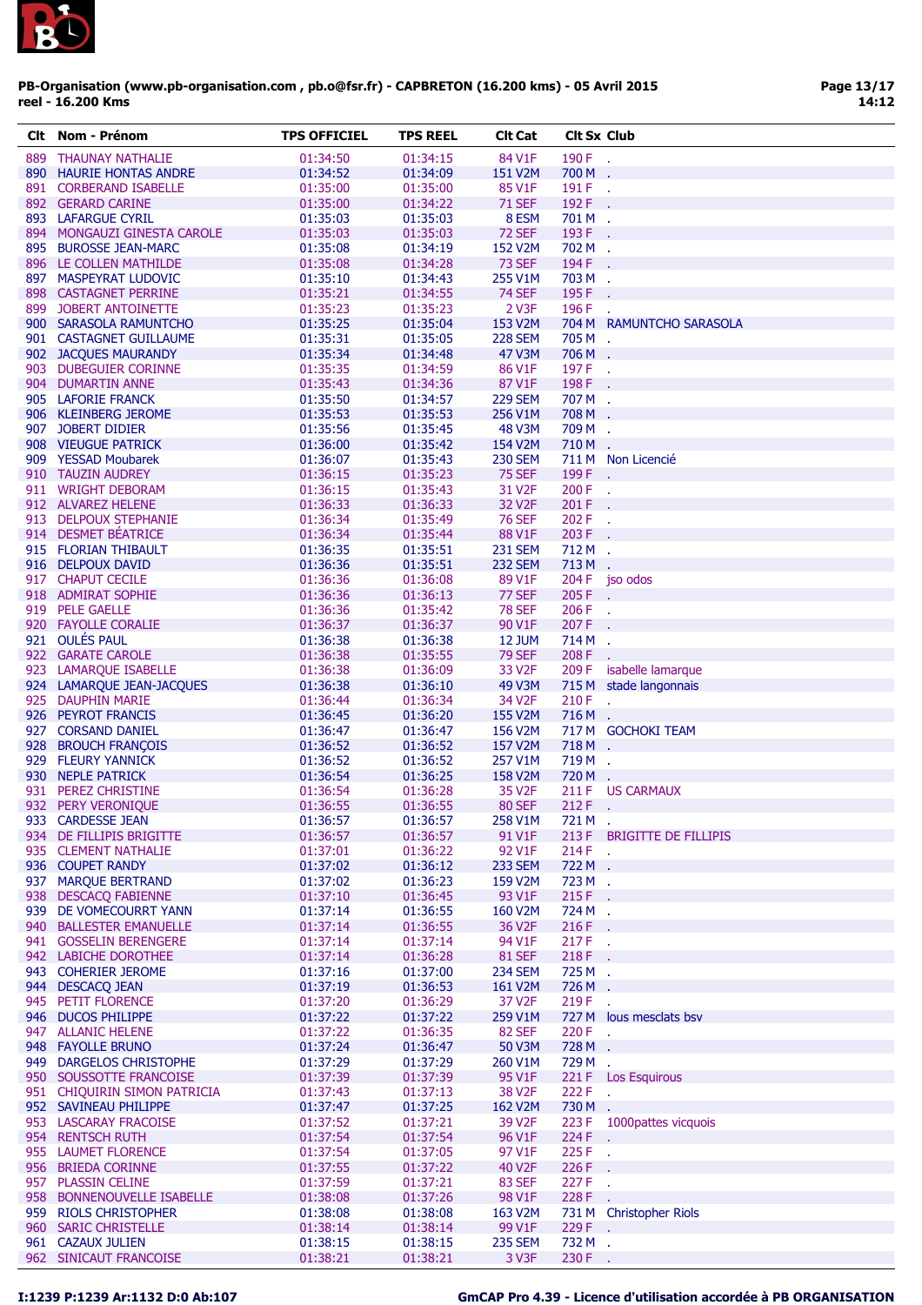

| Clt | Nom - Prénom                                   | <b>TPS OFFICIEL</b>  | <b>TPS REEL</b>      | <b>Clt Cat</b>                 | <b>Clt Sx Club</b> |                            |
|-----|------------------------------------------------|----------------------|----------------------|--------------------------------|--------------------|----------------------------|
|     | 889 THAUNAY NATHALIE                           | 01:34:50             | 01:34:15             | 84 V1F                         | 190 F .            |                            |
|     | 890 HAURIE HONTAS ANDRE                        | 01:34:52             | 01:34:09             | 151 V2M                        | 700 M              |                            |
|     | 891 CORBERAND ISABELLE                         | 01:35:00             | 01:35:00             | 85 V1F                         | 191 F.             |                            |
|     | 892 GERARD CARINE                              | 01:35:00             | 01:34:22             | <b>71 SEF</b>                  | 192 F .            |                            |
|     | 893 LAFARGUE CYRIL                             | 01:35:03             | 01:35:03             | 8 ESM                          | 701 M .            |                            |
|     | 894 MONGAUZI GINESTA CAROLE                    | 01:35:03             | 01:35:03             | <b>72 SEF</b>                  | 193 F              |                            |
|     | 895 BUROSSE JEAN-MARC                          | 01:35:08             | 01:34:19             | 152 V2M                        | 702 M              | $\mathbf{r}$               |
|     | 896 LE COLLEN MATHILDE                         | 01:35:08             | 01:34:28             | <b>73 SEF</b>                  | 194 F.             |                            |
|     | 897 MASPEYRAT LUDOVIC                          | 01:35:10             | 01:34:43             | 255 V1M                        | 703 M              |                            |
|     | 898 CASTAGNET PERRINE<br>899 JOBERT ANTOINETTE | 01:35:21<br>01:35:23 | 01:34:55<br>01:35:23 | <b>74 SEF</b><br>2 V3F         | 195 F<br>196 F     |                            |
|     | 900 SARASOLA RAMUNTCHO                         | 01:35:25             | 01:35:04             | 153 V2M                        |                    | 704 M RAMUNTCHO SARASOLA   |
|     | 901 CASTAGNET GUILLAUME                        | 01:35:31             | 01:35:05             | <b>228 SEM</b>                 | 705 M .            |                            |
|     | 902 JACQUES MAURANDY                           | 01:35:34             | 01:34:48             | 47 V3M                         | 706 M .            |                            |
|     | 903 DUBEGUIER CORINNE                          | 01:35:35             | 01:34:59             | 86 V1F                         | 197 F              | $\sim$                     |
|     | 904 DUMARTIN ANNE                              | 01:35:43             | 01:34:36             | 87 V1F                         | 198F.              |                            |
|     | 905 LAFORIE FRANCK                             | 01:35:50             | 01:34:57             | <b>229 SEM</b>                 | 707 M .            |                            |
|     | 906 KLEINBERG JEROME                           | 01:35:53             | 01:35:53             | 256 V1M                        | 708 M              | ÷.                         |
|     | 907 JOBERT DIDIER                              | 01:35:56             | 01:35:45             | 48 V3M                         | 709 M .            |                            |
|     | 908 VIEUGUE PATRICK                            | 01:36:00             | 01:35:42             | 154 V2M                        | 710M.              |                            |
|     | 909 YESSAD Moubarek                            | 01:36:07             | 01:35:43             | <b>230 SEM</b>                 |                    | 711 M Non Licencié         |
|     | 910 TAUZIN AUDREY                              | 01:36:15             | 01:35:23             | <b>75 SEF</b>                  | 199 F              |                            |
|     | 911 WRIGHT DEBORAM                             | 01:36:15             | 01:35:43             | 31 V <sub>2</sub> F            | 200 F              | ÷,                         |
|     | 912 ALVAREZ HELENE                             | 01:36:33             | 01:36:33             | 32 V <sub>2</sub> F            | 201 F .            |                            |
|     | 913 DELPOUX STEPHANIE<br>914 DESMET BÉATRICE   | 01:36:34<br>01:36:34 | 01:35:49<br>01:35:44 | <b>76 SEF</b><br>88 V1F        | 202 F<br>203 F .   |                            |
|     | 915 FLORIAN THIBAULT                           | 01:36:35             | 01:35:51             | <b>231 SEM</b>                 | 712 M.             |                            |
|     | 916 DELPOUX DAVID                              | 01:36:36             | 01:35:51             | <b>232 SEM</b>                 | 713 M              | $\lambda$                  |
|     | 917 CHAPUT CECILE                              | 01:36:36             | 01:36:08             | 89 V1F                         |                    | 204 F jso odos             |
|     | 918 ADMIRAT SOPHIE                             | 01:36:36             | 01:36:13             | 77 SEF                         | 205F               |                            |
|     | 919 PELE GAELLE                                | 01:36:36             | 01:35:42             | <b>78 SEF</b>                  | 206 F              | $\mathbf{r}$               |
|     | 920 FAYOLLE CORALIE                            | 01:36:37             | 01:36:37             | 90 V1F                         | 207 F              |                            |
|     | 921 OULÉS PAUL                                 | 01:36:38             | 01:36:38             | <b>12 JUM</b>                  | 714 M              |                            |
|     | 922 GARATE CAROLE                              | 01:36:38             | 01:35:55             | <b>79 SEF</b>                  | 208 F              |                            |
|     | 923 LAMARQUE ISABELLE                          | 01:36:38             | 01:36:09             | 33 V <sub>2</sub> F            | 209 F              | isabelle lamarque          |
|     | 924 LAMARQUE JEAN-JACQUES                      | 01:36:38             | 01:36:10             | 49 V3M                         |                    | 715 M stade langonnais     |
|     | 925 DAUPHIN MARIE                              | 01:36:44             | 01:36:34             | 34 V <sub>2</sub> F            | $210 F$ .          |                            |
|     | 926 PEYROT FRANCIS                             | 01:36:45             | 01:36:20             | 155 V2M                        | 716M.              |                            |
|     | 927 CORSAND DANIEL                             | 01:36:47             | 01:36:47             | 156 V2M                        |                    | 717 M GOCHOKI TEAM         |
|     | 928 BROUCH FRANÇOIS                            | 01:36:52             | 01:36:52             | 157 V2M                        | 718M.              |                            |
|     | 929 FLEURY YANNICK                             | 01:36:52             | 01:36:52             | 257 V1M                        | 719M.              |                            |
|     | 930 NEPLE PATRICK<br>931 PEREZ CHRISTINE       | 01:36:54<br>01:36:54 | 01:36:25<br>01:36:28 | 158 V2M<br>35 V <sub>2</sub> F | 720 M .            | 211 F US CARMAUX           |
|     | 932 PERY VERONIQUE                             | 01:36:55             | 01:36:55             | <b>80 SEF</b>                  | 212 F .            |                            |
|     | 933 CARDESSE JEAN                              | 01:36:57             | 01:36:57             | 258 V1M                        | 721 M              |                            |
|     | 934 DE FILLIPIS BRIGITTE                       | 01:36:57             | 01:36:57             | 91 V1F                         |                    | 213 F BRIGITTE DE FILLIPIS |
|     | 935 CLEMENT NATHALIE                           | 01:37:01             | 01:36:22             | 92 V1F                         | 214 F              | $\mathcal{A}$              |
|     | 936 COUPET RANDY                               | 01:37:02             | 01:36:12             | <b>233 SEM</b>                 | 722 M .            |                            |
|     | 937 MARQUE BERTRAND                            | 01:37:02             | 01:36:23             | 159 V2M                        | 723 M .            |                            |
|     | 938 DESCACQ FABIENNE                           | 01:37:10             | 01:36:45             | 93 V1F                         | $215F$ .           |                            |
|     | 939 DE VOMECOURRT YANN                         | 01:37:14             | 01:36:55             | 160 V2M                        | 724 M .            |                            |
|     | 940 BALLESTER EMANUELLE                        | 01:37:14             | 01:36:55             | 36 V <sub>2</sub> F            | 216F.              |                            |
|     | 941 GOSSELIN BERENGERE                         | 01:37:14             | 01:37:14             | 94 V1F                         | $217F$ .           |                            |
|     | 942 LABICHE DOROTHEE                           | 01:37:14             | 01:36:28             | <b>81 SEF</b>                  | 218 F.             |                            |
|     | 943 COHERIER JEROME<br>944 DESCACO JEAN        | 01:37:16             | 01:37:00             | <b>234 SEM</b><br>161 V2M      | 725 M .            |                            |
|     | 945 PETIT FLORENCE                             | 01:37:19             | 01:36:53             |                                | 726 M              |                            |
|     | 946 DUCOS PHILIPPE                             | 01:37:20<br>01:37:22 | 01:36:29<br>01:37:22 | 37 V <sub>2</sub> F<br>259 V1M | 219F<br>727 M      | lous mesclats bsv          |
|     | 947 ALLANIC HELENE                             | 01:37:22             | 01:36:35             | <b>82 SEF</b>                  | 220 F .            |                            |
|     | 948 FAYOLLE BRUNO                              | 01:37:24             | 01:36:47             | 50 V3M                         | 728 M .            |                            |
|     | 949 DARGELOS CHRISTOPHE                        | 01:37:29             | 01:37:29             | 260 V1M                        | 729 M .            |                            |
|     | 950 SOUSSOTTE FRANCOISE                        | 01:37:39             | 01:37:39             | 95 V1F                         |                    | 221 F Los Esquirous        |
|     | 951 CHIQUIRIN SIMON PATRICIA                   | 01:37:43             | 01:37:13             | 38 V <sub>2</sub> F            | 222 F              | $\mathcal{L}$              |
|     | 952 SAVINEAU PHILIPPE                          | 01:37:47             | 01:37:25             | 162 V2M                        | 730 M .            |                            |
|     | 953 LASCARAY FRACOISE                          | 01:37:52             | 01:37:21             | 39 V <sub>2F</sub>             | 223 F              | 1000pattes vicquois        |
|     | 954 RENTSCH RUTH                               | 01:37:54             | 01:37:54             | 96 V1F                         | 224 F .            |                            |
|     | 955 LAUMET FLORENCE                            | 01:37:54             | 01:37:05             | 97 V1F                         | $225 F$ .          |                            |
|     | 956 BRIEDA CORINNE                             | 01:37:55             | 01:37:22             | 40 V2F                         | 226 F              | $\sim$                     |
|     | 957 PLASSIN CELINE                             | 01:37:59             | 01:37:21             | 83 SEF                         | 227 F .            |                            |
|     | 958 BONNENOUVELLE ISABELLE                     | 01:38:08             | 01:37:26             | 98 V1F                         | 228 F.             |                            |
|     | 959 RIOLS CHRISTOPHER                          | 01:38:08             | 01:38:08             | 163 V2M                        |                    | 731 M Christopher Riols    |
|     | 960 SARIC CHRISTELLE                           | 01:38:14             | 01:38:14             | 99 V1F                         | 229 F .<br>732 M . |                            |
|     | 961 CAZAUX JULIEN<br>962 SINICAUT FRANCOISE    | 01:38:15<br>01:38:21 | 01:38:15<br>01:38:21 | <b>235 SEM</b><br>3 V3F        | 230 F .            |                            |
|     |                                                |                      |                      |                                |                    |                            |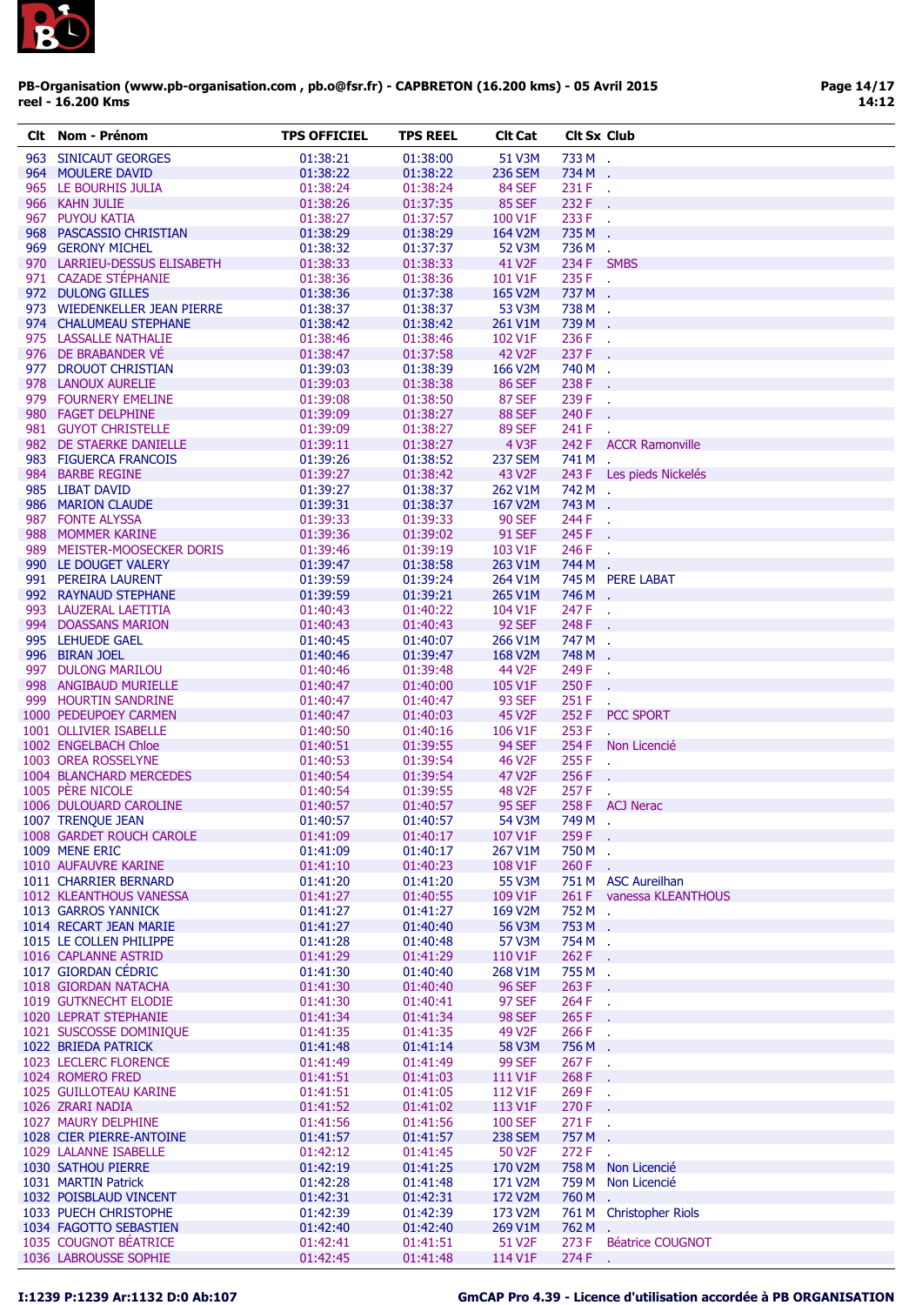

| CIt | Nom - Prénom                 | <b>TPS OFFICIEL</b> | <b>TPS REEL</b> | <b>CIt Cat</b>     | <b>Clt Sx Club</b> |                            |
|-----|------------------------------|---------------------|-----------------|--------------------|--------------------|----------------------------|
|     | 963 SINICAUT GEORGES         | 01:38:21            | 01:38:00        | 51 V3M             | 733 M .            |                            |
|     | 964 MOULERE DAVID            | 01:38:22            | 01:38:22        | <b>236 SEM</b>     | 734 M .            |                            |
|     | 965 LE BOURHIS JULIA         | 01:38:24            | 01:38:24        | 84 SEF             | 231 F              |                            |
|     | 966 KAHN JULIE               | 01:38:26            | 01:37:35        | <b>85 SEF</b>      | 232 F              |                            |
|     | 967 PUYOU KATIA              | 01:38:27            | 01:37:57        | 100 V1F            | 233 F .            |                            |
|     | 968 PASCASSIO CHRISTIAN      | 01:38:29            | 01:38:29        | 164 V2M            | 735 M .            |                            |
|     | 969 GERONY MICHEL            | 01:38:32            | 01:37:37        | 52 V3M             | 736 M .            |                            |
|     | 970 LARRIEU-DESSUS ELISABETH | 01:38:33            | 01:38:33        | 41 V2F             | 234 F SMBS         |                            |
|     | 971 CAZADE STÉPHANIE         | 01:38:36            | 01:38:36        | 101 V1F            | 235 F .            |                            |
|     | 972 DULONG GILLES            | 01:38:36            | 01:37:38        | 165 V2M            | 737 M .            |                            |
|     | 973 WIEDENKELLER JEAN PIERRE | 01:38:37            | 01:38:37        | 53 V3M             | 738 M .            |                            |
|     | 974 CHALUMEAU STEPHANE       | 01:38:42            | 01:38:42        | 261 V1M            | 739 M .            |                            |
|     | 975 LASSALLE NATHALIE        | 01:38:46            | 01:38:46        | 102 V1F            | 236 F .            |                            |
|     | 976 DE BRABANDER VÉ          | 01:38:47            | 01:37:58        | <b>42 V2F</b>      | 237 F              |                            |
|     | 977 DROUOT CHRISTIAN         | 01:39:03            | 01:38:39        | 166 V2M            | 740 M              | $\mathcal{A}$              |
|     | 978 LANOUX AURELIE           | 01:39:03            | 01:38:38        | <b>86 SEF</b>      | 238 F              |                            |
|     | 979 FOURNERY EMELINE         | 01:39:08            | 01:38:50        | <b>87 SEF</b>      | 239 F              |                            |
|     | 980 FAGET DELPHINE           | 01:39:09            | 01:38:27        | <b>88 SEF</b>      | 240 F              |                            |
|     | 981 GUYOT CHRISTELLE         | 01:39:09            | 01:38:27        | <b>89 SEF</b>      | 241 F              |                            |
|     | 982 DE STAERKE DANIELLE      | 01:39:11            | 01:38:27        | 4 V3F              |                    | 242 F ACCR Ramonville      |
|     | 983 FIGUERCA FRANCOIS        | 01:39:26            | 01:38:52        | <b>237 SEM</b>     | 741 M.             |                            |
|     | 984 BARBE REGINE             | 01:39:27            | 01:38:42        | 43 V <sub>2F</sub> |                    | 243 F Les pieds Nickelés   |
|     | 985 LIBAT DAVID              | 01:39:27            | 01:38:37        | 262 V1M            | 742 M .            |                            |
|     | 986 MARION CLAUDE            | 01:39:31            | 01:38:37        | 167 V2M            | 743 M              | $\mathcal{L}_{\mathbf{r}}$ |
|     | 987 FONTE ALYSSA             | 01:39:33            | 01:39:33        | <b>90 SEF</b>      | 244 F              | $\mathbf{r}_\mathrm{c}$    |
|     | 988 MOMMER KARINE            | 01:39:36            | 01:39:02        | <b>91 SEF</b>      | 245 F              |                            |
|     | 989 MEISTER-MOOSECKER DORIS  | 01:39:46            | 01:39:19        | 103 V1F            | 246 F              |                            |
|     | 990 LE DOUGET VALERY         | 01:39:47            | 01:38:58        | 263 V1M            | 744 M .            |                            |
|     | 991 PEREIRA LAURENT          | 01:39:59            | 01:39:24        | 264 V1M            |                    | 745 M PERE LABAT           |
|     | 992 RAYNAUD STEPHANE         | 01:39:59            | 01:39:21        | 265 V1M            | 746 M              | $\sim$                     |
|     | 993 LAUZERAL LAETITIA        | 01:40:43            | 01:40:22        | 104 V1F            | 247 F              | $\bar{a}$                  |
|     | 994 DOASSANS MARION          | 01:40:43            | 01:40:43        | <b>92 SEF</b>      | 248 F              |                            |
|     | 995 LEHUEDE GAEL             | 01:40:45            | 01:40:07        | 266 V1M            | 747 M              | ÷.                         |
|     | 996 BIRAN JOEL               | 01:40:46            | 01:39:47        | 168 V2M            | 748 M              |                            |
|     | 997 DULONG MARILOU           | 01:40:46            | 01:39:48        | 44 V2F             | 249 F              |                            |
|     | 998 ANGIBAUD MURIELLE        | 01:40:47            | 01:40:00        | 105 V1F            | 250 F              | п.                         |
|     | 999 HOURTIN SANDRINE         | 01:40:47            | 01:40:47        | <b>93 SEF</b>      | 251 F              |                            |
|     | 1000 PEDEUPOEY CARMEN        | 01:40:47            | 01:40:03        | 45 V2F             |                    | 252 F PCC SPORT            |
|     | 1001 OLLIVIER ISABELLE       | 01:40:50            | 01:40:16        | 106 V1F            | 253 F              |                            |
|     | 1002 ENGELBACH Chloe         | 01:40:51            | 01:39:55        | <b>94 SEF</b>      |                    | 254 F Non Licencié         |
|     | 1003 OREA ROSSELYNE          | 01:40:53            | 01:39:54        | 46 V <sub>2F</sub> | 255 F              | ÷.                         |
|     | 1004 BLANCHARD MERCEDES      | 01:40:54            | 01:39:54        | 47 V2F             | 256 F              |                            |
|     | 1005 PERE NICOLE             | 01:40:54            | 01:39:55        | 48 V <sub>2F</sub> | 257F               |                            |
|     | 1006 DULOUARD CAROLINE       | 01:40:57            | 01:40:57        | <b>95 SEF</b>      |                    | 258 F ACJ Nerac            |
|     | 1007 TRENQUE JEAN            | 01:40:57            | 01:40:57        | 54 V3M             | 749 M              |                            |
|     | 1008 GARDET ROUCH CAROLE     | 01:41:09            | 01:40:17        | 107 V1F            | 259 F .            |                            |
|     | 1009 MENE ERIC               | 01:41:09            | 01:40:17        | 267 V1M            | 750 M .            |                            |
|     | 1010 AUFAUVRE KARINE         | 01:41:10            | 01:40:23        | 108 V1F            | $260 F$ .          |                            |
|     | 1011 CHARRIER BERNARD        | 01:41:20            | 01:41:20        | 55 V3M             |                    | 751 M ASC Aureilhan        |
|     | 1012 KLEANTHOUS VANESSA      | 01:41:27            | 01:40:55        | 109 V1F            |                    | 261 F vanessa KLEANTHOUS   |
|     | 1013 GARROS YANNICK          | 01:41:27            | 01:41:27        | 169 V2M            | 752 M .            |                            |
|     | 1014 RECART JEAN MARIE       | 01:41:27            | 01:40:40        | 56 V3M             | 753 M .            |                            |
|     | 1015 LE COLLEN PHILIPPE      | 01:41:28            | 01:40:48        | 57 V3M             | 754 M .            |                            |
|     | 1016 CAPLANNE ASTRID         | 01:41:29            | 01:41:29        | 110 V1F            | 262 F              | ÷.                         |
|     | 1017 GIORDAN CÉDRIC          | 01:41:30            | 01:40:40        | 268 V1M            | 755 M .            |                            |
|     | 1018 GIORDAN NATACHA         | 01:41:30            | 01:40:40        | <b>96 SEF</b>      | 263 F              | $\mathcal{L}_{\mathbf{r}}$ |
|     | 1019 GUTKNECHT ELODIE        | 01:41:30            | 01:40:41        | <b>97 SEF</b>      | 264 F              | G.                         |
|     | 1020 LEPRAT STEPHANIE        | 01:41:34            | 01:41:34        | <b>98 SEF</b>      | 265F               |                            |
|     | 1021 SUSCOSSE DOMINIQUE      | 01:41:35            | 01:41:35        | 49 V2F             | 266 F              | ÷.                         |
|     | 1022 BRIEDA PATRICK          | 01:41:48            | 01:41:14        | 58 V3M             | 756 M .            |                            |
|     | 1023 LECLERC FLORENCE        | 01:41:49            | 01:41:49        | <b>99 SEF</b>      | 267 F              | $\mathbf{r}$               |
|     | 1024 ROMERO FRED             | 01:41:51            | 01:41:03        | 111 V1F            | 268 F              |                            |
|     | 1025 GUILLOTEAU KARINE       | 01:41:51            | 01:41:05        | 112 V1F            | 269 F              | $\sim$                     |
|     | 1026 ZRARI NADIA             | 01:41:52            | 01:41:02        | 113 V1F            | 270 F              |                            |
|     | 1027 MAURY DELPHINE          | 01:41:56            | 01:41:56        | <b>100 SEF</b>     | 271 F              | $\mathcal{A}$              |
|     | 1028 CIER PIERRE-ANTOINE     | 01:41:57            | 01:41:57        | <b>238 SEM</b>     | 757 M .            |                            |
|     | 1029 LALANNE ISABELLE        | 01:42:12            | 01:41:45        | 50 V2F             | 272 F              | ÷.                         |
|     | 1030 SATHOU PIERRE           | 01:42:19            | 01:41:25        | 170 V2M            |                    | 758 M Non Licencié         |
|     | 1031 MARTIN Patrick          | 01:42:28            | 01:41:48        | 171 V2M            |                    | 759 M Non Licencié         |
|     | 1032 POISBLAUD VINCENT       | 01:42:31            | 01:42:31        | 172 V2M            | 760 M .            |                            |
|     | 1033 PUECH CHRISTOPHE        | 01:42:39            | 01:42:39        | 173 V2M            |                    | 761 M Christopher Riols    |
|     | 1034 FAGOTTO SEBASTIEN       | 01:42:40            | 01:42:40        | 269 V1M            | 762 M .            |                            |
|     | 1035 COUGNOT BEATRICE        | 01:42:41            | 01:41:51        | 51 V2F             | 273 F              | <b>Béatrice COUGNOT</b>    |
|     | 1036 LABROUSSE SOPHIE        | 01:42:45            | 01:41:48        | 114 V1F            | 274 F .            |                            |
|     |                              |                     |                 |                    |                    |                            |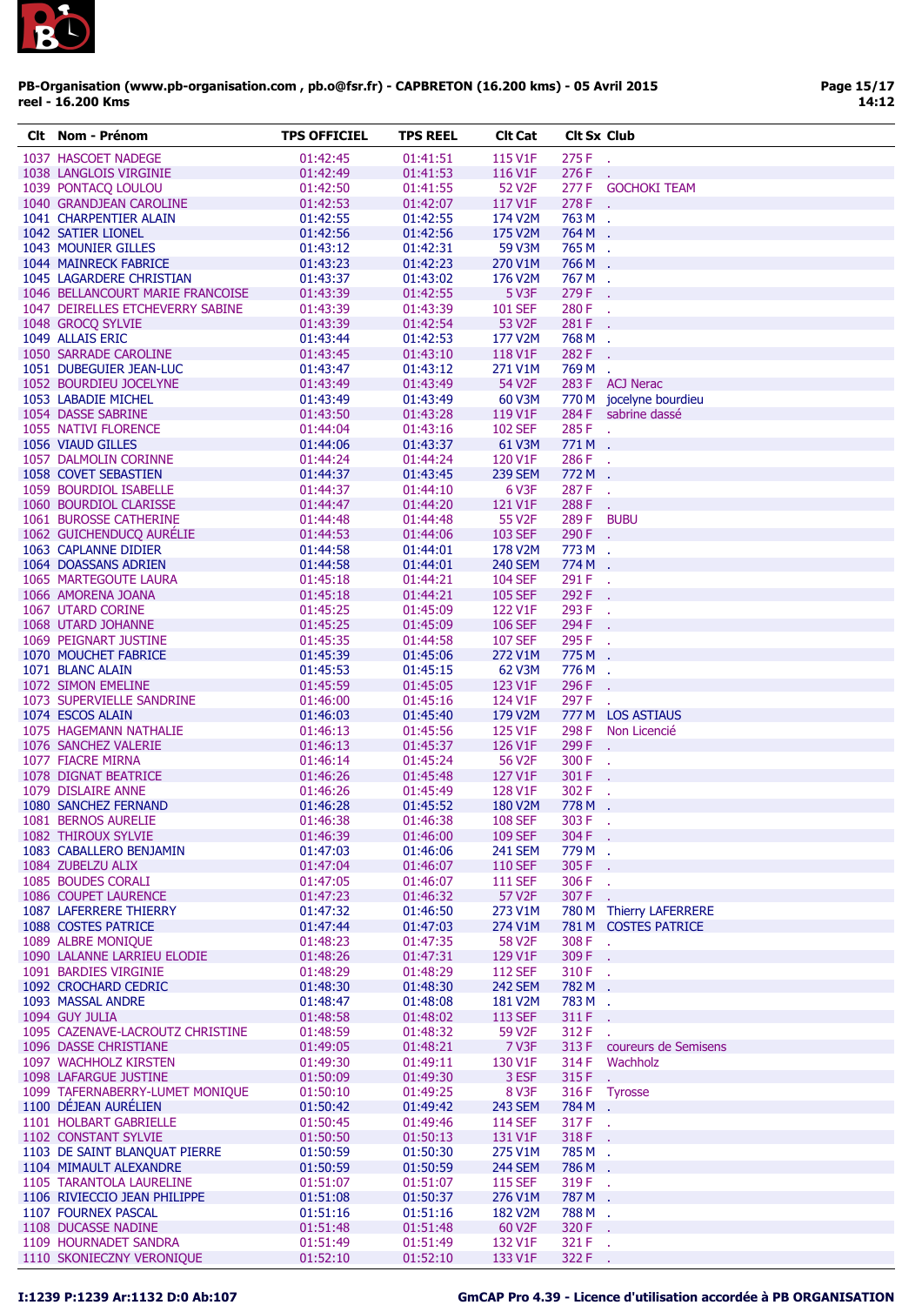

| CIt | Nom - Prénom                     | <b>TPS OFFICIEL</b> | <b>TPS REEL</b> | <b>CIt Cat</b>      | <b>Cit Sx Club</b> |                         |
|-----|----------------------------------|---------------------|-----------------|---------------------|--------------------|-------------------------|
|     | 1037 HASCOET NADEGE              | 01:42:45            | 01:41:51        | 115 V1F             | 275 F              | $\sim$                  |
|     | 1038 LANGLOIS VIRGINIE           | 01:42:49            | 01:41:53        | 116 V1F             | 276 F              | У.                      |
|     | 1039 PONTACO LOULOU              | 01:42:50            | 01:41:55        | 52 V <sub>2</sub> F |                    | 277 F GOCHOKI TEAM      |
|     | 1040 GRANDJEAN CAROLINE          | 01:42:53            | 01:42:07        | 117 V1F             | 278 F.             |                         |
|     | 1041 CHARPENTIER ALAIN           | 01:42:55            | 01:42:55        | 174 V2M             | 763 M .            |                         |
|     | 1042 SATIER LIONEL               | 01:42:56            | 01:42:56        | 175 V2M             | 764 M .            |                         |
|     | 1043 MOUNIER GILLES              | 01:43:12            | 01:42:31        | 59 V3M              | 765 M .            |                         |
|     | 1044 MAINRECK FABRICE            | 01:43:23            | 01:42:23        | 270 V1M             | 766 M .            |                         |
|     | 1045 LAGARDERE CHRISTIAN         | 01:43:37            | 01:43:02        | 176 V2M             | 767M.              |                         |
|     | 1046 BELLANCOURT MARIE FRANCOISE | 01:43:39            | 01:42:55        | 5 V3F               | 279 F              |                         |
|     | 1047 DEIRELLES ETCHEVERRY SABINE | 01:43:39            | 01:43:39        | <b>101 SEF</b>      | 280 F              |                         |
|     | 1048 GROCQ SYLVIE                | 01:43:39            | 01:42:54        | 53 V2F              | 281 F              | $\sim$                  |
|     | 1049 ALLAIS ERIC                 | 01:43:44            | 01:42:53        | 177 V2M             | 768 M .            |                         |
|     | 1050 SARRADE CAROLINE            | 01:43:45            | 01:43:10        | 118 V1F             | 282 F              |                         |
|     | 1051 DUBEGUIER JEAN-LUC          | 01:43:47            | 01:43:12        | 271 V1M             | 769 M .            |                         |
|     | 1052 BOURDIEU JOCELYNE           | 01:43:49            | 01:43:49        | 54 V2F              |                    | 283 F ACJ Nerac         |
|     | 1053 LABADIE MICHEL              | 01:43:49            | 01:43:49        | 60 V3M              |                    | 770 M jocelyne bourdieu |
|     | 1054 DASSE SABRINE               | 01:43:50            | 01:43:28        | 119 V1F             |                    | 284 F sabrine dassé     |
|     | 1055 NATIVI FLORENCE             | 01:44:04            | 01:43:16        | <b>102 SEF</b>      | 285 F.             |                         |
|     | 1056 VIAUD GILLES                | 01:44:06            | 01:43:37        | 61 V3M              | 771M.              |                         |
|     | 1057 DALMOLIN CORINNE            | 01:44:24            | 01:44:24        | 120 V1F             | 286 F.             |                         |
|     | 1058 COVET SEBASTIEN             | 01:44:37            | 01:43:45        | <b>239 SEM</b>      | 772 M .            |                         |
|     | 1059 BOURDIOL ISABELLE           | 01:44:37            | 01:44:10        | 6 V3F               | 287 F              | $\mathcal{A}$           |
|     | 1060 BOURDIOL CLARISSE           | 01:44:47            | 01:44:20        | 121 V1F             | 288 F              | $\sim 10$               |
|     | 1061 BUROSSE CATHERINE           | 01:44:48            | 01:44:48        | 55 V <sub>2</sub> F | 289 F BUBU         |                         |
|     | 1062 GUICHENDUCQ AURÉLIE         | 01:44:53            | 01:44:06        | <b>103 SEF</b>      | 290 F              |                         |
|     | 1063 CAPLANNE DIDIER             | 01:44:58            | 01:44:01        | 178 V2M             | 773 M .            |                         |
|     | 1064 DOASSANS ADRIEN             | 01:44:58            | 01:44:01        | <b>240 SEM</b>      | 774 M .            |                         |
|     | 1065 MARTEGOUTE LAURA            | 01:45:18            | 01:44:21        | <b>104 SEF</b>      | 291 F .            |                         |
|     | 1066 AMORENA JOANA               | 01:45:18            | 01:44:21        | <b>105 SEF</b>      | 292 F              |                         |
|     | 1067 UTARD CORINE                | 01:45:25            | 01:45:09        | 122 V1F             | 293 F              | $\mathcal{A}$           |
|     | 1068 UTARD JOHANNE               | 01:45:25            | 01:45:09        | <b>106 SEF</b>      | 294 F              |                         |
|     | 1069 PEIGNART JUSTINE            | 01:45:35            | 01:44:58        | <b>107 SEF</b>      | 295 F              | ÷.                      |
|     | 1070 MOUCHET FABRICE             | 01:45:39            | 01:45:06        | 272 V1M             | 775 M              |                         |
|     | 1071 BLANC ALAIN                 | 01:45:53            | 01:45:15        | 62 V3M              | 776 M              |                         |
|     | 1072 SIMON EMELINE               | 01:45:59            | 01:45:05        | 123 V1F             | 296 F              | $\mathbf{r}$            |
|     | 1073 SUPERVIELLE SANDRINE        | 01:46:00            | 01:45:16        | 124 V1F             | 297 F              |                         |
|     | 1074 ESCOS ALAIN                 | 01:46:03            | 01:45:40        | 179 V2M             |                    | 777 M LOS ASTIAUS       |
|     | 1075 HAGEMANN NATHALIE           | 01:46:13            | 01:45:56        | 125 V1F             |                    | 298 F Non Licencié      |
|     | 1076 SANCHEZ VALERIE             | 01:46:13            | 01:45:37        | 126 V1F             | 299 F              | $\mathbf{r}$            |
|     | 1077 FIACRE MIRNA                | 01:46:14            | 01:45:24        | 56 V <sub>2F</sub>  | 300 F              | $\mathcal{L}$           |
|     | 1078 DIGNAT BEATRICE             | 01:46:26            | 01:45:48        | 127 V1F             | 301 F              |                         |
|     | 1079 DISLAIRE ANNE               | 01:46:26            | 01:45:49        | 128 V1F             | 302 F              |                         |
|     | 1080 SANCHEZ FERNAND             | 01:46:28            | 01:45:52        | 180 V2M             | 778 M .            |                         |
|     | 1081 BERNOS AURELIE              | 01:46:38            | 01:46:38        | <b>108 SEF</b>      | 303 F              |                         |
|     | 1082 THIROUX SYLVIE              | 01:46:39            | 01:46:00        | <b>109 SEF</b>      | 304 F .            |                         |
|     | 1083 CABALLERO BENJAMIN          | 01:47:03            | 01:46:06        | <b>241 SEM</b>      | 779 M .            |                         |
|     | 1084 ZUBELZU ALIX                | 01:47:04            | 01:46:07        | <b>110 SEF</b>      | 305 F              |                         |
|     | 1085 BOUDES CORALI               | 01:47:05            | 01:46:07        | <b>111 SEF</b>      | 306 F              | χ.                      |
|     | 1086 COUPET LAURENCE             | 01:47:23            | 01:46:32        | 57 V2F              | 307 F              |                         |
|     | 1087 LAFERRERE THIERRY           | 01:47:32            | 01:46:50        | 273 V1M             |                    | 780 M Thierry LAFERRERE |
|     | 1088 COSTES PATRICE              | 01:47:44            | 01:47:03        | 274 V1M             |                    | 781 M COSTES PATRICE    |
|     | 1089 ALBRE MONIQUE               | 01:48:23            | 01:47:35        | <b>58 V2F</b>       | 308 F              | $\sim$                  |
|     | 1090 LALANNE LARRIEU ELODIE      | 01:48:26            | 01:47:31        | 129 V1F             | 309 F              | ÷.                      |
|     | 1091 BARDIES VIRGINIE            | 01:48:29            | 01:48:29        | <b>112 SEF</b>      | 310 F .            |                         |
|     | 1092 CROCHARD CEDRIC             | 01:48:30            | 01:48:30        | <b>242 SEM</b>      | 782 M .            |                         |
|     | 1093 MASSAL ANDRE                | 01:48:47            | 01:48:08        | 181 V2M             | 783 M .            |                         |
|     | 1094 GUY JULIA                   | 01:48:58            | 01:48:02        | <b>113 SEF</b>      | 311 F              |                         |
|     | 1095 CAZENAVE-LACROUTZ CHRISTINE | 01:48:59            | 01:48:32        | 59 V2F              | 312 F              |                         |
|     | 1096 DASSE CHRISTIANE            | 01:49:05            | 01:48:21        | 7 V3F               | 313 F              | coureurs de Semisens    |
|     | 1097 WACHHOLZ KIRSTEN            | 01:49:30            | 01:49:11        | 130 V1F             | 314 F              | Wachholz                |
|     | 1098 LAFARGUE JUSTINE            | 01:50:09            | 01:49:30        | 3 ESF               | 315F               | ÷.                      |
|     | 1099 TAFERNABERRY-LUMET MONIQUE  | 01:50:10            | 01:49:25        | 8 V3F               | 316 F              | <b>Tyrosse</b>          |
|     | 1100 DÉJEAN AURÉLIEN             | 01:50:42            | 01:49:42        | <b>243 SEM</b>      | 784 M.             |                         |
|     | 1101 HOLBART GABRIELLE           | 01:50:45            | 01:49:46        | <b>114 SEF</b>      | 317 F.             |                         |
|     | 1102 CONSTANT SYLVIE             | 01:50:50            | 01:50:13        | 131 V1F             | 318 F              |                         |
|     | 1103 DE SAINT BLANQUAT PIERRE    | 01:50:59            | 01:50:30        | 275 V1M             | 785 M .            |                         |
|     | 1104 MIMAULT ALEXANDRE           | 01:50:59            | 01:50:59        | <b>244 SEM</b>      | 786 M .            |                         |
|     | 1105 TARANTOLA LAURELINE         | 01:51:07            | 01:51:07        | <b>115 SEF</b>      | 319F.              |                         |
|     | 1106 RIVIECCIO JEAN PHILIPPE     | 01:51:08            | 01:50:37        | 276 V1M             | 787 M .            |                         |
|     | 1107 FOURNEX PASCAL              | 01:51:16            | 01:51:16        | 182 V2M             | 788 M .            |                         |
|     | 1108 DUCASSE NADINE              | 01:51:48            | 01:51:48        | 60 V2F              | 320 F .            |                         |
|     | 1109 HOURNADET SANDRA            | 01:51:49            | 01:51:49        | 132 V1F             | 321 F              | ч.                      |
|     | 1110 SKONIECZNY VERONIQUE        | 01:52:10            | 01:52:10        | 133 V1F             | 322 F .            |                         |
|     |                                  |                     |                 |                     |                    |                         |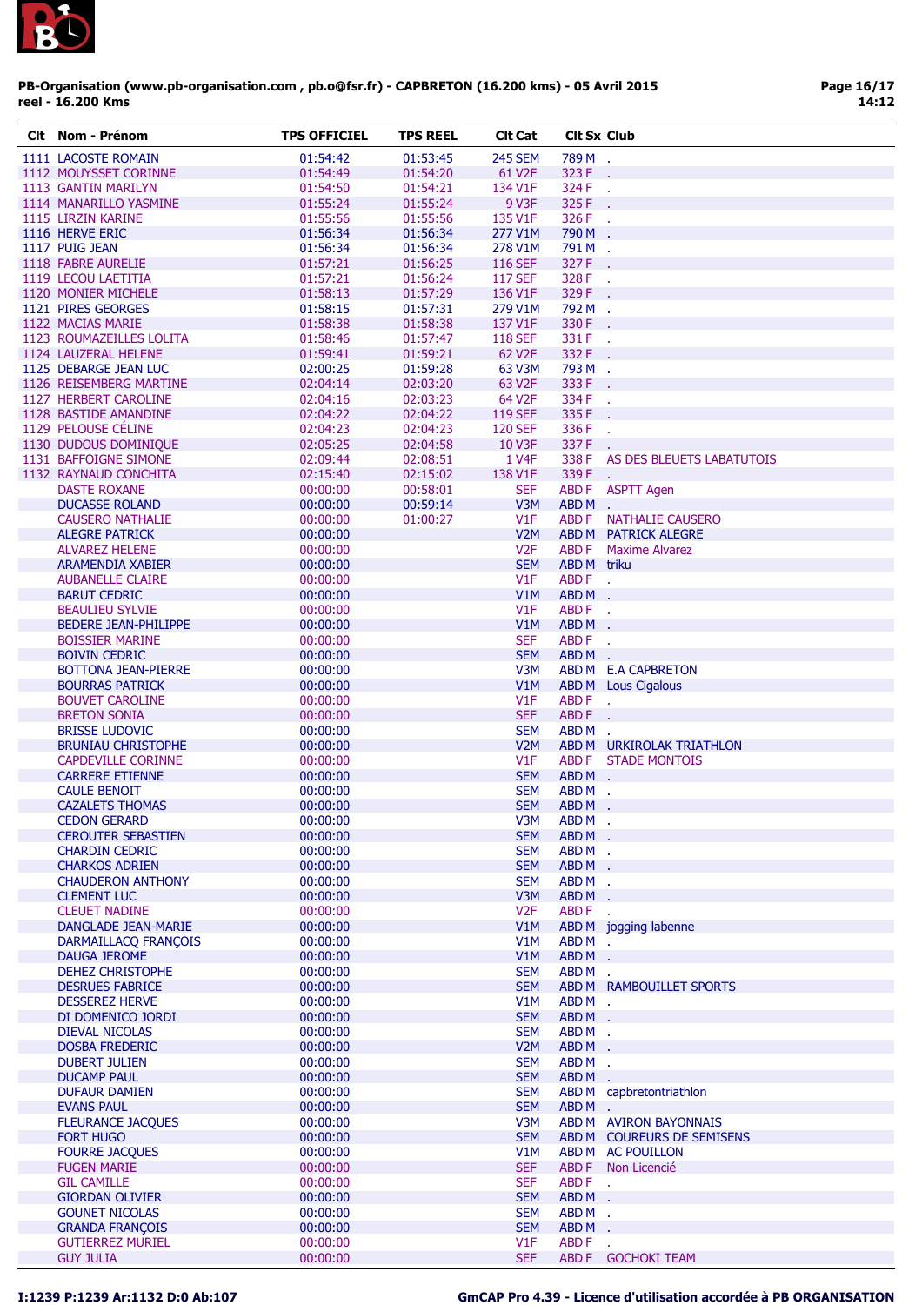

| CIt | Nom - Prénom                               | <b>TPS OFFICIEL</b>  | <b>TPS REEL</b> | <b>Clt Cat</b>         | <b>Clt Sx Club</b> |                                 |
|-----|--------------------------------------------|----------------------|-----------------|------------------------|--------------------|---------------------------------|
|     | 1111 LACOSTE ROMAIN                        | 01:54:42             | 01:53:45        | <b>245 SEM</b>         | 789 M .            |                                 |
|     | 1112 MOUYSSET CORINNE                      | 01:54:49             | 01:54:20        | 61 V <sub>2</sub> F    | 323 F              | <b>Card</b>                     |
|     | 1113 GANTIN MARILYN                        | 01:54:50             | 01:54:21        | 134 V1F                | 324 F              | У.                              |
|     | 1114 MANARILLO YASMINE                     | 01:55:24             | 01:55:24        | 9 V3F                  | 325 F              | $\mathcal{L}_{\mathbf{r}}$      |
|     | 1115 LIRZIN KARINE                         | 01:55:56             | 01:55:56        | 135 V1F                | 326 F .            |                                 |
|     | 1116 HERVE ERIC                            | 01:56:34             | 01:56:34        | 277 V1M                | 790 M .            |                                 |
|     | 1117 PUIG JEAN                             | 01:56:34             | 01:56:34        | 278 V1M                | 791 M .            |                                 |
|     | 1118 FABRE AURELIE                         | 01:57:21             | 01:56:25        | <b>116 SEF</b>         | 327 F              |                                 |
|     | 1119 LECOU LAETITIA                        | 01:57:21             | 01:56:24        | <b>117 SEF</b>         | 328 F              | $\sim$                          |
|     | 1120 MONIER MICHELE                        | 01:58:13             | 01:57:29        | 136 V1F                | 329 F .            |                                 |
|     | 1121 PIRES GEORGES                         | 01:58:15             | 01:57:31        | 279 V1M                | 792 M .            |                                 |
|     | 1122 MACIAS MARIE                          | 01:58:38             | 01:58:38        | 137 V1F                | 330 F .            |                                 |
|     | 1123 ROUMAZEILLES LOLITA                   | 01:58:46             | 01:57:47        | <b>118 SEF</b>         | 331 F .            |                                 |
|     | 1124 LAUZERAL HELENE                       | 01:59:41             | 01:59:21        | 62 V <sub>2</sub> F    | 332 F .            |                                 |
|     | 1125 DEBARGE JEAN LUC                      | 02:00:25             | 01:59:28        | 63 V3M                 | 793 M .            |                                 |
|     | 1126 REISEMBERG MARTINE                    | 02:04:14             | 02:03:20        | 63 V2F                 | 333 F              |                                 |
|     | 1127 HERBERT CAROLINE                      | 02:04:16             | 02:03:23        | 64 V2F                 | 334 F              | ÷.                              |
|     | 1128 BASTIDE AMANDINE                      | 02:04:22             | 02:04:22        | <b>119 SEF</b>         | 335 F              |                                 |
|     | 1129 PELOUSE CÉLINE                        | 02:04:23             | 02:04:23        | <b>120 SEF</b>         | 336 F              |                                 |
|     | 1130 DUDOUS DOMINIQUE                      | 02:05:25             | 02:04:58        | <b>10 V3F</b>          | 337 F              |                                 |
|     | 1131 BAFFOIGNE SIMONE                      | 02:09:44             | 02:08:51        | 1 V <sub>4</sub> F     |                    | 338 F AS DES BLEUETS LABATUTOIS |
|     | 1132 RAYNAUD CONCHITA                      | 02:15:40             | 02:15:02        | 138 V1F                | 339 F .            |                                 |
|     | <b>DASTE ROXANE</b>                        | 00:00:00             | 00:58:01        | <b>SEF</b>             |                    | ABD F ASPTT Agen                |
|     | <b>DUCASSE ROLAND</b>                      | 00:00:00             | 00:59:14        | V3M                    | ABDM.              |                                 |
|     | <b>CAUSERO NATHALIE</b>                    | 00:00:00             | 01:00:27        | V1F                    | ABD F              | <b>NATHALIE CAUSERO</b>         |
|     | <b>ALEGRE PATRICK</b>                      | 00:00:00             |                 | V <sub>2</sub> M       |                    | ABD M PATRICK ALEGRE            |
|     | <b>ALVAREZ HELENE</b>                      | 00:00:00             |                 | V <sub>2F</sub>        |                    | <b>ABD F</b> Maxime Alvarez     |
|     | ARAMENDIA XABIER                           | 00:00:00             |                 | <b>SEM</b>             | ABD M triku        |                                 |
|     | <b>AUBANELLE CLAIRE</b>                    | 00:00:00             |                 | V1F                    | ABD F              | $\mathcal{L}_{\mathbf{r}}$      |
|     | <b>BARUT CEDRIC</b>                        | 00:00:00             |                 | V1M                    | ABDM.              |                                 |
|     | <b>BEAULIEU SYLVIE</b>                     | 00:00:00             |                 | V1F                    | ABDF.              |                                 |
|     | <b>BEDERE JEAN-PHILIPPE</b>                | 00:00:00             |                 | V1M                    | ABDM.              |                                 |
|     | <b>BOISSIER MARINE</b>                     | 00:00:00             |                 | <b>SEF</b>             | ABD F              | ÷.                              |
|     | <b>BOIVIN CEDRIC</b>                       | 00:00:00             |                 | <b>SEM</b>             | ABDM.              |                                 |
|     | <b>BOTTONA JEAN-PIERRE</b>                 | 00:00:00             |                 | V3M                    |                    | ABD M E.A CAPBRETON             |
|     | <b>BOURRAS PATRICK</b>                     | 00:00:00             |                 | V1M                    |                    | <b>ABD M</b> Lous Cigalous      |
|     | <b>BOUVET CAROLINE</b>                     | 00:00:00             |                 | V1F                    | ABD F .            |                                 |
|     | <b>BRETON SONIA</b>                        | 00:00:00             |                 | <b>SEF</b>             | ABDF.              |                                 |
|     | <b>BRISSE LUDOVIC</b>                      | 00:00:00             |                 | <b>SEM</b>             | ABDM.              |                                 |
|     | <b>BRUNIAU CHRISTOPHE</b>                  | 00:00:00             |                 | V <sub>2</sub> M       |                    | ABD M URKIROLAK TRIATHLON       |
|     | <b>CAPDEVILLE CORINNE</b>                  | 00:00:00             |                 | V1F                    |                    | ABD F STADE MONTOIS             |
|     | <b>CARRERE ETIENNE</b>                     | 00:00:00             |                 | <b>SEM</b>             | ABDM.              |                                 |
|     | <b>CAULE BENOIT</b>                        | 00:00:00             |                 | <b>SEM</b>             | ABD M .            |                                 |
|     | <b>CAZALETS THOMAS</b>                     | 00:00:00             |                 | <b>SEM</b>             | ABDM.              |                                 |
|     | <b>CEDON GERARD</b>                        | 00:00:00             |                 | V3M                    | ABD M              |                                 |
|     | <b>CEROUTER SEBASTIEN</b>                  | 00:00:00             |                 | <b>SEM</b>             | ABDM.              |                                 |
|     | <b>CHARDIN CEDRIC</b>                      | 00:00:00             |                 | <b>SEM</b>             | ABDM.              |                                 |
|     | <b>CHARKOS ADRIEN</b>                      | 00:00:00<br>00:00:00 |                 | <b>SEM</b>             | ABDM.              |                                 |
|     | <b>CHAUDERON ANTHONY</b>                   |                      |                 | <b>SEM</b>             | ABDM.              |                                 |
|     | <b>CLEMENT LUC</b><br><b>CLEUET NADINE</b> | 00:00:00<br>00:00:00 |                 | V3M<br>V <sub>2F</sub> | ABDM.<br>ABD F     |                                 |
|     | DANGLADE JEAN-MARIE                        | 00:00:00             |                 | V1M                    |                    | ÷.<br>ABD M jogging labenne     |
|     | DARMAILLACQ FRANÇOIS                       | 00:00:00             |                 | V1M                    | ABDM.              |                                 |
|     | <b>DAUGA JEROME</b>                        | 00:00:00             |                 | V1M                    | ABDM.              |                                 |
|     | <b>DEHEZ CHRISTOPHE</b>                    | 00:00:00             |                 | <b>SEM</b>             | ABDM.              |                                 |
|     | <b>DESRUES FABRICE</b>                     | 00:00:00             |                 | <b>SEM</b>             |                    | ABD M RAMBOUILLET SPORTS        |
|     | <b>DESSEREZ HERVE</b>                      | 00:00:00             |                 | V1M                    | ABDM.              |                                 |
|     | DI DOMENICO JORDI                          | 00:00:00             |                 | <b>SEM</b>             | ABDM.              |                                 |
|     | <b>DIEVAL NICOLAS</b>                      | 00:00:00             |                 | <b>SEM</b>             | ABDM.              |                                 |
|     | <b>DOSBA FREDERIC</b>                      | 00:00:00             |                 | V <sub>2</sub> M       | ABDM.              |                                 |
|     | <b>DUBERT JULIEN</b>                       | 00:00:00             |                 | <b>SEM</b>             | ABDM.              |                                 |
|     | <b>DUCAMP PAUL</b>                         | 00:00:00             |                 | <b>SEM</b>             | ABDM.              |                                 |
|     | <b>DUFAUR DAMIEN</b>                       | 00:00:00             |                 | <b>SEM</b>             |                    | ABD M capbretontriathlon        |
|     | <b>EVANS PAUL</b>                          | 00:00:00             |                 | <b>SEM</b>             | ABDM.              |                                 |
|     | <b>FLEURANCE JACQUES</b>                   | 00:00:00             |                 | V3M                    |                    | ABD M AVIRON BAYONNAIS          |
|     | <b>FORT HUGO</b>                           | 00:00:00             |                 | <b>SEM</b>             |                    | ABD M COUREURS DE SEMISENS      |
|     | <b>FOURRE JACQUES</b>                      | 00:00:00             |                 | V1M                    |                    | ABD M AC POUILLON               |
|     | <b>FUGEN MARIE</b>                         | 00:00:00             |                 | <b>SEF</b>             |                    | ABD F Non Licencié              |
|     | <b>GIL CAMILLE</b>                         | 00:00:00             |                 | <b>SEF</b>             | ABDF.              |                                 |
|     | <b>GIORDAN OLIVIER</b>                     | 00:00:00             |                 | <b>SEM</b>             | ABDM.              |                                 |
|     | <b>GOUNET NICOLAS</b>                      | 00:00:00             |                 | <b>SEM</b>             | ABDM.              |                                 |
|     | <b>GRANDA FRANÇOIS</b>                     | 00:00:00             |                 | <b>SEM</b>             | ABDM.              |                                 |
|     | <b>GUTIERREZ MURIEL</b>                    | 00:00:00             |                 | V1F                    | ABD F              | ÷.                              |
|     | <b>GUY JULIA</b>                           | 00:00:00             |                 | <b>SEF</b>             |                    | ABD F GOCHOKI TEAM              |